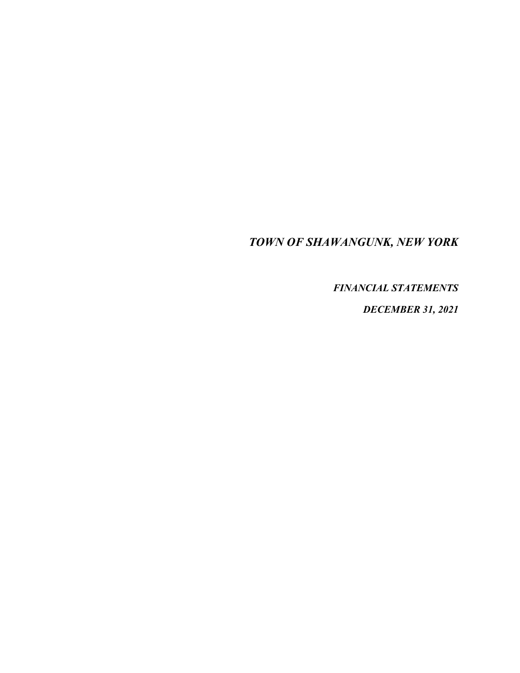## *TOWN OF SHAWANGUNK, NEW YORK*

*FINANCIAL STATEMENTS* 

*DECEMBER 31, 2021*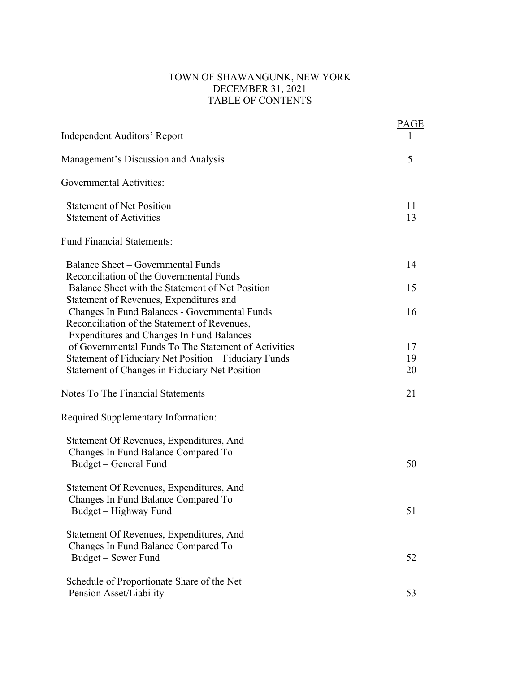## TOWN OF SHAWANGUNK, NEW YORK DECEMBER 31, 2021 TABLE OF CONTENTS

| Independent Auditors' Report                                                                                                                      | <b>PAGE</b> |
|---------------------------------------------------------------------------------------------------------------------------------------------------|-------------|
| Management's Discussion and Analysis                                                                                                              | 5           |
| Governmental Activities:                                                                                                                          |             |
| <b>Statement of Net Position</b><br><b>Statement of Activities</b>                                                                                | 11<br>13    |
| <b>Fund Financial Statements:</b>                                                                                                                 |             |
| Balance Sheet – Governmental Funds<br>Reconciliation of the Governmental Funds                                                                    | 14          |
| Balance Sheet with the Statement of Net Position<br>Statement of Revenues, Expenditures and                                                       | 15          |
| Changes In Fund Balances - Governmental Funds<br>Reconciliation of the Statement of Revenues,<br><b>Expenditures and Changes In Fund Balances</b> | 16          |
| of Governmental Funds To The Statement of Activities                                                                                              | 17          |
| Statement of Fiduciary Net Position - Fiduciary Funds<br>Statement of Changes in Fiduciary Net Position                                           | 19<br>20    |
| Notes To The Financial Statements                                                                                                                 | 21          |
| Required Supplementary Information:                                                                                                               |             |
| Statement Of Revenues, Expenditures, And<br>Changes In Fund Balance Compared To                                                                   | 50          |
| Budget – General Fund                                                                                                                             |             |
| Statement Of Revenues, Expenditures, And<br>Changes In Fund Balance Compared To<br>Budget - Highway Fund                                          | 51          |
| Statement Of Revenues, Expenditures, And<br>Changes In Fund Balance Compared To<br>Budget – Sewer Fund                                            | 52          |
| Schedule of Proportionate Share of the Net<br>Pension Asset/Liability                                                                             | 53          |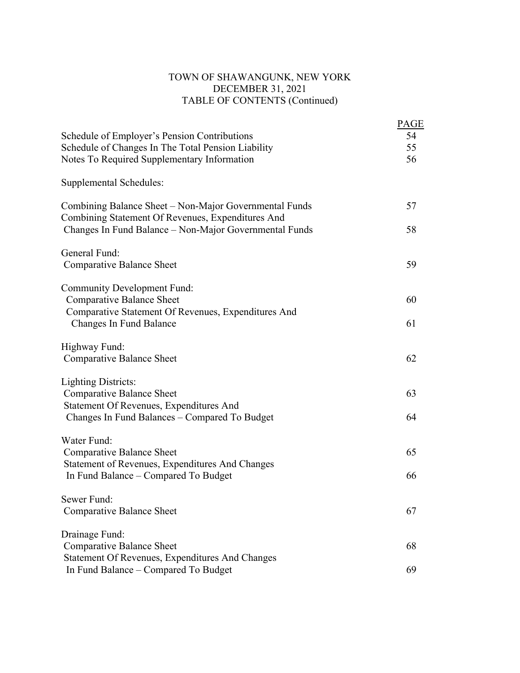## TOWN OF SHAWANGUNK, NEW YORK DECEMBER 31, 2021 TABLE OF CONTENTS (Continued)

|                                                                                                             | PAGE |
|-------------------------------------------------------------------------------------------------------------|------|
| Schedule of Employer's Pension Contributions                                                                | 54   |
| Schedule of Changes In The Total Pension Liability                                                          | 55   |
| Notes To Required Supplementary Information                                                                 | 56   |
| <b>Supplemental Schedules:</b>                                                                              |      |
| Combining Balance Sheet – Non-Major Governmental Funds<br>Combining Statement Of Revenues, Expenditures And | 57   |
| Changes In Fund Balance - Non-Major Governmental Funds                                                      | 58   |
| General Fund:                                                                                               |      |
| <b>Comparative Balance Sheet</b>                                                                            | 59   |
| <b>Community Development Fund:</b>                                                                          |      |
| Comparative Balance Sheet                                                                                   | 60   |
| Comparative Statement Of Revenues, Expenditures And<br><b>Changes In Fund Balance</b>                       | 61   |
|                                                                                                             |      |
| Highway Fund:                                                                                               |      |
| <b>Comparative Balance Sheet</b>                                                                            | 62   |
| <b>Lighting Districts:</b>                                                                                  |      |
| Comparative Balance Sheet                                                                                   | 63   |
| Statement Of Revenues, Expenditures And                                                                     |      |
| Changes In Fund Balances - Compared To Budget                                                               | 64   |
| Water Fund:                                                                                                 |      |
| <b>Comparative Balance Sheet</b>                                                                            | 65   |
| Statement of Revenues, Expenditures And Changes                                                             |      |
| In Fund Balance – Compared To Budget                                                                        | 66   |
| Sewer Fund:                                                                                                 |      |
| Comparative Balance Sheet                                                                                   | 67   |
| Drainage Fund:                                                                                              |      |
| <b>Comparative Balance Sheet</b>                                                                            | 68   |
| Statement Of Revenues, Expenditures And Changes                                                             |      |
| In Fund Balance - Compared To Budget                                                                        | 69   |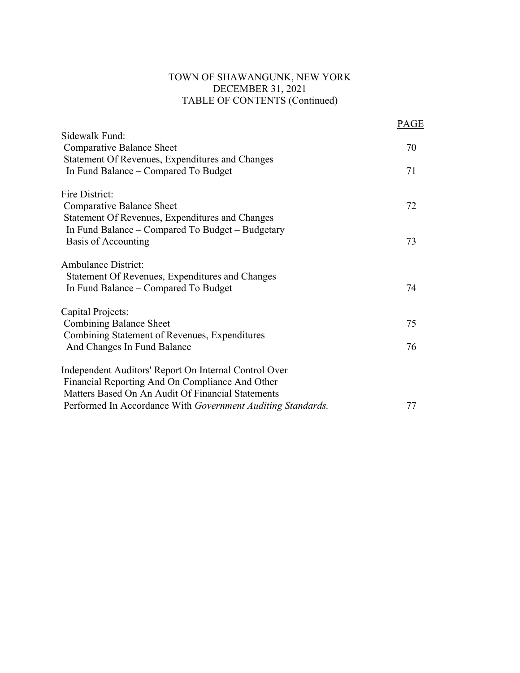## TOWN OF SHAWANGUNK, NEW YORK DECEMBER 31, 2021 TABLE OF CONTENTS (Continued)

|                                                                                                                                                               | PAGE |
|---------------------------------------------------------------------------------------------------------------------------------------------------------------|------|
| Sidewalk Fund:<br>Comparative Balance Sheet                                                                                                                   | 70   |
| Statement Of Revenues, Expenditures and Changes<br>In Fund Balance – Compared To Budget                                                                       | 71   |
| Fire District:                                                                                                                                                |      |
| Comparative Balance Sheet<br>Statement Of Revenues, Expenditures and Changes                                                                                  | 72   |
| In Fund Balance – Compared To Budget – Budgetary<br>Basis of Accounting                                                                                       | 73   |
| <b>Ambulance District:</b><br>Statement Of Revenues, Expenditures and Changes<br>In Fund Balance – Compared To Budget                                         | 74   |
| Capital Projects:                                                                                                                                             |      |
| Combining Balance Sheet                                                                                                                                       | 75   |
| Combining Statement of Revenues, Expenditures<br>And Changes In Fund Balance                                                                                  | 76   |
| Independent Auditors' Report On Internal Control Over<br>Financial Reporting And On Compliance And Other<br>Matters Based On An Audit Of Financial Statements |      |
| Performed In Accordance With Government Auditing Standards.                                                                                                   | 77   |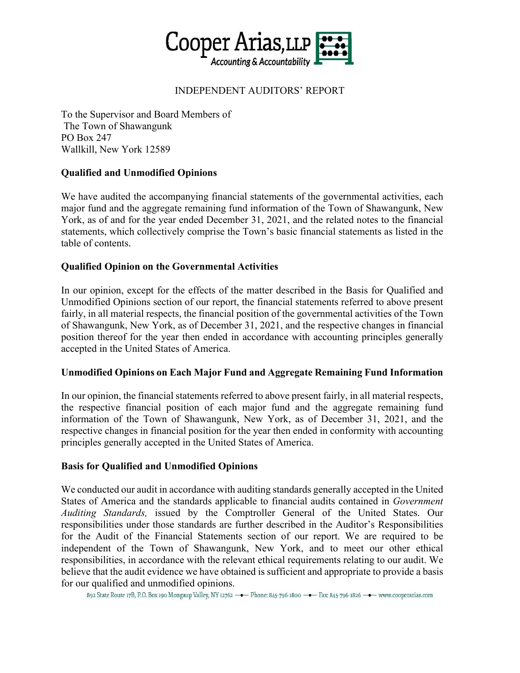

## INDEPENDENT AUDITORS' REPORT

To the Supervisor and Board Members of The Town of Shawangunk PO Box 247 Wallkill, New York 12589

## **Qualified and Unmodified Opinions**

We have audited the accompanying financial statements of the governmental activities, each major fund and the aggregate remaining fund information of the Town of Shawangunk, New York, as of and for the year ended December 31, 2021, and the related notes to the financial statements, which collectively comprise the Town's basic financial statements as listed in the table of contents.

## **Qualified Opinion on the Governmental Activities**

In our opinion, except for the effects of the matter described in the Basis for Qualified and Unmodified Opinions section of our report, the financial statements referred to above present fairly, in all material respects, the financial position of the governmental activities of the Town of Shawangunk, New York, as of December 31, 2021, and the respective changes in financial position thereof for the year then ended in accordance with accounting principles generally accepted in the United States of America.

## **Unmodified Opinions on Each Major Fund and Aggregate Remaining Fund Information**

In our opinion, the financial statements referred to above present fairly, in all material respects, the respective financial position of each major fund and the aggregate remaining fund information of the Town of Shawangunk, New York, as of December 31, 2021, and the respective changes in financial position for the year then ended in conformity with accounting principles generally accepted in the United States of America.

## **Basis for Qualified and Unmodified Opinions**

We conducted our audit in accordance with auditing standards generally accepted in the United States of America and the standards applicable to financial audits contained in *Government Auditing Standards,* issued by the Comptroller General of the United States. Our responsibilities under those standards are further described in the Auditor's Responsibilities for the Audit of the Financial Statements section of our report. We are required to be independent of the Town of Shawangunk, New York, and to meet our other ethical responsibilities, in accordance with the relevant ethical requirements relating to our audit. We believe that the audit evidence we have obtained is sufficient and appropriate to provide a basis for our qualified and unmodified opinions.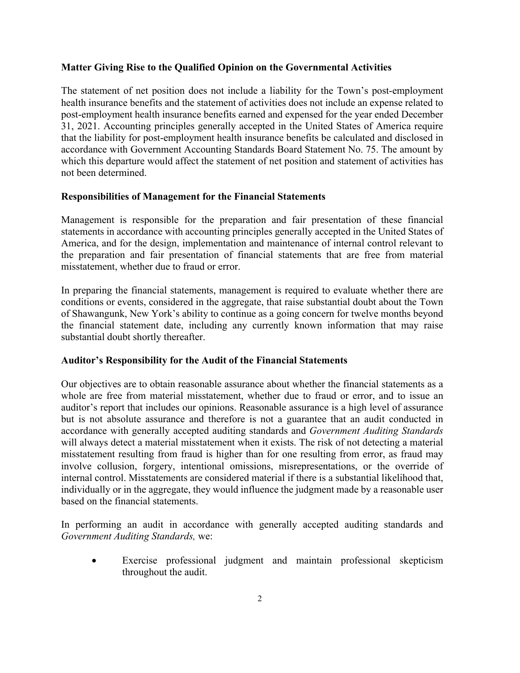## **Matter Giving Rise to the Qualified Opinion on the Governmental Activities**

The statement of net position does not include a liability for the Town's post-employment health insurance benefits and the statement of activities does not include an expense related to post-employment health insurance benefits earned and expensed for the year ended December 31, 2021. Accounting principles generally accepted in the United States of America require that the liability for post-employment health insurance benefits be calculated and disclosed in accordance with Government Accounting Standards Board Statement No. 75. The amount by which this departure would affect the statement of net position and statement of activities has not been determined.

## **Responsibilities of Management for the Financial Statements**

Management is responsible for the preparation and fair presentation of these financial statements in accordance with accounting principles generally accepted in the United States of America, and for the design, implementation and maintenance of internal control relevant to the preparation and fair presentation of financial statements that are free from material misstatement, whether due to fraud or error.

In preparing the financial statements, management is required to evaluate whether there are conditions or events, considered in the aggregate, that raise substantial doubt about the Town of Shawangunk, New York's ability to continue as a going concern for twelve months beyond the financial statement date, including any currently known information that may raise substantial doubt shortly thereafter.

#### **Auditor's Responsibility for the Audit of the Financial Statements**

Our objectives are to obtain reasonable assurance about whether the financial statements as a whole are free from material misstatement, whether due to fraud or error, and to issue an auditor's report that includes our opinions. Reasonable assurance is a high level of assurance but is not absolute assurance and therefore is not a guarantee that an audit conducted in accordance with generally accepted auditing standards and *Government Auditing Standards* will always detect a material misstatement when it exists. The risk of not detecting a material misstatement resulting from fraud is higher than for one resulting from error, as fraud may involve collusion, forgery, intentional omissions, misrepresentations, or the override of internal control. Misstatements are considered material if there is a substantial likelihood that, individually or in the aggregate, they would influence the judgment made by a reasonable user based on the financial statements.

In performing an audit in accordance with generally accepted auditing standards and *Government Auditing Standards,* we:

 Exercise professional judgment and maintain professional skepticism throughout the audit.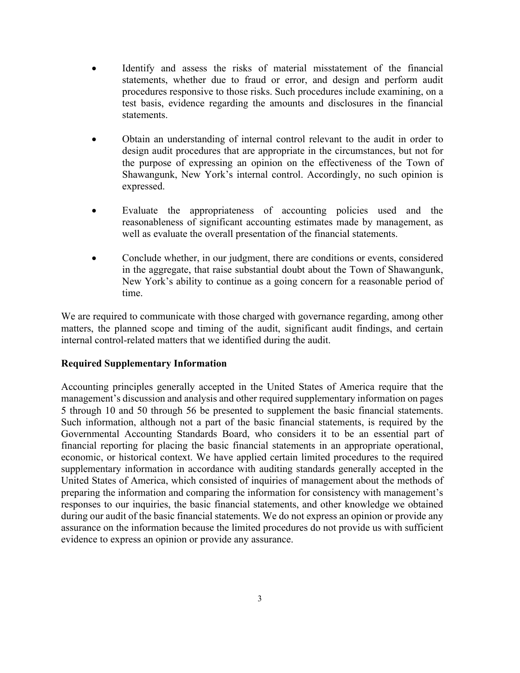- Identify and assess the risks of material misstatement of the financial statements, whether due to fraud or error, and design and perform audit procedures responsive to those risks. Such procedures include examining, on a test basis, evidence regarding the amounts and disclosures in the financial statements.
- Obtain an understanding of internal control relevant to the audit in order to design audit procedures that are appropriate in the circumstances, but not for the purpose of expressing an opinion on the effectiveness of the Town of Shawangunk, New York's internal control. Accordingly, no such opinion is expressed.
- Evaluate the appropriateness of accounting policies used and the reasonableness of significant accounting estimates made by management, as well as evaluate the overall presentation of the financial statements.
- Conclude whether, in our judgment, there are conditions or events, considered in the aggregate, that raise substantial doubt about the Town of Shawangunk, New York's ability to continue as a going concern for a reasonable period of time.

We are required to communicate with those charged with governance regarding, among other matters, the planned scope and timing of the audit, significant audit findings, and certain internal control-related matters that we identified during the audit.

## **Required Supplementary Information**

Accounting principles generally accepted in the United States of America require that the management's discussion and analysis and other required supplementary information on pages 5 through 10 and 50 through 56 be presented to supplement the basic financial statements. Such information, although not a part of the basic financial statements, is required by the Governmental Accounting Standards Board, who considers it to be an essential part of financial reporting for placing the basic financial statements in an appropriate operational, economic, or historical context. We have applied certain limited procedures to the required supplementary information in accordance with auditing standards generally accepted in the United States of America, which consisted of inquiries of management about the methods of preparing the information and comparing the information for consistency with management's responses to our inquiries, the basic financial statements, and other knowledge we obtained during our audit of the basic financial statements. We do not express an opinion or provide any assurance on the information because the limited procedures do not provide us with sufficient evidence to express an opinion or provide any assurance.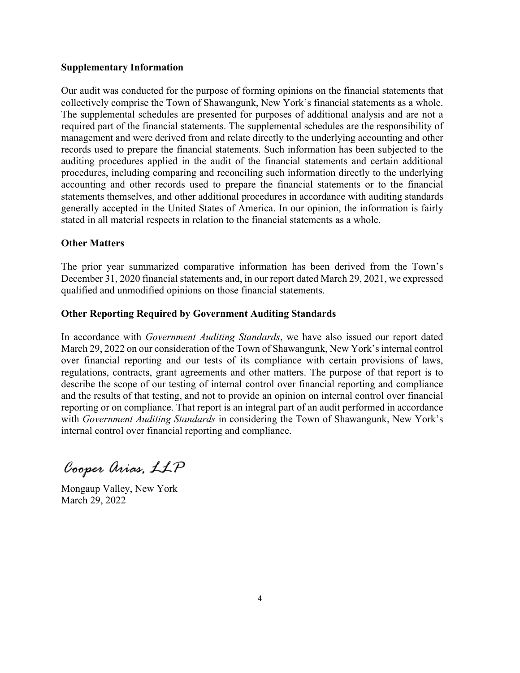#### **Supplementary Information**

Our audit was conducted for the purpose of forming opinions on the financial statements that collectively comprise the Town of Shawangunk, New York's financial statements as a whole. The supplemental schedules are presented for purposes of additional analysis and are not a required part of the financial statements. The supplemental schedules are the responsibility of management and were derived from and relate directly to the underlying accounting and other records used to prepare the financial statements. Such information has been subjected to the auditing procedures applied in the audit of the financial statements and certain additional procedures, including comparing and reconciling such information directly to the underlying accounting and other records used to prepare the financial statements or to the financial statements themselves, and other additional procedures in accordance with auditing standards generally accepted in the United States of America. In our opinion, the information is fairly stated in all material respects in relation to the financial statements as a whole.

## **Other Matters**

The prior year summarized comparative information has been derived from the Town's December 31, 2020 financial statements and, in our report dated March 29, 2021, we expressed qualified and unmodified opinions on those financial statements.

## **Other Reporting Required by Government Auditing Standards**

In accordance with *Government Auditing Standards*, we have also issued our report dated March 29, 2022 on our consideration of the Town of Shawangunk, New York's internal control over financial reporting and our tests of its compliance with certain provisions of laws, regulations, contracts, grant agreements and other matters. The purpose of that report is to describe the scope of our testing of internal control over financial reporting and compliance and the results of that testing, and not to provide an opinion on internal control over financial reporting or on compliance. That report is an integral part of an audit performed in accordance with *Government Auditing Standards* in considering the Town of Shawangunk, New York's internal control over financial reporting and compliance.

Cooper Arias, LLP

Mongaup Valley, New York March 29, 2022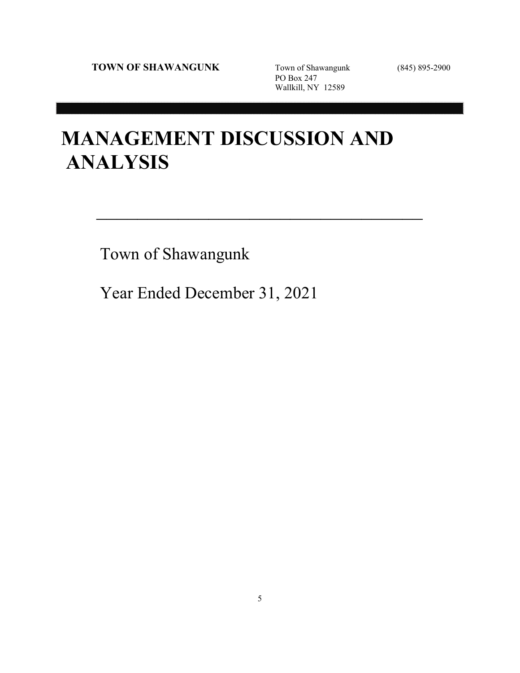PO Box 247 Wallkill, NY 12589

# **MANAGEMENT DISCUSSION AND ANALYSIS**

 $\mathcal{L}_\text{max}$  and  $\mathcal{L}_\text{max}$  and  $\mathcal{L}_\text{max}$  and  $\mathcal{L}_\text{max}$ 

Town of Shawangunk

Year Ended December 31, 2021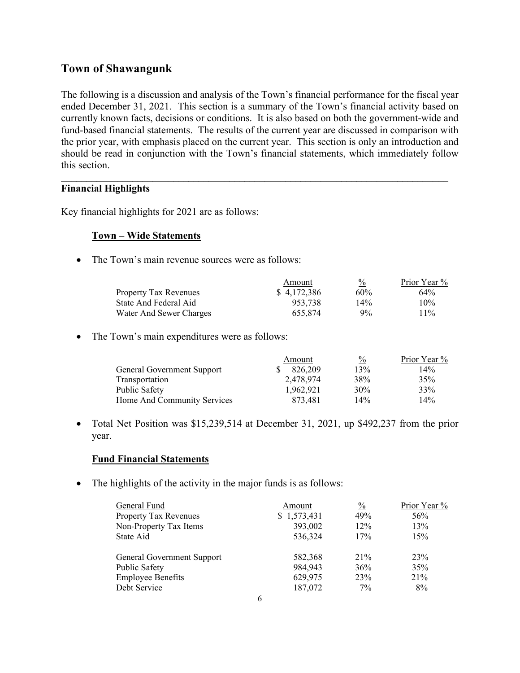## **Town of Shawangunk**

The following is a discussion and analysis of the Town's financial performance for the fiscal year ended December 31, 2021. This section is a summary of the Town's financial activity based on currently known facts, decisions or conditions. It is also based on both the government-wide and fund-based financial statements. The results of the current year are discussed in comparison with the prior year, with emphasis placed on the current year. This section is only an introduction and should be read in conjunction with the Town's financial statements, which immediately follow this section.

 $\mathcal{L} = \{ \mathcal{L} = \{ \mathcal{L} \mid \mathcal{L} = \{ \mathcal{L} \mid \mathcal{L} = \{ \mathcal{L} \mid \mathcal{L} = \{ \mathcal{L} \mid \mathcal{L} = \{ \mathcal{L} \mid \mathcal{L} = \{ \mathcal{L} \mid \mathcal{L} = \{ \mathcal{L} \mid \mathcal{L} = \{ \mathcal{L} \mid \mathcal{L} = \{ \mathcal{L} \mid \mathcal{L} = \{ \mathcal{L} \mid \mathcal{L} = \{ \mathcal{L} \mid \mathcal{L} = \{ \mathcal{L} \mid \mathcal{L} =$ 

## **Financial Highlights**

Key financial highlights for 2021 are as follows:

## **Town – Wide Statements**

• The Town's main revenue sources were as follows:

|                              | Amount      | $\frac{0}{0}$ | Prior Year % |  |
|------------------------------|-------------|---------------|--------------|--|
| <b>Property Tax Revenues</b> | \$4.172.386 | 60%           | $64\%$       |  |
| State And Federal Aid        | 953.738     | 14%           | 10%          |  |
| Water And Sewer Charges      | 655.874     | $9\%$         | $11\%$       |  |

• The Town's main expenditures were as follows:

|                             | Amount    | $\frac{0}{0}$ | Prior Year % |
|-----------------------------|-----------|---------------|--------------|
| General Government Support  | 826,209   | 13%           | 14%          |
| Transportation              | 2,478,974 | 38%           | 35%          |
| Public Safety               | 1.962.921 | 30%           | 33%          |
| Home And Community Services | 873,481   | 14%           | 14%          |

 Total Net Position was \$15,239,514 at December 31, 2021, up \$492,237 from the prior year.

## **Fund Financial Statements**

• The highlights of the activity in the major funds is as follows:

| General Fund                 | Amount                | $\frac{0}{0}$ | Prior Year % |
|------------------------------|-----------------------|---------------|--------------|
| <b>Property Tax Revenues</b> | \$1,573,431           | 49%           | 56%          |
| Non-Property Tax Items       | 393,002               | 12%           | 13%          |
| State Aid                    | 536,324               | 17%           | 15%          |
| General Government Support   | 582,368               | 21%           | 23%          |
| Public Safety                | 984,943               | 36%           | 35%          |
| <b>Employee Benefits</b>     | 629,975               | 23%           | 21%          |
| Debt Service                 | 187,072<br>$\epsilon$ | $7\%$         | 8%           |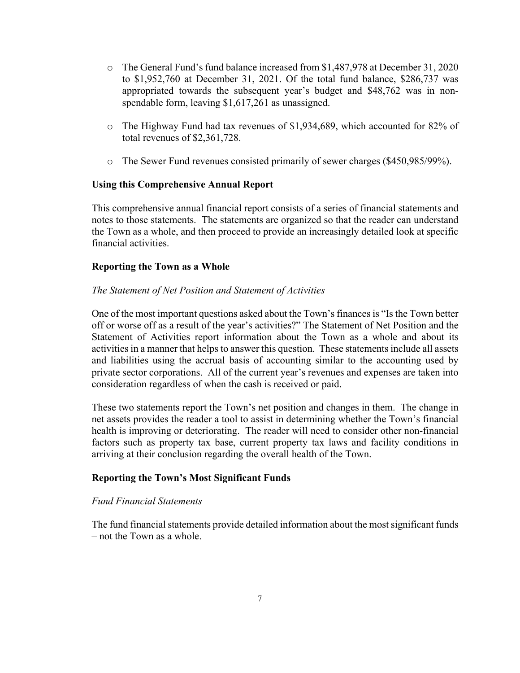- o The General Fund's fund balance increased from \$1,487,978 at December 31, 2020 to \$1,952,760 at December 31, 2021. Of the total fund balance, \$286,737 was appropriated towards the subsequent year's budget and \$48,762 was in nonspendable form, leaving \$1,617,261 as unassigned.
- o The Highway Fund had tax revenues of \$1,934,689, which accounted for 82% of total revenues of \$2,361,728.
- o The Sewer Fund revenues consisted primarily of sewer charges (\$450,985/99%).

## **Using this Comprehensive Annual Report**

This comprehensive annual financial report consists of a series of financial statements and notes to those statements. The statements are organized so that the reader can understand the Town as a whole, and then proceed to provide an increasingly detailed look at specific financial activities.

## **Reporting the Town as a Whole**

## *The Statement of Net Position and Statement of Activities*

One of the most important questions asked about the Town's finances is "Is the Town better off or worse off as a result of the year's activities?" The Statement of Net Position and the Statement of Activities report information about the Town as a whole and about its activities in a manner that helps to answer this question. These statements include all assets and liabilities using the accrual basis of accounting similar to the accounting used by private sector corporations. All of the current year's revenues and expenses are taken into consideration regardless of when the cash is received or paid.

These two statements report the Town's net position and changes in them. The change in net assets provides the reader a tool to assist in determining whether the Town's financial health is improving or deteriorating. The reader will need to consider other non-financial factors such as property tax base, current property tax laws and facility conditions in arriving at their conclusion regarding the overall health of the Town.

#### **Reporting the Town's Most Significant Funds**

#### *Fund Financial Statements*

The fund financial statements provide detailed information about the most significant funds – not the Town as a whole.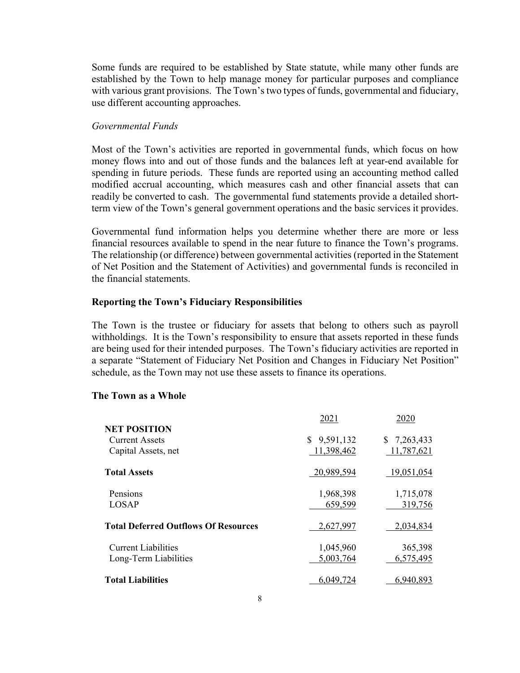Some funds are required to be established by State statute, while many other funds are established by the Town to help manage money for particular purposes and compliance with various grant provisions. The Town's two types of funds, governmental and fiduciary, use different accounting approaches.

#### *Governmental Funds*

Most of the Town's activities are reported in governmental funds, which focus on how money flows into and out of those funds and the balances left at year-end available for spending in future periods. These funds are reported using an accounting method called modified accrual accounting, which measures cash and other financial assets that can readily be converted to cash. The governmental fund statements provide a detailed shortterm view of the Town's general government operations and the basic services it provides.

Governmental fund information helps you determine whether there are more or less financial resources available to spend in the near future to finance the Town's programs. The relationship (or difference) between governmental activities (reported in the Statement of Net Position and the Statement of Activities) and governmental funds is reconciled in the financial statements.

#### **Reporting the Town's Fiduciary Responsibilities**

The Town is the trustee or fiduciary for assets that belong to others such as payroll withholdings. It is the Town's responsibility to ensure that assets reported in these funds are being used for their intended purposes. The Town's fiduciary activities are reported in a separate "Statement of Fiduciary Net Position and Changes in Fiduciary Net Position" schedule, as the Town may not use these assets to finance its operations.

#### **The Town as a Whole**

|                                             | 2021            | 2020        |
|---------------------------------------------|-----------------|-------------|
| <b>NET POSITION</b>                         |                 |             |
| <b>Current Assets</b>                       | 9,591,132<br>S. | \$7,263,433 |
| Capital Assets, net                         | 11,398,462      | 11,787,621  |
| <b>Total Assets</b>                         | 20,989,594      | 19,051,054  |
| Pensions                                    | 1,968,398       | 1,715,078   |
| LOSAP                                       | 659,599         | 319,756     |
| <b>Total Deferred Outflows Of Resources</b> | 2,627,997       | 2,034,834   |
| <b>Current Liabilities</b>                  | 1,045,960       | 365,398     |
| Long-Term Liabilities                       | 5,003,764       | 6,575,495   |
| <b>Total Liabilities</b>                    | 6,049,724       | 6,940,893   |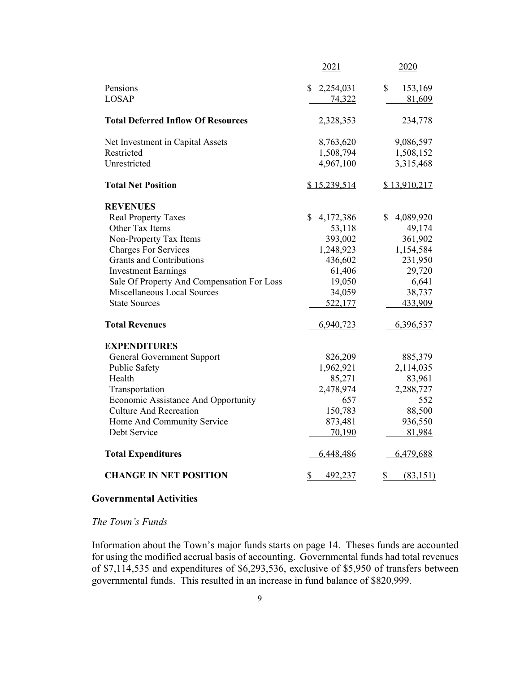|                                            | 2021                     | 2020            |
|--------------------------------------------|--------------------------|-----------------|
| Pensions                                   | 2,254,031<br>S           | \$<br>153,169   |
| <b>LOSAP</b>                               | 74,322                   | 81,609          |
| <b>Total Deferred Inflow Of Resources</b>  | 2,328,353                | 234,778         |
| Net Investment in Capital Assets           | 8,763,620                | 9,086,597       |
| Restricted                                 | 1,508,794                | 1,508,152       |
| Unrestricted                               | 4,967,100                | 3,315,468       |
| <b>Total Net Position</b>                  | \$15,239,514             | \$13,910,217    |
| <b>REVENUES</b>                            |                          |                 |
| <b>Real Property Taxes</b>                 | \$<br>4,172,386          | \$<br>4,089,920 |
| Other Tax Items                            | 53,118                   | 49,174          |
| Non-Property Tax Items                     | 393,002                  | 361,902         |
| <b>Charges For Services</b>                | 1,248,923                | 1,154,584       |
| <b>Grants and Contributions</b>            | 436,602                  | 231,950         |
| <b>Investment Earnings</b>                 | 61,406                   | 29,720          |
| Sale Of Property And Compensation For Loss | 19,050                   | 6,641           |
| Miscellaneous Local Sources                | 34,059                   | 38,737          |
| <b>State Sources</b>                       | 522,177                  | 433,909         |
| <b>Total Revenues</b>                      | 6,940,723                | 6,396,537       |
| <b>EXPENDITURES</b>                        |                          |                 |
| <b>General Government Support</b>          | 826,209                  | 885,379         |
| Public Safety                              | 1,962,921                | 2,114,035       |
| Health                                     | 85,271                   | 83,961          |
| Transportation                             | 2,478,974                | 2,288,727       |
| Economic Assistance And Opportunity        | 657                      | 552             |
| <b>Culture And Recreation</b>              | 150,783                  | 88,500          |
| Home And Community Service                 | 873,481                  | 936,550         |
| Debt Service                               | 70,190                   | 81,984          |
| <b>Total Expenditures</b>                  | 6,448,486                | 6,479,688       |
| <b>CHANGE IN NET POSITION</b>              | 492,237<br>$\mathcal{S}$ | (83, 151)<br>\$ |

#### **Governmental Activities**

#### *The Town's Funds*

Information about the Town's major funds starts on page 14. Theses funds are accounted for using the modified accrual basis of accounting. Governmental funds had total revenues of \$7,114,535 and expenditures of \$6,293,536, exclusive of \$5,950 of transfers between governmental funds. This resulted in an increase in fund balance of \$820,999.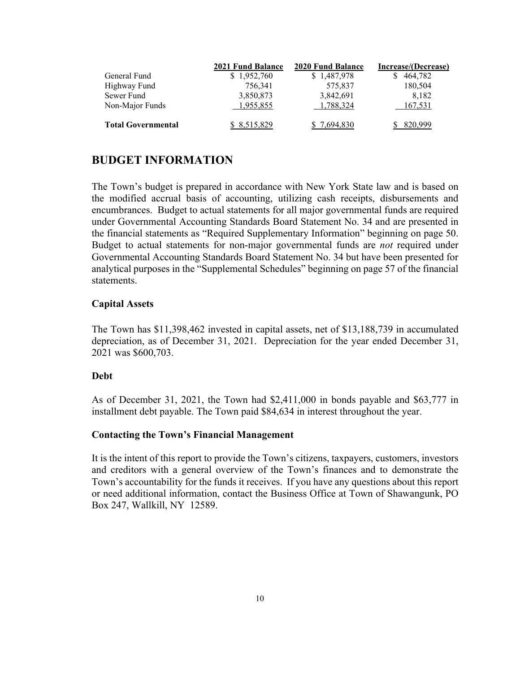|                           | 2021 Fund Balance | 2020 Fund Balance | Increase/(Decrease) |  |  |
|---------------------------|-------------------|-------------------|---------------------|--|--|
| General Fund              | \$1,952,760       | \$1,487,978       | 464,782             |  |  |
| Highway Fund              | 756.341           | 575.837           | 180,504             |  |  |
| Sewer Fund                | 3,850,873         | 3,842,691         | 8.182               |  |  |
| Non-Major Funds           | 1,955,855         | 1,788,324         | 167,531             |  |  |
| <b>Total Governmental</b> | \$8,515,829       | \$7.694,830       | 820,999             |  |  |

## **BUDGET INFORMATION**

The Town's budget is prepared in accordance with New York State law and is based on the modified accrual basis of accounting, utilizing cash receipts, disbursements and encumbrances. Budget to actual statements for all major governmental funds are required under Governmental Accounting Standards Board Statement No. 34 and are presented in the financial statements as "Required Supplementary Information" beginning on page 50. Budget to actual statements for non-major governmental funds are *not* required under Governmental Accounting Standards Board Statement No. 34 but have been presented for analytical purposes in the "Supplemental Schedules" beginning on page 57 of the financial statements.

#### **Capital Assets**

The Town has \$11,398,462 invested in capital assets, net of \$13,188,739 in accumulated depreciation, as of December 31, 2021. Depreciation for the year ended December 31, 2021 was \$600,703.

#### **Debt**

As of December 31, 2021, the Town had \$2,411,000 in bonds payable and \$63,777 in installment debt payable. The Town paid \$84,634 in interest throughout the year.

#### **Contacting the Town's Financial Management**

It is the intent of this report to provide the Town's citizens, taxpayers, customers, investors and creditors with a general overview of the Town's finances and to demonstrate the Town's accountability for the funds it receives. If you have any questions about this report or need additional information, contact the Business Office at Town of Shawangunk, PO Box 247, Wallkill, NY 12589.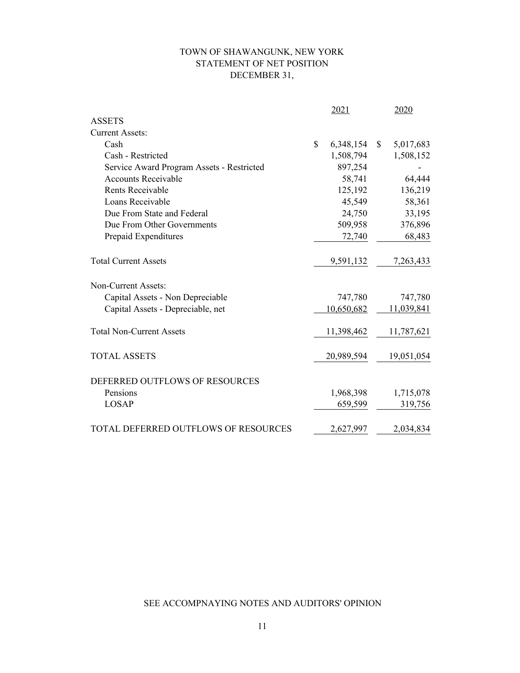## TOWN OF SHAWANGUNK, NEW YORK STATEMENT OF NET POSITION DECEMBER 31,

|                                           | 2021            | 2020            |
|-------------------------------------------|-----------------|-----------------|
| <b>ASSETS</b>                             |                 |                 |
| <b>Current Assets:</b>                    |                 |                 |
| Cash                                      | \$<br>6,348,154 | \$<br>5,017,683 |
| Cash - Restricted                         | 1,508,794       | 1,508,152       |
| Service Award Program Assets - Restricted | 897,254         |                 |
| <b>Accounts Receivable</b>                | 58,741          | 64,444          |
| <b>Rents Receivable</b>                   | 125,192         | 136,219         |
| Loans Receivable                          | 45,549          | 58,361          |
| Due From State and Federal                | 24,750          | 33,195          |
| Due From Other Governments                | 509,958         | 376,896         |
| Prepaid Expenditures                      | 72,740          | 68,483          |
| <b>Total Current Assets</b>               | 9,591,132       | 7,263,433       |
| Non-Current Assets:                       |                 |                 |
| Capital Assets - Non Depreciable          | 747,780         | 747,780         |
| Capital Assets - Depreciable, net         | 10,650,682      | 11,039,841      |
| <b>Total Non-Current Assets</b>           | 11,398,462      | 11,787,621      |
| <b>TOTAL ASSETS</b>                       | 20,989,594      | 19,051,054      |
| DEFERRED OUTFLOWS OF RESOURCES            |                 |                 |
| Pensions                                  | 1,968,398       | 1,715,078       |
| <b>LOSAP</b>                              | 659,599         | 319,756         |
| TOTAL DEFERRED OUTFLOWS OF RESOURCES      | 2,627,997       | 2,034,834       |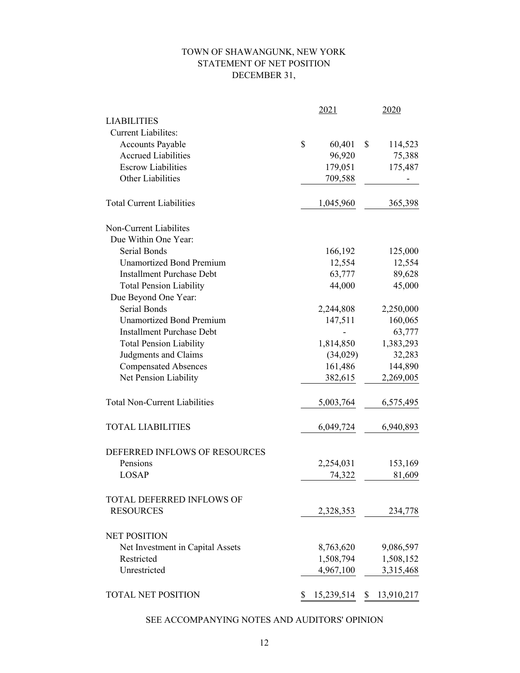## TOWN OF SHAWANGUNK, NEW YORK STATEMENT OF NET POSITION DECEMBER 31,

|                                      |    | 2021       | 2020            |
|--------------------------------------|----|------------|-----------------|
| <b>LIABILITIES</b>                   |    |            |                 |
| <b>Current Liabilites:</b>           |    |            |                 |
| <b>Accounts Payable</b>              | \$ | 60,401     | \$<br>114,523   |
| <b>Accrued Liabilities</b>           |    | 96,920     | 75,388          |
| <b>Escrow Liabilities</b>            |    | 179,051    | 175,487         |
| Other Liabilities                    |    | 709,588    |                 |
| <b>Total Current Liabilities</b>     |    | 1,045,960  | 365,398         |
| Non-Current Liabilites               |    |            |                 |
| Due Within One Year:                 |    |            |                 |
| Serial Bonds                         |    | 166,192    | 125,000         |
| <b>Unamortized Bond Premium</b>      |    | 12,554     | 12,554          |
| <b>Installment Purchase Debt</b>     |    | 63,777     | 89,628          |
| <b>Total Pension Liability</b>       |    | 44,000     | 45,000          |
| Due Beyond One Year:                 |    |            |                 |
| <b>Serial Bonds</b>                  |    | 2,244,808  | 2,250,000       |
| <b>Unamortized Bond Premium</b>      |    | 147,511    | 160,065         |
| <b>Installment Purchase Debt</b>     |    |            | 63,777          |
| <b>Total Pension Liability</b>       |    | 1,814,850  | 1,383,293       |
| Judgments and Claims                 |    | (34,029)   | 32,283          |
| <b>Compensated Absences</b>          |    | 161,486    | 144,890         |
| Net Pension Liability                |    | 382,615    | 2,269,005       |
| <b>Total Non-Current Liabilities</b> |    | 5,003,764  | 6,575,495       |
| <b>TOTAL LIABILITIES</b>             |    | 6,049,724  | 6,940,893       |
| DEFERRED INFLOWS OF RESOURCES        |    |            |                 |
| Pensions                             |    | 2,254,031  | 153,169         |
| <b>LOSAP</b>                         |    | 74,322     | 81,609          |
| <b>TOTAL DEFERRED INFLOWS OF</b>     |    |            |                 |
| <b>RESOURCES</b>                     |    | 2,328,353  | 234,778         |
| <b>NET POSITION</b>                  |    |            |                 |
| Net Investment in Capital Assets     |    | 8,763,620  | 9,086,597       |
| Restricted                           |    | 1,508,794  | 1,508,152       |
| Unrestricted                         |    | 4,967,100  | 3,315,468       |
| <b>TOTAL NET POSITION</b>            | S  | 15,239,514 | S<br>13,910,217 |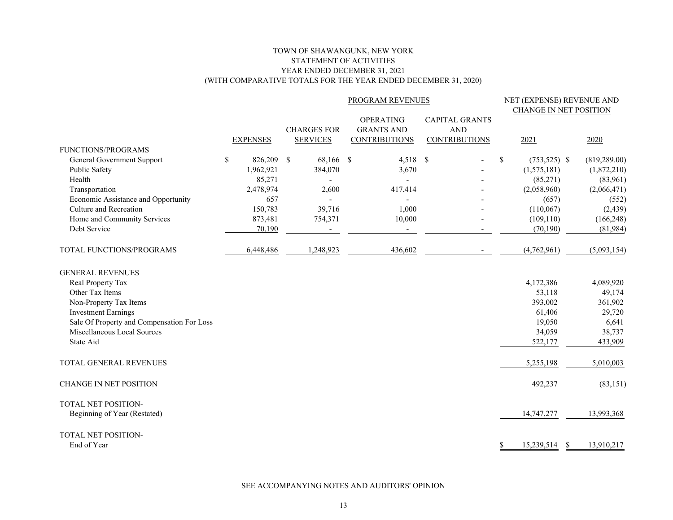#### TOWN OF SHAWANGUNK, NEW YORK STATEMENT OF ACTIVITIES YEAR ENDED DECEMBER 31, 2021 (WITH COMPARATIVE TOTALS FOR THE YEAR ENDED DECEMBER 31, 2020)

|                                            |    |                 |  |                                       | PROGRAM REVENUES |                                                               |  |                                                             | NET (EXPENSE) REVENUE AND<br><b>CHANGE IN NET POSITION</b> |                  |               |
|--------------------------------------------|----|-----------------|--|---------------------------------------|------------------|---------------------------------------------------------------|--|-------------------------------------------------------------|------------------------------------------------------------|------------------|---------------|
|                                            |    | <b>EXPENSES</b> |  | <b>CHARGES FOR</b><br><b>SERVICES</b> |                  | <b>OPERATING</b><br><b>GRANTS AND</b><br><b>CONTRIBUTIONS</b> |  | <b>CAPITAL GRANTS</b><br><b>AND</b><br><b>CONTRIBUTIONS</b> |                                                            | 2021             | 2020          |
| <b>FUNCTIONS/PROGRAMS</b>                  |    |                 |  |                                       |                  |                                                               |  |                                                             |                                                            |                  |               |
| General Government Support                 | \$ | 826,209 \$      |  | 68,166 \$                             |                  | 4,518 \$                                                      |  |                                                             | \$                                                         | $(753, 525)$ \$  | (819, 289.00) |
| Public Safety                              |    | 1,962,921       |  | 384,070                               |                  | 3,670                                                         |  |                                                             |                                                            | (1,575,181)      | (1,872,210)   |
| Health                                     |    | 85,271          |  |                                       |                  |                                                               |  |                                                             |                                                            | (85,271)         | (83,961)      |
| Transportation                             |    | 2,478,974       |  | 2,600                                 |                  | 417,414                                                       |  |                                                             |                                                            | (2,058,960)      | (2,066,471)   |
| Economic Assistance and Opportunity        |    | 657             |  |                                       |                  |                                                               |  |                                                             |                                                            | (657)            | (552)         |
| Culture and Recreation                     |    | 150,783         |  | 39,716                                |                  | 1,000                                                         |  |                                                             |                                                            | (110,067)        | (2, 439)      |
| Home and Community Services                |    | 873,481         |  | 754,371                               |                  | 10,000                                                        |  |                                                             |                                                            | (109, 110)       | (166, 248)    |
| Debt Service                               |    | 70,190          |  |                                       |                  | $\overline{\phantom{a}}$                                      |  |                                                             |                                                            | (70, 190)        | (81,984)      |
| TOTAL FUNCTIONS/PROGRAMS                   |    | 6,448,486       |  | 1,248,923                             |                  | 436,602                                                       |  |                                                             |                                                            | (4,762,961)      | (5,093,154)   |
| <b>GENERAL REVENUES</b>                    |    |                 |  |                                       |                  |                                                               |  |                                                             |                                                            |                  |               |
| Real Property Tax                          |    |                 |  |                                       |                  |                                                               |  |                                                             |                                                            | 4,172,386        | 4,089,920     |
| Other Tax Items                            |    |                 |  |                                       |                  |                                                               |  |                                                             |                                                            | 53,118           | 49,174        |
| Non-Property Tax Items                     |    |                 |  |                                       |                  |                                                               |  |                                                             |                                                            | 393,002          | 361,902       |
| <b>Investment Earnings</b>                 |    |                 |  |                                       |                  |                                                               |  |                                                             |                                                            | 61,406           | 29,720        |
| Sale Of Property and Compensation For Loss |    |                 |  |                                       |                  |                                                               |  |                                                             |                                                            | 19,050           | 6,641         |
| Miscellaneous Local Sources                |    |                 |  |                                       |                  |                                                               |  |                                                             |                                                            | 34,059           | 38,737        |
| State Aid                                  |    |                 |  |                                       |                  |                                                               |  |                                                             |                                                            | 522,177          | 433,909       |
| TOTAL GENERAL REVENUES                     |    |                 |  |                                       |                  |                                                               |  |                                                             |                                                            | 5,255,198        | 5,010,003     |
| <b>CHANGE IN NET POSITION</b>              |    |                 |  |                                       |                  |                                                               |  |                                                             |                                                            | 492,237          | (83, 151)     |
| <b>TOTAL NET POSITION-</b>                 |    |                 |  |                                       |                  |                                                               |  |                                                             |                                                            |                  |               |
| Beginning of Year (Restated)               |    |                 |  |                                       |                  |                                                               |  |                                                             |                                                            | 14,747,277       | 13,993,368    |
| TOTAL NET POSITION-                        |    |                 |  |                                       |                  |                                                               |  |                                                             |                                                            |                  |               |
| End of Year                                |    |                 |  |                                       |                  |                                                               |  |                                                             | S                                                          | 15,239,514<br>-S | 13,910,217    |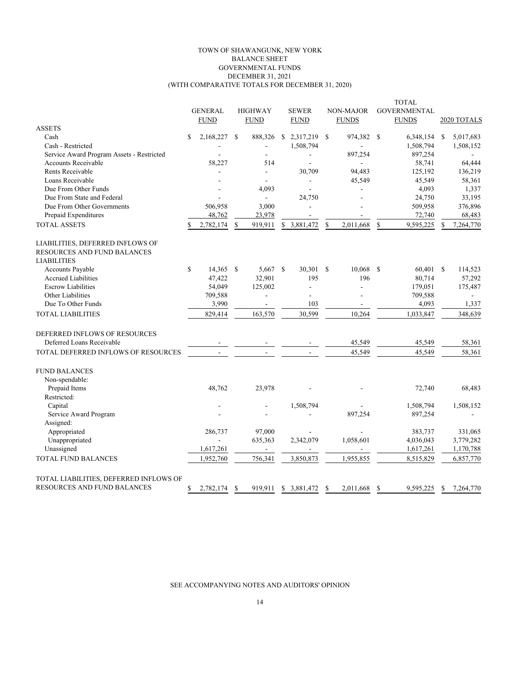#### TOWN OF SHAWANGUNK, NEW YORK BALANCE SHEET GOVERNMENTAL FUNDS DECEMBER 31, 2021 (WITH COMPARATIVE TOTALS FOR DECEMBER 31, 2020)

|                                                                 |    |                |               |                          |               |              |               |              |               | <b>TOTAL</b>        |               |                          |
|-----------------------------------------------------------------|----|----------------|---------------|--------------------------|---------------|--------------|---------------|--------------|---------------|---------------------|---------------|--------------------------|
|                                                                 |    | <b>GENERAL</b> |               | <b>HIGHWAY</b>           |               | <b>SEWER</b> |               | NON-MAJOR    |               | <b>GOVERNMENTAL</b> |               |                          |
|                                                                 |    | <b>FUND</b>    |               | <b>FUND</b>              |               | <b>FUND</b>  |               | <b>FUNDS</b> |               | <b>FUNDS</b>        |               | 2020 TOTALS              |
| <b>ASSETS</b>                                                   |    |                |               |                          |               |              |               |              |               |                     |               |                          |
| Cash                                                            | S  | 2,168,227      | <sup>\$</sup> | 888,326                  |               | \$2,317,219  | <sup>\$</sup> | 974,382      | <sup>\$</sup> | 6,348,154           | \$            | 5,017,683                |
| Cash - Restricted                                               |    |                |               | $\overline{\phantom{a}}$ |               | 1,508,794    |               |              |               | 1,508,794           |               | 1,508,152                |
| Service Award Program Assets - Restricted                       |    |                |               |                          |               | ÷            |               | 897,254      |               | 897,254             |               | $\overline{\phantom{a}}$ |
| Accounts Receivable                                             |    | 58,227         |               | 514                      |               |              |               |              |               | 58,741              |               | 64,444                   |
| Rents Receivable                                                |    |                |               | L.                       |               | 30,709       |               | 94,483       |               | 125,192             |               | 136,219                  |
| Loans Receivable                                                |    |                |               | ÷.                       |               |              |               | 45,549       |               | 45,549              |               | 58,361                   |
| Due From Other Funds                                            |    |                |               | 4,093                    |               |              |               |              |               | 4,093               |               | 1,337                    |
| Due From State and Federal                                      |    |                |               | $\blacksquare$           |               | 24,750       |               |              |               | 24,750              |               | 33,195                   |
| Due From Other Governments                                      |    | 506,958        |               | 3,000                    |               | ÷,           |               |              |               | 509,958             |               | 376,896                  |
| Prepaid Expenditures                                            |    | 48,762         |               | 23,978                   |               | ÷,           |               |              |               | 72,740              |               | 68,483                   |
| <b>TOTAL ASSETS</b>                                             |    | 2,782,174      | S             | 919,911                  | \$            | 3,881,472    | S             | 2,011,668    | \$            | 9,595,225           | S             | 7,264,770                |
| LIABILITIES, DEFERRED INFLOWS OF<br>RESOURCES AND FUND BALANCES |    |                |               |                          |               |              |               |              |               |                     |               |                          |
| <b>LIABILITIES</b>                                              |    |                |               |                          |               |              |               |              |               |                     |               |                          |
| <b>Accounts Payable</b>                                         | \$ | 14,365         | - S           | 5,667                    | <sup>\$</sup> | 30,301       | - \$          | 10,068       | $\mathbf S$   | 60,401              | <sup>\$</sup> | 114,523                  |
| <b>Accrued Liabilities</b>                                      |    | 47,422         |               | 32,901                   |               | 195          |               | 196          |               | 80,714              |               | 57,292                   |
| <b>Escrow Liabilities</b>                                       |    | 54,049         |               | 125,002                  |               | ä,           |               | ä,           |               | 179,051             |               | 175,487                  |
| Other Liabilities                                               |    | 709,588        |               |                          |               |              |               |              |               | 709,588             |               |                          |
| Due To Other Funds                                              |    | 3,990          |               | $\blacksquare$           |               | 103          |               | ä,           |               | 4,093               |               | 1,337                    |
| <b>TOTAL LIABILITIES</b>                                        |    | 829,414        |               | 163,570                  |               | 30,599       |               | 10.264       |               | 1,033,847           |               | 348,639                  |
| DEFERRED INFLOWS OF RESOURCES                                   |    |                |               |                          |               |              |               |              |               |                     |               |                          |
| Deferred Loans Receivable                                       |    |                |               |                          |               |              |               | 45,549       |               | 45,549              |               | 58,361                   |
| TOTAL DEFERRED INFLOWS OF RESOURCES                             |    |                |               |                          |               |              |               | 45,549       |               | 45,549              |               | 58,361                   |
| <b>FUND BALANCES</b>                                            |    |                |               |                          |               |              |               |              |               |                     |               |                          |
| Non-spendable:                                                  |    |                |               |                          |               |              |               |              |               |                     |               |                          |
| Prepaid Items                                                   |    | 48.762         |               | 23,978                   |               |              |               |              |               | 72,740              |               | 68,483                   |
| Restricted:                                                     |    |                |               |                          |               |              |               |              |               |                     |               |                          |
| Capital                                                         |    |                |               | ÷.                       |               | 1,508,794    |               |              |               | 1,508,794           |               | 1,508,152                |
| Service Award Program                                           |    |                |               |                          |               |              |               | 897,254      |               | 897,254             |               |                          |
| Assigned:                                                       |    |                |               |                          |               |              |               |              |               |                     |               |                          |
| Appropriated                                                    |    | 286,737        |               | 97,000                   |               |              |               |              |               | 383,737             |               | 331,065                  |
| Unappropriated                                                  |    | $\blacksquare$ |               | 635,363                  |               | 2,342,079    |               | 1,058,601    |               | 4,036,043           |               | 3,779,282                |
| Unassigned                                                      |    | 1,617,261      |               | $\overline{a}$           |               | ÷,           |               |              |               | 1,617,261           |               | 1,170,788                |
| <b>TOTAL FUND BALANCES</b>                                      |    | 1,952,760      |               | 756,341                  |               | 3,850,873    |               | 1,955,855    |               | 8,515,829           |               | 6,857,770                |
| TOTAL LIABILITIES, DEFERRED INFLOWS OF                          |    |                |               |                          |               |              |               |              |               |                     |               |                          |
| RESOURCES AND FUND BALANCES                                     | \$ | 2,782,174      | \$            | 919,911                  | \$.           | 3,881,472    | S             | 2,011,668    | \$            | 9,595,225           | S             | 7,264,770                |
|                                                                 |    |                |               |                          |               |              |               |              |               |                     |               |                          |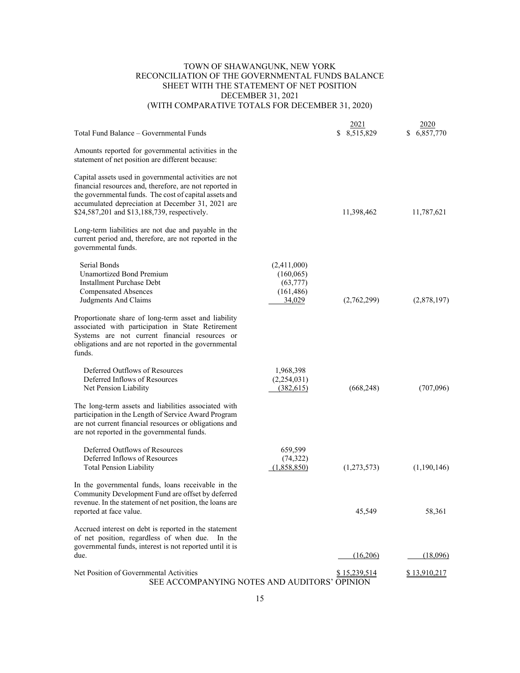#### TOWN OF SHAWANGUNK, NEW YORK RECONCILIATION OF THE GOVERNMENTAL FUNDS BALANCE SHEET WITH THE STATEMENT OF NET POSITION DECEMBER 31, 2021 (WITH COMPARATIVE TOTALS FOR DECEMBER 31, 2020)

#### $\frac{2021}{2020}$ Total Fund Balance – Governmental Funds \$ 8,515,829 \$ 6,857,770 Amounts reported for governmental activities in the statement of net position are different because: Capital assets used in governmental activities are not financial resources and, therefore, are not reported in the governmental funds. The cost of capital assets and accumulated depreciation at December 31, 2021 are \$24,587,201 and \$13,188,739, respectively. 11,398,462 11,787,621 Long-term liabilities are not due and payable in the current period and, therefore, are not reported in the governmental funds. Serial Bonds (2.411,000) Unamortized Bond Premium (160,065) Installment Purchase Debt (63,777) Compensated Absences (161,486) Judgments And Claims 34,029 (2,762,299) (2,878,197) Proportionate share of long-term asset and liability associated with participation in State Retirement Systems are not current financial resources or obligations and are not reported in the governmental funds. Deferred Outflows of Resources 1,968,398 Deferred Inflows of Resources (2,254,031) Net Pension Liability (382,615) (668,248) (707,096) The long-term assets and liabilities associated with participation in the Length of Service Award Program are not current financial resources or obligations and are not reported in the governmental funds. Deferred Outflows of Resources 659,599 Deferred Inflows of Resources (74,322) Total Pension Liability (1,858,850) (1,273,573) (1,190,146) In the governmental funds, loans receivable in the Community Development Fund are offset by deferred revenue. In the statement of net position, the loans are reported at face value. 45,549 58,361 Accrued interest on debt is reported in the statement of net position, regardless of when due. In the governmental funds, interest is not reported until it is due.  $(16,206)$   $(18,096)$ Net Position of Governmental Activities  $$15,239,514$   $$13,910,217$ SEE ACCOMPANYING NOTES AND AUDITORS' OPINION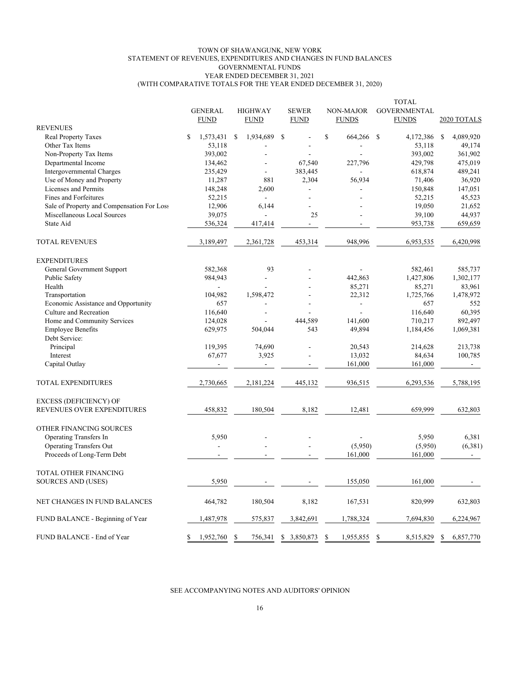#### TOWN OF SHAWANGUNK, NEW YORK STATEMENT OF REVENUES, EXPENDITURES AND CHANGES IN FUND BALANCES GOVERNMENTAL FUNDS YEAR ENDED DECEMBER 31, 2021 (WITH COMPARATIVE TOTALS FOR THE YEAR ENDED DECEMBER 31, 2020)

|                                            |   | <b>GENERAL</b><br><b>FUND</b> |    | <b>HIGHWAY</b><br><b>FUND</b> | <b>SEWER</b><br><b>FUND</b> | NON-MAJOR<br><b>FUNDS</b> |           | <b>TOTAL</b><br><b>GOVERNMENTAL</b><br><b>FUNDS</b> |               | 2020 TOTALS    |
|--------------------------------------------|---|-------------------------------|----|-------------------------------|-----------------------------|---------------------------|-----------|-----------------------------------------------------|---------------|----------------|
| <b>REVENUES</b>                            |   |                               |    |                               |                             |                           |           |                                                     |               |                |
| Real Property Taxes                        | S | 1,573,431                     | -S | 1,934,689                     | \$                          | \$                        | 664,266   | <sup>\$</sup><br>4,172,386                          | <sup>\$</sup> | 4,089,920      |
| Other Tax Items                            |   | 53,118                        |    |                               |                             |                           |           | 53,118                                              |               | 49,174         |
| Non-Property Tax Items                     |   | 393,002                       |    |                               |                             |                           |           | 393,002                                             |               | 361,902        |
| Departmental Income                        |   | 134,462                       |    |                               | 67,540                      |                           | 227,796   | 429,798                                             |               | 475,019        |
| Intergovernmental Charges                  |   | 235,429                       |    |                               | 383,445                     |                           |           | 618,874                                             |               | 489,241        |
| Use of Money and Property                  |   | 11,287                        |    | 881                           | 2,304                       |                           | 56,934    | 71,406                                              |               | 36,920         |
| Licenses and Permits                       |   | 148,248                       |    | 2,600                         |                             |                           |           | 150,848                                             |               | 147,051        |
| Fines and Forfeitures                      |   | 52,215                        |    | $\sim$                        |                             |                           |           | 52,215                                              |               | 45,523         |
| Sale of Property and Compensation For Loss |   | 12,906                        |    | 6,144                         |                             |                           |           | 19,050                                              |               | 21,652         |
| Miscellaneous Local Sources                |   | 39,075                        |    |                               | 25                          |                           |           | 39,100                                              |               | 44,937         |
| State Aid                                  |   | 536,324                       |    | 417,414                       | $\mathbf{r}$                |                           |           | 953,738                                             |               | 659,659        |
| <b>TOTAL REVENUES</b>                      |   | 3,189,497                     |    | 2,361,728                     | 453,314                     |                           | 948,996   | 6,953,535                                           |               | 6,420,998      |
| <b>EXPENDITURES</b>                        |   |                               |    |                               |                             |                           |           |                                                     |               |                |
| General Government Support                 |   | 582,368                       |    | 93                            |                             |                           |           | 582,461                                             |               | 585,737        |
| Public Safety                              |   | 984,943                       |    |                               |                             |                           | 442,863   | 1,427,806                                           |               | 1,302,177      |
| Health                                     |   |                               |    |                               |                             |                           | 85,271    | 85,271                                              |               | 83,961         |
| Transportation                             |   | 104,982                       |    | 1,598,472                     |                             |                           | 22,312    | 1,725,766                                           |               | 1,478,972      |
| Economic Assistance and Opportunity        |   | 657                           |    |                               |                             |                           |           | 657                                                 |               | 552            |
| Culture and Recreation                     |   | 116,640                       |    |                               |                             |                           |           | 116,640                                             |               | 60,395         |
| Home and Community Services                |   | 124,028                       |    |                               | 444,589                     |                           | 141,600   | 710,217                                             |               | 892,497        |
| <b>Employee Benefits</b>                   |   | 629,975                       |    | 504,044                       | 543                         |                           | 49,894    | 1,184,456                                           |               | 1,069,381      |
| Debt Service:                              |   |                               |    |                               |                             |                           |           |                                                     |               |                |
| Principal                                  |   | 119,395                       |    | 74,690                        |                             |                           | 20,543    | 214,628                                             |               | 213,738        |
| Interest                                   |   | 67,677                        |    | 3,925                         |                             |                           | 13,032    | 84,634                                              |               | 100,785        |
| Capital Outlay                             |   |                               |    | $\overline{\phantom{a}}$      |                             |                           | 161,000   | 161,000                                             |               | $\sim$         |
| TOTAL EXPENDITURES                         |   | 2,730,665                     |    | 2,181,224                     | 445,132                     |                           | 936,515   | 6,293,536                                           |               | 5,788,195      |
| <b>EXCESS (DEFICIENCY) OF</b>              |   |                               |    |                               |                             |                           |           |                                                     |               |                |
| REVENUES OVER EXPENDITURES                 |   | 458,832                       |    | 180,504                       | 8,182                       |                           | 12,481    | 659,999                                             |               | 632,803        |
| OTHER FINANCING SOURCES                    |   |                               |    |                               |                             |                           |           |                                                     |               |                |
| Operating Transfers In                     |   | 5,950                         |    |                               |                             |                           |           | 5,950                                               |               | 6,381          |
| <b>Operating Transfers Out</b>             |   | ÷.                            |    |                               |                             |                           | (5,950)   | (5,950)                                             |               | (6,381)        |
| Proceeds of Long-Term Debt                 |   | $\blacksquare$                |    |                               |                             |                           | 161,000   | 161,000                                             |               | $\blacksquare$ |
| TOTAL OTHER FINANCING                      |   |                               |    |                               |                             |                           |           |                                                     |               |                |
| SOURCES AND (USES)                         |   | 5,950                         |    |                               |                             |                           | 155,050   | 161,000                                             |               |                |
| NET CHANGES IN FUND BALANCES               |   | 464,782                       |    | 180,504                       | 8,182                       |                           | 167,531   | 820,999                                             |               | 632,803        |
| FUND BALANCE - Beginning of Year           |   | 1,487,978                     |    | 575,837                       | 3,842,691                   |                           | 1,788,324 | 7,694,830                                           |               | 6,224,967      |
| FUND BALANCE - End of Year                 | S | 1,952,760                     | -S | 756,341                       | \$ 3,850,873                | \$                        | 1,955,855 | 8,515,829<br>\$                                     | \$            | 6,857,770      |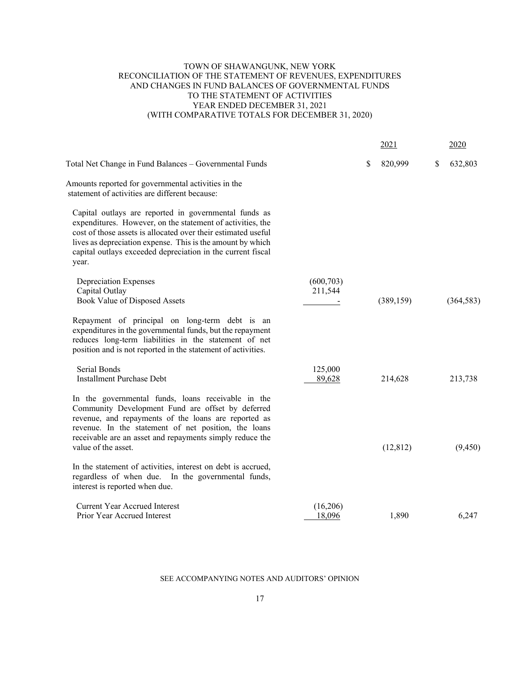#### TOWN OF SHAWANGUNK, NEW YORK RECONCILIATION OF THE STATEMENT OF REVENUES, EXPENDITURES AND CHANGES IN FUND BALANCES OF GOVERNMENTAL FUNDS TO THE STATEMENT OF ACTIVITIES YEAR ENDED DECEMBER 31, 2021 (WITH COMPARATIVE TOTALS FOR DECEMBER 31, 2020)

|                                                                                                                                                                                                                                                                                                                            |                       | 2021          | 2020          |
|----------------------------------------------------------------------------------------------------------------------------------------------------------------------------------------------------------------------------------------------------------------------------------------------------------------------------|-----------------------|---------------|---------------|
| Total Net Change in Fund Balances - Governmental Funds                                                                                                                                                                                                                                                                     |                       | \$<br>820,999 | \$<br>632,803 |
| Amounts reported for governmental activities in the<br>statement of activities are different because:                                                                                                                                                                                                                      |                       |               |               |
| Capital outlays are reported in governmental funds as<br>expenditures. However, on the statement of activities, the<br>cost of those assets is allocated over their estimated useful<br>lives as depreciation expense. This is the amount by which<br>capital outlays exceeded depreciation in the current fiscal<br>year. |                       |               |               |
| <b>Depreciation Expenses</b><br>Capital Outlay<br>Book Value of Disposed Assets                                                                                                                                                                                                                                            | (600, 703)<br>211,544 | (389, 159)    | (364, 583)    |
| Repayment of principal on long-term debt is an<br>expenditures in the governmental funds, but the repayment<br>reduces long-term liabilities in the statement of net<br>position and is not reported in the statement of activities.                                                                                       |                       |               |               |
| Serial Bonds<br><b>Installment Purchase Debt</b>                                                                                                                                                                                                                                                                           | 125,000<br>89,628     | 214,628       | 213,738       |
| In the governmental funds, loans receivable in the<br>Community Development Fund are offset by deferred<br>revenue, and repayments of the loans are reported as<br>revenue. In the statement of net position, the loans<br>receivable are an asset and repayments simply reduce the<br>value of the asset.                 |                       | (12, 812)     | (9, 450)      |
| In the statement of activities, interest on debt is accrued,<br>regardless of when due. In the governmental funds,<br>interest is reported when due.                                                                                                                                                                       |                       |               |               |
| <b>Current Year Accrued Interest</b><br>Prior Year Accrued Interest                                                                                                                                                                                                                                                        | (16,206)<br>18,096    | 1,890         | 6,247         |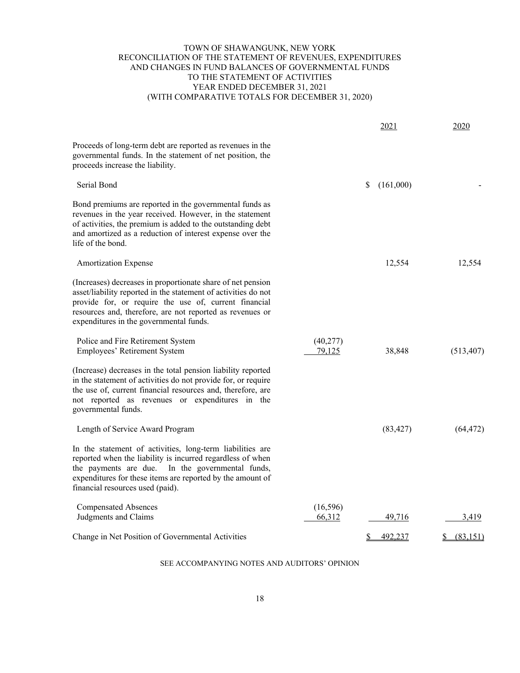#### TOWN OF SHAWANGUNK, NEW YORK RECONCILIATION OF THE STATEMENT OF REVENUES, EXPENDITURES AND CHANGES IN FUND BALANCES OF GOVERNMENTAL FUNDS TO THE STATEMENT OF ACTIVITIES YEAR ENDED DECEMBER 31, 2021 (WITH COMPARATIVE TOTALS FOR DECEMBER 31, 2020)

|                                                                                                                                                                                                                                                                                                |                     | 2021           | 2020       |
|------------------------------------------------------------------------------------------------------------------------------------------------------------------------------------------------------------------------------------------------------------------------------------------------|---------------------|----------------|------------|
| Proceeds of long-term debt are reported as revenues in the<br>governmental funds. In the statement of net position, the<br>proceeds increase the liability.                                                                                                                                    |                     |                |            |
| Serial Bond                                                                                                                                                                                                                                                                                    |                     | (161,000)<br>S |            |
| Bond premiums are reported in the governmental funds as<br>revenues in the year received. However, in the statement<br>of activities, the premium is added to the outstanding debt<br>and amortized as a reduction of interest expense over the<br>life of the bond.                           |                     |                |            |
| <b>Amortization Expense</b>                                                                                                                                                                                                                                                                    |                     | 12,554         | 12,554     |
| (Increases) decreases in proportionate share of net pension<br>asset/liability reported in the statement of activities do not<br>provide for, or require the use of, current financial<br>resources and, therefore, are not reported as revenues or<br>expenditures in the governmental funds. |                     |                |            |
| Police and Fire Retirement System<br>Employees' Retirement System                                                                                                                                                                                                                              | (40,277)<br>79,125  | 38,848         | (513, 407) |
| (Increase) decreases in the total pension liability reported<br>in the statement of activities do not provide for, or require<br>the use of, current financial resources and, therefore, are<br>not reported as revenues or expenditures in the<br>governmental funds.                         |                     |                |            |
| Length of Service Award Program                                                                                                                                                                                                                                                                |                     | (83, 427)      | (64, 472)  |
| In the statement of activities, long-term liabilities are<br>reported when the liability is incurred regardless of when<br>the payments are due.<br>In the governmental funds,<br>expenditures for these items are reported by the amount of<br>financial resources used (paid).               |                     |                |            |
| <b>Compensated Absences</b><br>Judgments and Claims                                                                                                                                                                                                                                            | (16, 596)<br>66,312 | 49,716         | 3,419      |
| Change in Net Position of Governmental Activities                                                                                                                                                                                                                                              |                     | 492,237        | (83,151)   |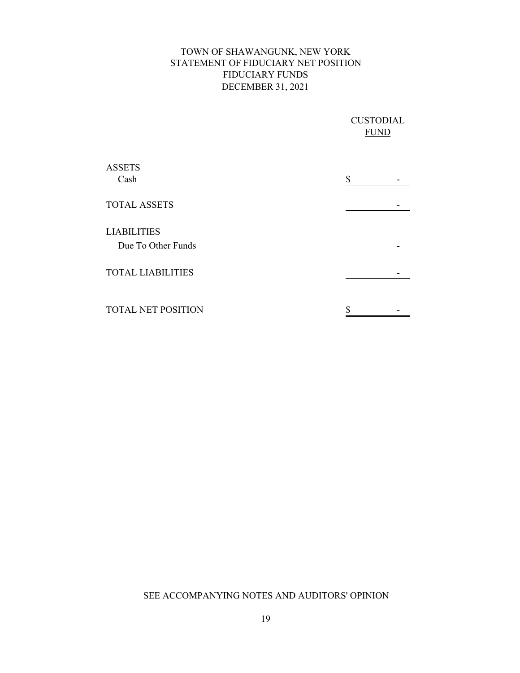## TOWN OF SHAWANGUNK, NEW YORK STATEMENT OF FIDUCIARY NET POSITION FIDUCIARY FUNDS DECEMBER 31, 2021

|                                          | <b>CUSTODIAL</b><br><b>FUND</b> |  |  |
|------------------------------------------|---------------------------------|--|--|
| <b>ASSETS</b><br>Cash                    | \$                              |  |  |
| <b>TOTAL ASSETS</b>                      |                                 |  |  |
| <b>LIABILITIES</b><br>Due To Other Funds |                                 |  |  |
| <b>TOTAL LIABILITIES</b>                 |                                 |  |  |
| <b>TOTAL NET POSITION</b>                |                                 |  |  |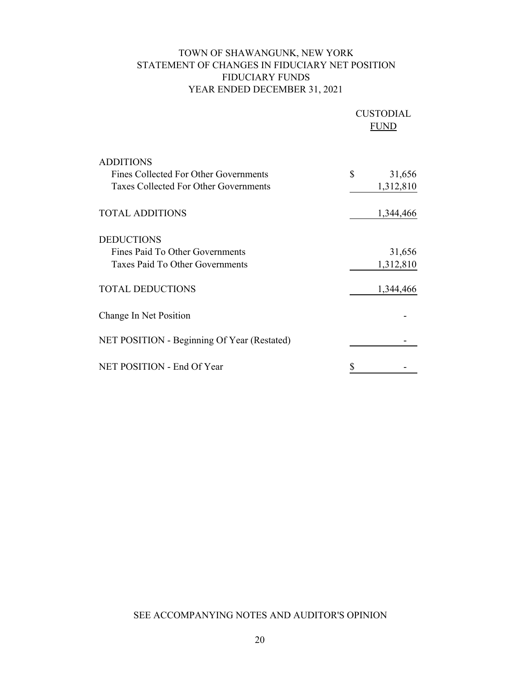## TOWN OF SHAWANGUNK, NEW YORK STATEMENT OF CHANGES IN FIDUCIARY NET POSITION FIDUCIARY FUNDS YEAR ENDED DECEMBER 31, 2021

|                                              | <b>CUSTODIAL</b><br>FUND |           |  |  |
|----------------------------------------------|--------------------------|-----------|--|--|
| <b>ADDITIONS</b>                             |                          |           |  |  |
| Fines Collected For Other Governments        | \$                       | 31,656    |  |  |
| <b>Taxes Collected For Other Governments</b> |                          | 1,312,810 |  |  |
| <b>TOTAL ADDITIONS</b>                       |                          | 1,344,466 |  |  |
| <b>DEDUCTIONS</b>                            |                          |           |  |  |
| Fines Paid To Other Governments              |                          | 31,656    |  |  |
| Taxes Paid To Other Governments              |                          | 1,312,810 |  |  |
| <b>TOTAL DEDUCTIONS</b>                      |                          | 1,344,466 |  |  |
| Change In Net Position                       |                          |           |  |  |
| NET POSITION - Beginning Of Year (Restated)  |                          |           |  |  |
| NET POSITION - End Of Year                   |                          |           |  |  |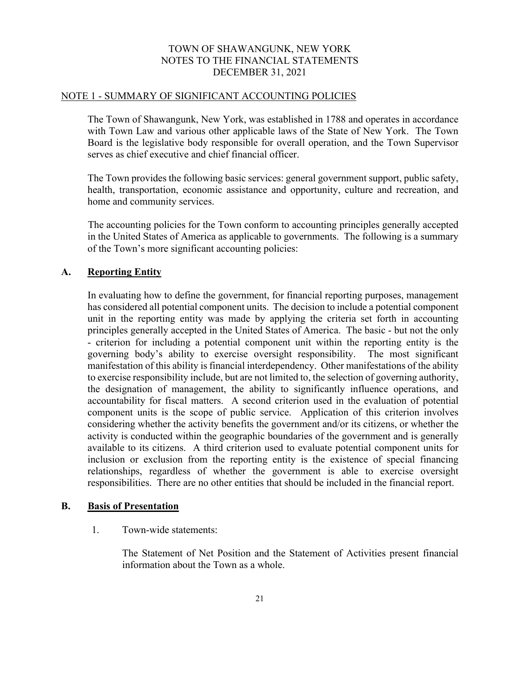#### NOTE 1 - SUMMARY OF SIGNIFICANT ACCOUNTING POLICIES

The Town of Shawangunk, New York, was established in 1788 and operates in accordance with Town Law and various other applicable laws of the State of New York. The Town Board is the legislative body responsible for overall operation, and the Town Supervisor serves as chief executive and chief financial officer.

The Town provides the following basic services: general government support, public safety, health, transportation, economic assistance and opportunity, culture and recreation, and home and community services.

 The accounting policies for the Town conform to accounting principles generally accepted in the United States of America as applicable to governments. The following is a summary of the Town's more significant accounting policies:

#### **A. Reporting Entity**

In evaluating how to define the government, for financial reporting purposes, management has considered all potential component units. The decision to include a potential component unit in the reporting entity was made by applying the criteria set forth in accounting principles generally accepted in the United States of America. The basic - but not the only - criterion for including a potential component unit within the reporting entity is the governing body's ability to exercise oversight responsibility. The most significant manifestation of this ability is financial interdependency. Other manifestations of the ability to exercise responsibility include, but are not limited to, the selection of governing authority, the designation of management, the ability to significantly influence operations, and accountability for fiscal matters. A second criterion used in the evaluation of potential component units is the scope of public service. Application of this criterion involves considering whether the activity benefits the government and/or its citizens, or whether the activity is conducted within the geographic boundaries of the government and is generally available to its citizens. A third criterion used to evaluate potential component units for inclusion or exclusion from the reporting entity is the existence of special financing relationships, regardless of whether the government is able to exercise oversight responsibilities. There are no other entities that should be included in the financial report.

#### **B. Basis of Presentation**

## 1. Town-wide statements:

The Statement of Net Position and the Statement of Activities present financial information about the Town as a whole.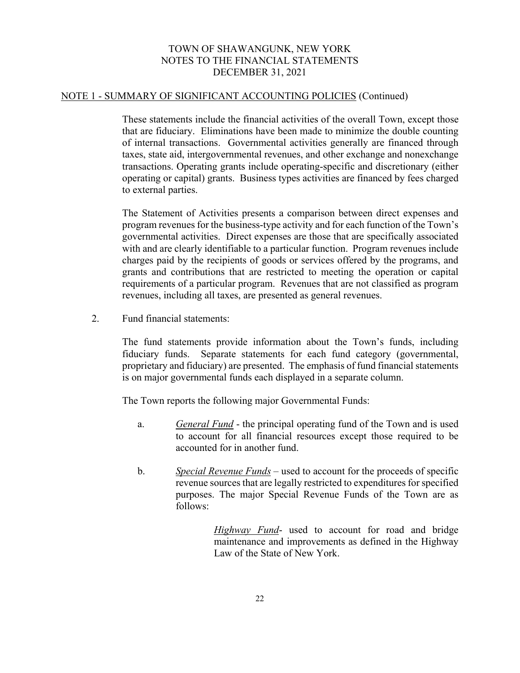#### NOTE 1 - SUMMARY OF SIGNIFICANT ACCOUNTING POLICIES (Continued)

These statements include the financial activities of the overall Town, except those that are fiduciary. Eliminations have been made to minimize the double counting of internal transactions. Governmental activities generally are financed through taxes, state aid, intergovernmental revenues, and other exchange and nonexchange transactions. Operating grants include operating-specific and discretionary (either operating or capital) grants. Business types activities are financed by fees charged to external parties.

The Statement of Activities presents a comparison between direct expenses and program revenues for the business-type activity and for each function of the Town's governmental activities. Direct expenses are those that are specifically associated with and are clearly identifiable to a particular function. Program revenues include charges paid by the recipients of goods or services offered by the programs, and grants and contributions that are restricted to meeting the operation or capital requirements of a particular program. Revenues that are not classified as program revenues, including all taxes, are presented as general revenues.

2. Fund financial statements:

The fund statements provide information about the Town's funds, including fiduciary funds. Separate statements for each fund category (governmental, proprietary and fiduciary) are presented. The emphasis of fund financial statements is on major governmental funds each displayed in a separate column.

The Town reports the following major Governmental Funds:

- a. *General Fund* the principal operating fund of the Town and is used to account for all financial resources except those required to be accounted for in another fund.
- b. *Special Revenue Funds* used to account for the proceeds of specific revenue sources that are legally restricted to expenditures for specified purposes. The major Special Revenue Funds of the Town are as follows:

 *Highway Fund*- used to account for road and bridge maintenance and improvements as defined in the Highway Law of the State of New York.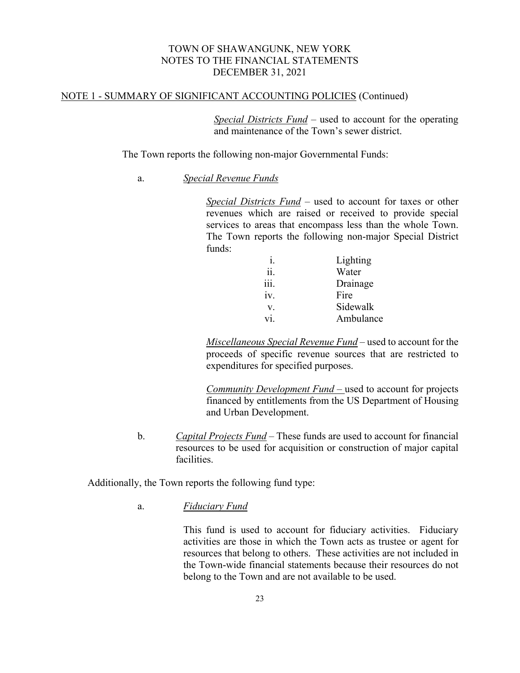## NOTE 1 - SUMMARY OF SIGNIFICANT ACCOUNTING POLICIES (Continued)

*Special Districts Fund* – used to account for the operating and maintenance of the Town's sewer district.

The Town reports the following non-major Governmental Funds:

a. *Special Revenue Funds*

*Special Districts Fund* – used to account for taxes or other revenues which are raised or received to provide special services to areas that encompass less than the whole Town. The Town reports the following non-major Special District funds:

|      | Lighting  |
|------|-----------|
| ii.  | Water     |
| 111. | Drainage  |
| iv.  | Fire      |
| V.   | Sidewalk  |
| vi   | Ambulance |

*Miscellaneous Special Revenue Fund* – used to account for the proceeds of specific revenue sources that are restricted to expenditures for specified purposes.

*Community Development Fund –* used to account for projects financed by entitlements from the US Department of Housing and Urban Development.

 b. *Capital Projects Fund* – These funds are used to account for financial resources to be used for acquisition or construction of major capital facilities.

Additionally, the Town reports the following fund type:

a. *Fiduciary Fund*

This fund is used to account for fiduciary activities. Fiduciary activities are those in which the Town acts as trustee or agent for resources that belong to others. These activities are not included in the Town-wide financial statements because their resources do not belong to the Town and are not available to be used.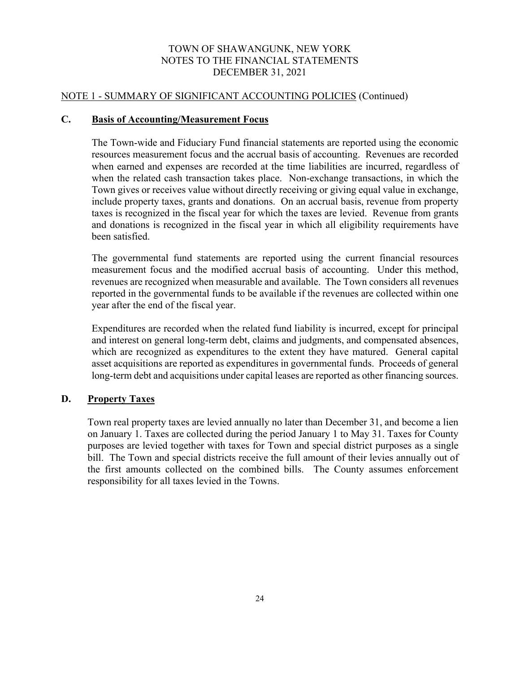## NOTE 1 - SUMMARY OF SIGNIFICANT ACCOUNTING POLICIES (Continued)

#### **C. Basis of Accounting/Measurement Focus**

The Town-wide and Fiduciary Fund financial statements are reported using the economic resources measurement focus and the accrual basis of accounting. Revenues are recorded when earned and expenses are recorded at the time liabilities are incurred, regardless of when the related cash transaction takes place. Non-exchange transactions, in which the Town gives or receives value without directly receiving or giving equal value in exchange, include property taxes, grants and donations. On an accrual basis, revenue from property taxes is recognized in the fiscal year for which the taxes are levied. Revenue from grants and donations is recognized in the fiscal year in which all eligibility requirements have been satisfied.

The governmental fund statements are reported using the current financial resources measurement focus and the modified accrual basis of accounting. Under this method, revenues are recognized when measurable and available. The Town considers all revenues reported in the governmental funds to be available if the revenues are collected within one year after the end of the fiscal year.

Expenditures are recorded when the related fund liability is incurred, except for principal and interest on general long-term debt, claims and judgments, and compensated absences, which are recognized as expenditures to the extent they have matured. General capital asset acquisitions are reported as expenditures in governmental funds. Proceeds of general long-term debt and acquisitions under capital leases are reported as other financing sources.

## **D. Property Taxes**

Town real property taxes are levied annually no later than December 31, and become a lien on January 1. Taxes are collected during the period January 1 to May 31. Taxes for County purposes are levied together with taxes for Town and special district purposes as a single bill. The Town and special districts receive the full amount of their levies annually out of the first amounts collected on the combined bills. The County assumes enforcement responsibility for all taxes levied in the Towns.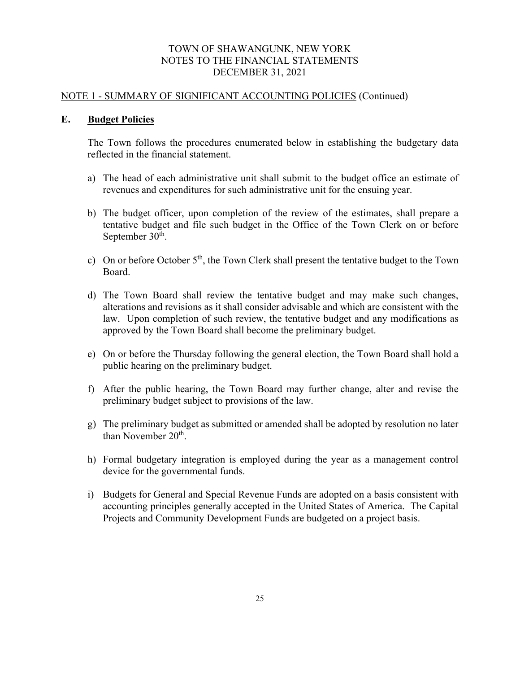#### NOTE 1 - SUMMARY OF SIGNIFICANT ACCOUNTING POLICIES (Continued)

## **E. Budget Policies**

The Town follows the procedures enumerated below in establishing the budgetary data reflected in the financial statement.

- a) The head of each administrative unit shall submit to the budget office an estimate of revenues and expenditures for such administrative unit for the ensuing year.
- b) The budget officer, upon completion of the review of the estimates, shall prepare a tentative budget and file such budget in the Office of the Town Clerk on or before September 30<sup>th</sup>.
- c) On or before October  $5<sup>th</sup>$ , the Town Clerk shall present the tentative budget to the Town Board.
- d) The Town Board shall review the tentative budget and may make such changes, alterations and revisions as it shall consider advisable and which are consistent with the law. Upon completion of such review, the tentative budget and any modifications as approved by the Town Board shall become the preliminary budget.
- e) On or before the Thursday following the general election, the Town Board shall hold a public hearing on the preliminary budget.
- f) After the public hearing, the Town Board may further change, alter and revise the preliminary budget subject to provisions of the law.
- g) The preliminary budget as submitted or amended shall be adopted by resolution no later than November 20<sup>th</sup>.
- h) Formal budgetary integration is employed during the year as a management control device for the governmental funds.
- i) Budgets for General and Special Revenue Funds are adopted on a basis consistent with accounting principles generally accepted in the United States of America. The Capital Projects and Community Development Funds are budgeted on a project basis.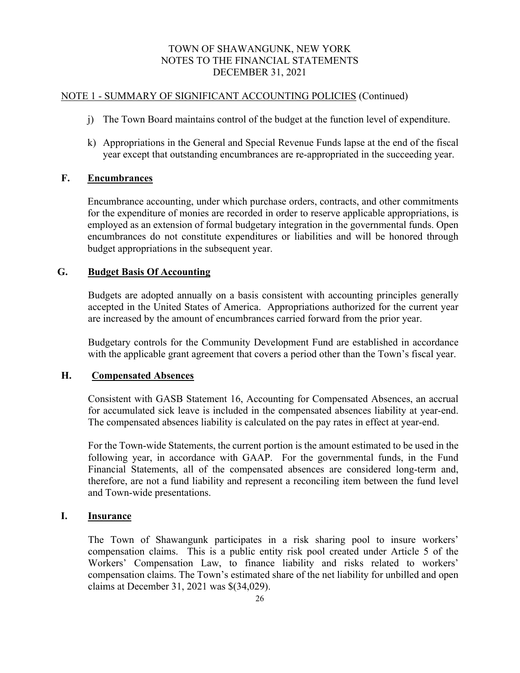## NOTE 1 - SUMMARY OF SIGNIFICANT ACCOUNTING POLICIES (Continued)

- j) The Town Board maintains control of the budget at the function level of expenditure.
- k) Appropriations in the General and Special Revenue Funds lapse at the end of the fiscal year except that outstanding encumbrances are re-appropriated in the succeeding year.

## **F. Encumbrances**

 Encumbrance accounting, under which purchase orders, contracts, and other commitments for the expenditure of monies are recorded in order to reserve applicable appropriations, is employed as an extension of formal budgetary integration in the governmental funds. Open encumbrances do not constitute expenditures or liabilities and will be honored through budget appropriations in the subsequent year.

## **G. Budget Basis Of Accounting**

Budgets are adopted annually on a basis consistent with accounting principles generally accepted in the United States of America. Appropriations authorized for the current year are increased by the amount of encumbrances carried forward from the prior year.

Budgetary controls for the Community Development Fund are established in accordance with the applicable grant agreement that covers a period other than the Town's fiscal year.

## **H. Compensated Absences**

Consistent with GASB Statement 16, Accounting for Compensated Absences, an accrual for accumulated sick leave is included in the compensated absences liability at year-end. The compensated absences liability is calculated on the pay rates in effect at year-end.

For the Town-wide Statements, the current portion is the amount estimated to be used in the following year, in accordance with GAAP. For the governmental funds, in the Fund Financial Statements, all of the compensated absences are considered long-term and, therefore, are not a fund liability and represent a reconciling item between the fund level and Town-wide presentations.

## **I. Insurance**

The Town of Shawangunk participates in a risk sharing pool to insure workers' compensation claims. This is a public entity risk pool created under Article 5 of the Workers' Compensation Law, to finance liability and risks related to workers' compensation claims. The Town's estimated share of the net liability for unbilled and open claims at December 31, 2021 was \$(34,029).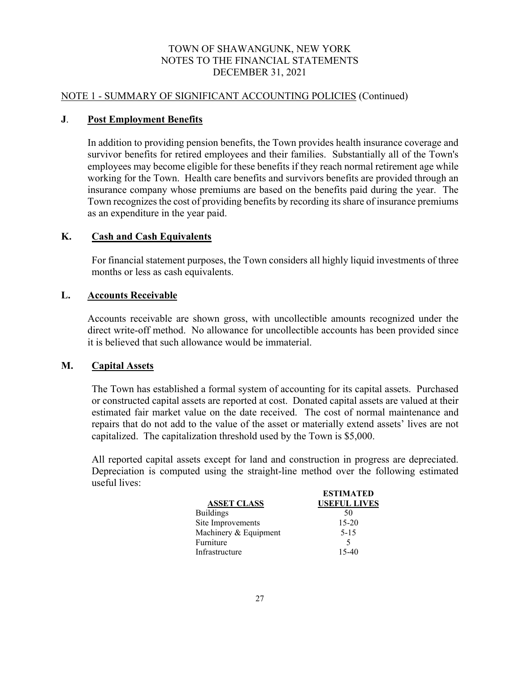#### NOTE 1 - SUMMARY OF SIGNIFICANT ACCOUNTING POLICIES (Continued)

## **J**. **Post Employment Benefits**

In addition to providing pension benefits, the Town provides health insurance coverage and survivor benefits for retired employees and their families. Substantially all of the Town's employees may become eligible for these benefits if they reach normal retirement age while working for the Town. Health care benefits and survivors benefits are provided through an insurance company whose premiums are based on the benefits paid during the year. The Town recognizes the cost of providing benefits by recording its share of insurance premiums as an expenditure in the year paid.

## **K. Cash and Cash Equivalents**

For financial statement purposes, the Town considers all highly liquid investments of three months or less as cash equivalents.

## **L. Accounts Receivable**

Accounts receivable are shown gross, with uncollectible amounts recognized under the direct write-off method. No allowance for uncollectible accounts has been provided since it is believed that such allowance would be immaterial.

## **M. Capital Assets**

The Town has established a formal system of accounting for its capital assets. Purchased or constructed capital assets are reported at cost. Donated capital assets are valued at their estimated fair market value on the date received. The cost of normal maintenance and repairs that do not add to the value of the asset or materially extend assets' lives are not capitalized. The capitalization threshold used by the Town is \$5,000.

All reported capital assets except for land and construction in progress are depreciated. Depreciation is computed using the straight-line method over the following estimated useful lives:

|                       | ES LIMATED          |
|-----------------------|---------------------|
| <b>ASSET CLASS</b>    | <b>USEFUL LIVES</b> |
| <b>Buildings</b>      | 50                  |
| Site Improvements     | $15 - 20$           |
| Machinery & Equipment | $5 - 15$            |
| Furniture             | 5                   |
| Infrastructure        | 15-40               |
|                       |                     |

**ESTIMATED**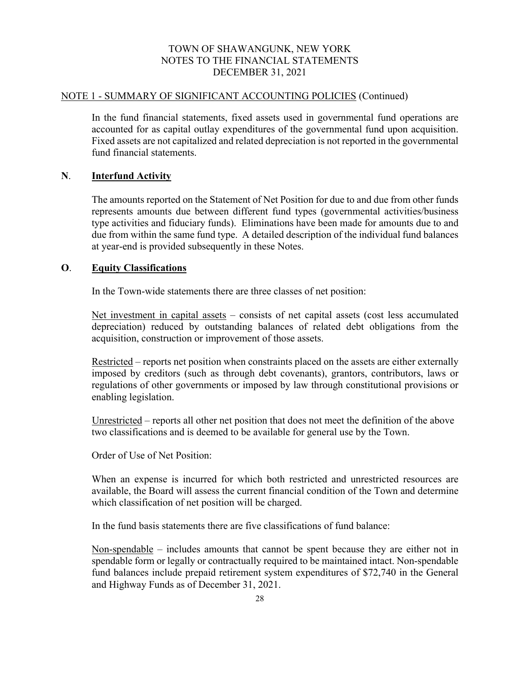#### NOTE 1 - SUMMARY OF SIGNIFICANT ACCOUNTING POLICIES (Continued)

In the fund financial statements, fixed assets used in governmental fund operations are accounted for as capital outlay expenditures of the governmental fund upon acquisition. Fixed assets are not capitalized and related depreciation is not reported in the governmental fund financial statements.

## **N**. **Interfund Activity**

The amounts reported on the Statement of Net Position for due to and due from other funds represents amounts due between different fund types (governmental activities/business type activities and fiduciary funds). Eliminations have been made for amounts due to and due from within the same fund type. A detailed description of the individual fund balances at year-end is provided subsequently in these Notes.

## **O**. **Equity Classifications**

In the Town-wide statements there are three classes of net position:

Net investment in capital assets – consists of net capital assets (cost less accumulated depreciation) reduced by outstanding balances of related debt obligations from the acquisition, construction or improvement of those assets.

Restricted – reports net position when constraints placed on the assets are either externally imposed by creditors (such as through debt covenants), grantors, contributors, laws or regulations of other governments or imposed by law through constitutional provisions or enabling legislation.

Unrestricted – reports all other net position that does not meet the definition of the above two classifications and is deemed to be available for general use by the Town.

Order of Use of Net Position:

When an expense is incurred for which both restricted and unrestricted resources are available, the Board will assess the current financial condition of the Town and determine which classification of net position will be charged.

In the fund basis statements there are five classifications of fund balance:

Non-spendable – includes amounts that cannot be spent because they are either not in spendable form or legally or contractually required to be maintained intact. Non-spendable fund balances include prepaid retirement system expenditures of \$72,740 in the General and Highway Funds as of December 31, 2021.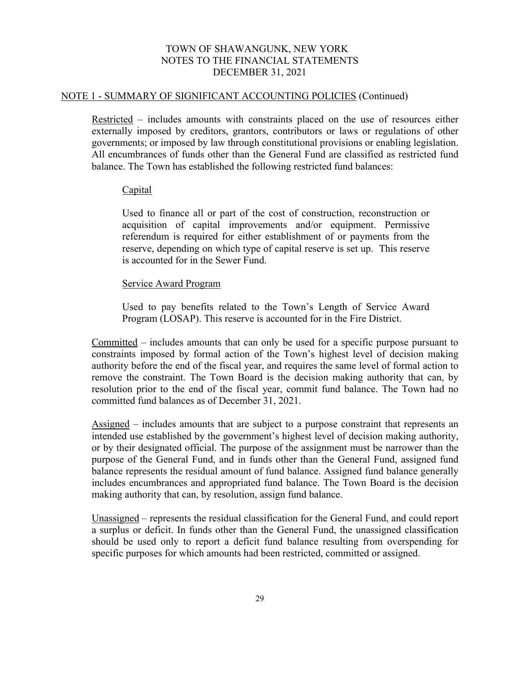#### NOTE 1 - SUMMARY OF SIGNIFICANT ACCOUNTING POLICIES (Continued)

Restricted – includes amounts with constraints placed on the use of resources either externally imposed by creditors, grantors, contributors or laws or regulations of other governments; or imposed by law through constitutional provisions or enabling legislation. All encumbrances of funds other than the General Fund are classified as restricted fund balance. The Town has established the following restricted fund balances:

#### Capital

Used to finance all or part of the cost of construction, reconstruction or acquisition of capital improvements and/or equipment. Permissive referendum is required for either establishment of or payments from the reserve, depending on which type of capital reserve is set up. This reserve is accounted for in the Sewer Fund.

#### Service Award Program

Used to pay benefits related to the Town's Length of Service Award Program (LOSAP). This reserve is accounted for in the Fire District.

Committed – includes amounts that can only be used for a specific purpose pursuant to constraints imposed by formal action of the Town's highest level of decision making authority before the end of the fiscal year, and requires the same level of formal action to remove the constraint. The Town Board is the decision making authority that can, by resolution prior to the end of the fiscal year, commit fund balance. The Town had no committed fund balances as of December 31, 2021.

Assigned – includes amounts that are subject to a purpose constraint that represents an intended use established by the government's highest level of decision making authority, or by their designated official. The purpose of the assignment must be narrower than the purpose of the General Fund, and in funds other than the General Fund, assigned fund balance represents the residual amount of fund balance. Assigned fund balance generally includes encumbrances and appropriated fund balance. The Town Board is the decision making authority that can, by resolution, assign fund balance.

Unassigned – represents the residual classification for the General Fund, and could report a surplus or deficit. In funds other than the General Fund, the unassigned classification should be used only to report a deficit fund balance resulting from overspending for specific purposes for which amounts had been restricted, committed or assigned.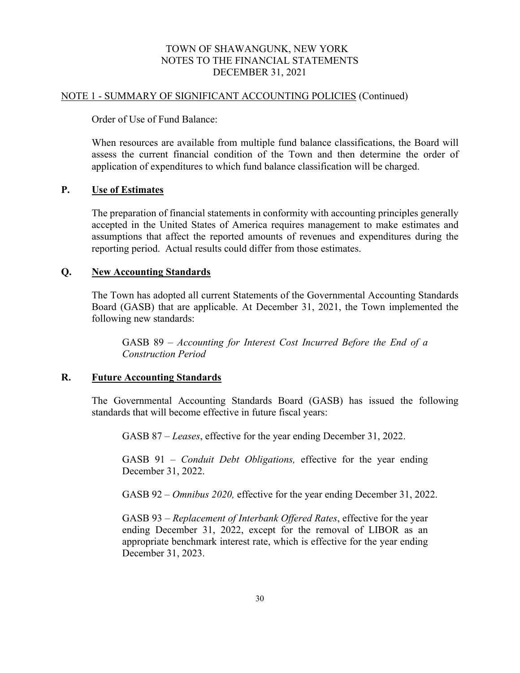#### NOTE 1 - SUMMARY OF SIGNIFICANT ACCOUNTING POLICIES (Continued)

Order of Use of Fund Balance:

When resources are available from multiple fund balance classifications, the Board will assess the current financial condition of the Town and then determine the order of application of expenditures to which fund balance classification will be charged.

#### **P. Use of Estimates**

The preparation of financial statements in conformity with accounting principles generally accepted in the United States of America requires management to make estimates and assumptions that affect the reported amounts of revenues and expenditures during the reporting period. Actual results could differ from those estimates.

#### **Q. New Accounting Standards**

The Town has adopted all current Statements of the Governmental Accounting Standards Board (GASB) that are applicable. At December 31, 2021, the Town implemented the following new standards:

GASB 89 – *Accounting for Interest Cost Incurred Before the End of a Construction Period*

#### **R. Future Accounting Standards**

The Governmental Accounting Standards Board (GASB) has issued the following standards that will become effective in future fiscal years:

GASB 87 – *Leases*, effective for the year ending December 31, 2022.

GASB 91 – *Conduit Debt Obligations,* effective for the year ending December 31, 2022.

GASB 92 *– Omnibus 2020,* effective for the year ending December 31, 2022.

GASB 93 – *Replacement of Interbank Offered Rates*, effective for the year ending December 31, 2022, except for the removal of LIBOR as an appropriate benchmark interest rate, which is effective for the year ending December 31, 2023.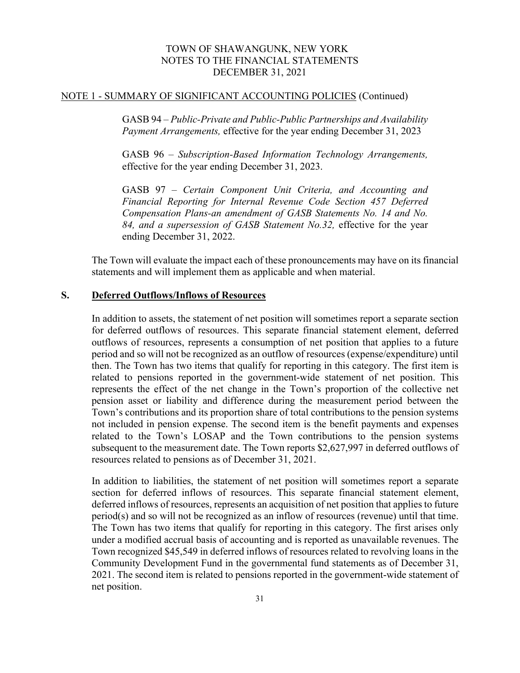#### NOTE 1 - SUMMARY OF SIGNIFICANT ACCOUNTING POLICIES (Continued)

GASB 94 – *Public-Private and Public-Public Partnerships and Availability Payment Arrangements,* effective for the year ending December 31, 2023

GASB 96 *– Subscription-Based Information Technology Arrangements,*  effective for the year ending December 31, 2023.

GASB 97 *– Certain Component Unit Criteria, and Accounting and Financial Reporting for Internal Revenue Code Section 457 Deferred Compensation Plans-an amendment of GASB Statements No. 14 and No. 84, and a supersession of GASB Statement No.32,* effective for the year ending December 31, 2022.

The Town will evaluate the impact each of these pronouncements may have on its financial statements and will implement them as applicable and when material.

## **S. Deferred Outflows/Inflows of Resources**

In addition to assets, the statement of net position will sometimes report a separate section for deferred outflows of resources. This separate financial statement element, deferred outflows of resources, represents a consumption of net position that applies to a future period and so will not be recognized as an outflow of resources (expense/expenditure) until then. The Town has two items that qualify for reporting in this category. The first item is related to pensions reported in the government-wide statement of net position. This represents the effect of the net change in the Town's proportion of the collective net pension asset or liability and difference during the measurement period between the Town's contributions and its proportion share of total contributions to the pension systems not included in pension expense. The second item is the benefit payments and expenses related to the Town's LOSAP and the Town contributions to the pension systems subsequent to the measurement date. The Town reports \$2,627,997 in deferred outflows of resources related to pensions as of December 31, 2021.

In addition to liabilities, the statement of net position will sometimes report a separate section for deferred inflows of resources. This separate financial statement element, deferred inflows of resources, represents an acquisition of net position that applies to future period(s) and so will not be recognized as an inflow of resources (revenue) until that time. The Town has two items that qualify for reporting in this category. The first arises only under a modified accrual basis of accounting and is reported as unavailable revenues. The Town recognized \$45,549 in deferred inflows of resources related to revolving loans in the Community Development Fund in the governmental fund statements as of December 31, 2021. The second item is related to pensions reported in the government-wide statement of net position.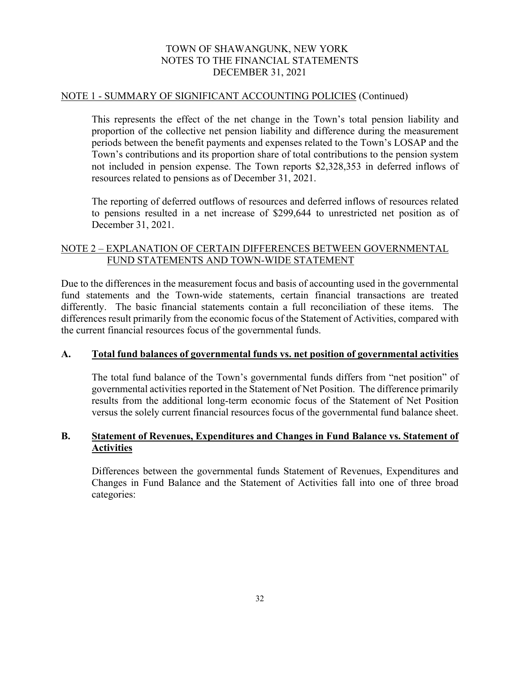#### NOTE 1 - SUMMARY OF SIGNIFICANT ACCOUNTING POLICIES (Continued)

This represents the effect of the net change in the Town's total pension liability and proportion of the collective net pension liability and difference during the measurement periods between the benefit payments and expenses related to the Town's LOSAP and the Town's contributions and its proportion share of total contributions to the pension system not included in pension expense. The Town reports \$2,328,353 in deferred inflows of resources related to pensions as of December 31, 2021.

The reporting of deferred outflows of resources and deferred inflows of resources related to pensions resulted in a net increase of \$299,644 to unrestricted net position as of December 31, 2021.

## NOTE 2 – EXPLANATION OF CERTAIN DIFFERENCES BETWEEN GOVERNMENTAL FUND STATEMENTS AND TOWN-WIDE STATEMENT

Due to the differences in the measurement focus and basis of accounting used in the governmental fund statements and the Town-wide statements, certain financial transactions are treated differently. The basic financial statements contain a full reconciliation of these items. The differences result primarily from the economic focus of the Statement of Activities, compared with the current financial resources focus of the governmental funds.

## **A. Total fund balances of governmental funds vs. net position of governmental activities**

The total fund balance of the Town's governmental funds differs from "net position" of governmental activities reported in the Statement of Net Position. The difference primarily results from the additional long-term economic focus of the Statement of Net Position versus the solely current financial resources focus of the governmental fund balance sheet.

## **B. Statement of Revenues, Expenditures and Changes in Fund Balance vs. Statement of Activities**

Differences between the governmental funds Statement of Revenues, Expenditures and Changes in Fund Balance and the Statement of Activities fall into one of three broad categories: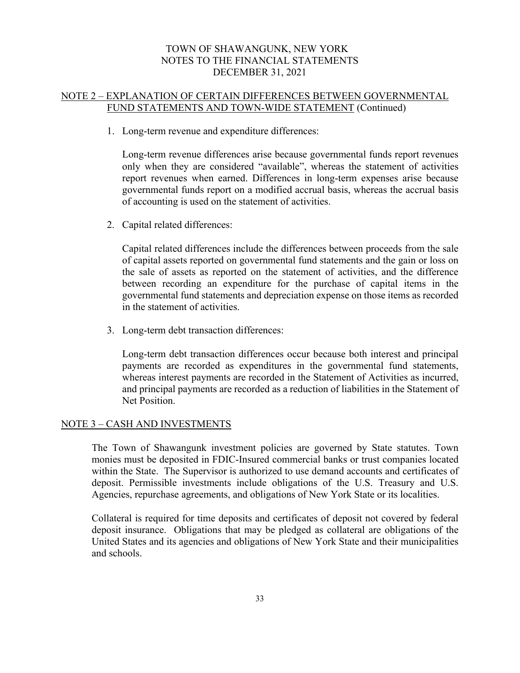# NOTE 2 – EXPLANATION OF CERTAIN DIFFERENCES BETWEEN GOVERNMENTAL FUND STATEMENTS AND TOWN-WIDE STATEMENT (Continued)

1. Long-term revenue and expenditure differences:

Long-term revenue differences arise because governmental funds report revenues only when they are considered "available", whereas the statement of activities report revenues when earned. Differences in long-term expenses arise because governmental funds report on a modified accrual basis, whereas the accrual basis of accounting is used on the statement of activities.

2. Capital related differences:

Capital related differences include the differences between proceeds from the sale of capital assets reported on governmental fund statements and the gain or loss on the sale of assets as reported on the statement of activities, and the difference between recording an expenditure for the purchase of capital items in the governmental fund statements and depreciation expense on those items as recorded in the statement of activities.

3. Long-term debt transaction differences:

Long-term debt transaction differences occur because both interest and principal payments are recorded as expenditures in the governmental fund statements, whereas interest payments are recorded in the Statement of Activities as incurred, and principal payments are recorded as a reduction of liabilities in the Statement of Net Position.

#### NOTE 3 – CASH AND INVESTMENTS

The Town of Shawangunk investment policies are governed by State statutes. Town monies must be deposited in FDIC-Insured commercial banks or trust companies located within the State. The Supervisor is authorized to use demand accounts and certificates of deposit. Permissible investments include obligations of the U.S. Treasury and U.S. Agencies, repurchase agreements, and obligations of New York State or its localities.

Collateral is required for time deposits and certificates of deposit not covered by federal deposit insurance. Obligations that may be pledged as collateral are obligations of the United States and its agencies and obligations of New York State and their municipalities and schools.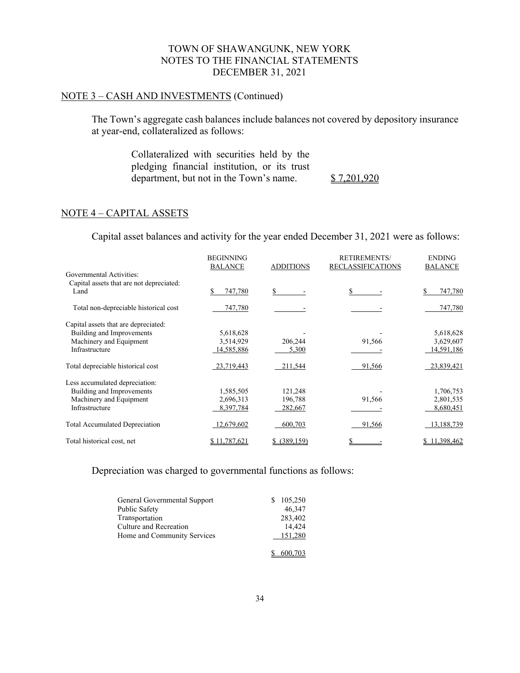#### NOTE 3 – CASH AND INVESTMENTS (Continued)

The Town's aggregate cash balances include balances not covered by depository insurance at year-end, collateralized as follows:

> Collateralized with securities held by the pledging financial institution, or its trust department, but not in the Town's name. \$ 7,201,920

#### NOTE 4 – CAPITAL ASSETS

Capital asset balances and activity for the year ended December 31, 2021 were as follows:

|                                          | <b>BEGINNING</b><br><b>BALANCE</b> | <b>ADDITIONS</b> | <b>RETIREMENTS/</b><br><b>RECLASSIFICATIONS</b> | <b>ENDING</b><br><b>BALANCE</b> |
|------------------------------------------|------------------------------------|------------------|-------------------------------------------------|---------------------------------|
| Governmental Activities:                 |                                    |                  |                                                 |                                 |
| Capital assets that are not depreciated: |                                    |                  |                                                 |                                 |
| Land                                     | 747,780                            |                  |                                                 | 747,780                         |
| Total non-depreciable historical cost    | 747,780                            |                  |                                                 | 747,780                         |
| Capital assets that are depreciated:     |                                    |                  |                                                 |                                 |
| Building and Improvements                | 5,618,628                          |                  |                                                 | 5,618,628                       |
| Machinery and Equipment                  | 3,514,929                          | 206,244          | 91,566                                          | 3,629,607                       |
| Infrastructure                           | 14,585,886                         | 5,300            |                                                 | 14,591,186                      |
| Total depreciable historical cost        | 23,719,443                         | 211,544          | 91,566                                          | 23,839,421                      |
| Less accumulated depreciation:           |                                    |                  |                                                 |                                 |
| Building and Improvements                | 1,585,505                          | 121,248          |                                                 | 1,706,753                       |
| Machinery and Equipment                  | 2,696,313                          | 196,788          | 91,566                                          | 2,801,535                       |
| Infrastructure                           | 8,397,784                          | 282,667          |                                                 | 8,680,451                       |
| <b>Total Accumulated Depreciation</b>    | 12,679,602                         | 600,703          | 91,566                                          | 13,188,739                      |
| Total historical cost, net               | \$11,787,621                       | $$$ (389,159)    |                                                 | 11,398,462                      |

Depreciation was charged to governmental functions as follows:

| General Governmental Support | 105,250 |
|------------------------------|---------|
| Public Safety                | 46,347  |
| Transportation               | 283,402 |
| Culture and Recreation       | 14,424  |
| Home and Community Services  | 151,280 |
|                              | 600,703 |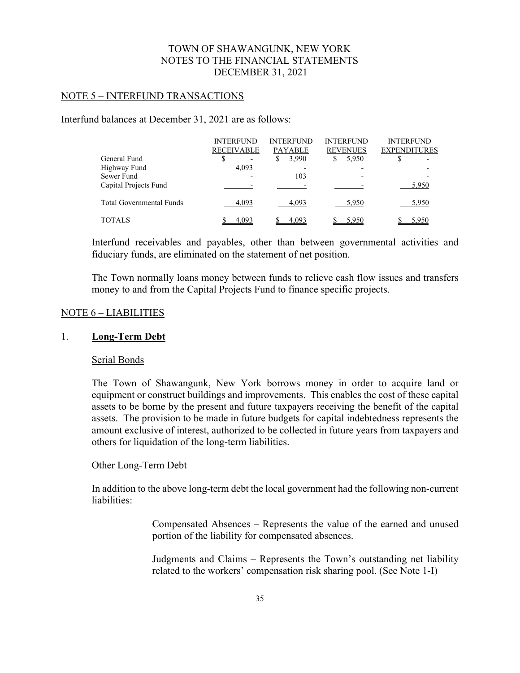#### NOTE 5 – INTERFUND TRANSACTIONS

Interfund balances at December 31, 2021 are as follows:

|                                 | <b>INTERFUND</b>  | <b>INTERFUND</b> | <b>INTERFUND</b> | <b>INTERFUND</b>    |
|---------------------------------|-------------------|------------------|------------------|---------------------|
|                                 | <b>RECEIVABLE</b> | PAYABLE          | <b>REVENUES</b>  | <b>EXPENDITURES</b> |
| General Fund                    | S<br>۰            | 3,990<br>\$      | 5,950<br>S       |                     |
| Highway Fund                    | 4,093             |                  |                  |                     |
| Sewer Fund                      |                   | 103              | -                |                     |
| Capital Projects Fund           |                   |                  |                  | 5,950               |
| <b>Total Governmental Funds</b> | 4,093             | 4,093            | 5,950            | 5,950               |
| TOTALS                          | 4.093             | 4,093            |                  |                     |

Interfund receivables and payables, other than between governmental activities and fiduciary funds, are eliminated on the statement of net position.

The Town normally loans money between funds to relieve cash flow issues and transfers money to and from the Capital Projects Fund to finance specific projects.

#### NOTE 6 – LIABILITIES

# 1. **Long-Term Debt**

#### Serial Bonds

The Town of Shawangunk, New York borrows money in order to acquire land or equipment or construct buildings and improvements. This enables the cost of these capital assets to be borne by the present and future taxpayers receiving the benefit of the capital assets. The provision to be made in future budgets for capital indebtedness represents the amount exclusive of interest, authorized to be collected in future years from taxpayers and others for liquidation of the long-term liabilities.

#### Other Long-Term Debt

In addition to the above long-term debt the local government had the following non-current liabilities:

> Compensated Absences – Represents the value of the earned and unused portion of the liability for compensated absences.

> Judgments and Claims – Represents the Town's outstanding net liability related to the workers' compensation risk sharing pool. (See Note 1-I)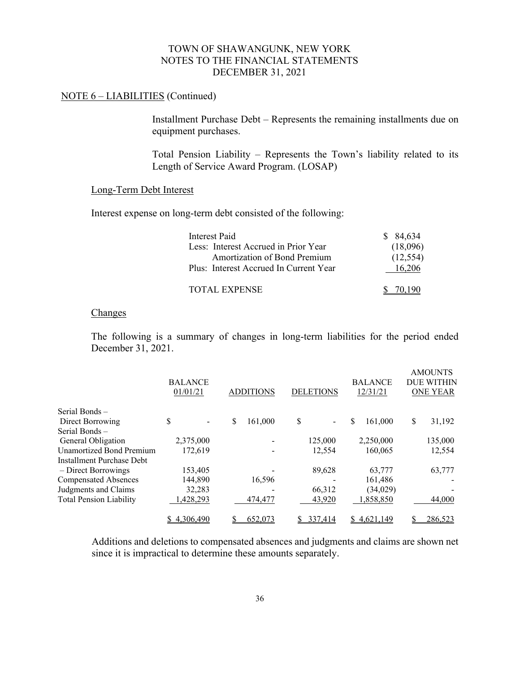# NOTE 6 – LIABILITIES (Continued)

Installment Purchase Debt – Represents the remaining installments due on equipment purchases.

Total Pension Liability – Represents the Town's liability related to its Length of Service Award Program. (LOSAP)

#### Long-Term Debt Interest

Interest expense on long-term debt consisted of the following:

| Interest Paid                          | \$ 84,634 |
|----------------------------------------|-----------|
| Less: Interest Accrued in Prior Year   | (18,096)  |
| Amortization of Bond Premium           | (12, 554) |
| Plus: Interest Accrued In Current Year | 16.206    |
| <b>TOTAL EXPENSE</b>                   |           |

#### Changes

The following is a summary of changes in long-term liabilities for the period ended December 31, 2021.

|                                | <b>BALANCE</b><br>01/01/21 | <b>ADDITIONS</b> | <b>DELETIONS</b>               | <b>BALANCE</b><br>12/31/21 | <b>AMOUNTS</b><br><b>DUE WITHIN</b><br><b>ONE YEAR</b> |
|--------------------------------|----------------------------|------------------|--------------------------------|----------------------------|--------------------------------------------------------|
| Serial Bonds –                 |                            |                  |                                |                            |                                                        |
| Direct Borrowing               | \$                         | \$<br>161,000    | \$<br>$\overline{\phantom{0}}$ | \$<br>161,000              | \$<br>31,192                                           |
| Serial Bonds -                 |                            |                  |                                |                            |                                                        |
| General Obligation             | 2,375,000                  |                  | 125,000                        | 2,250,000                  | 135,000                                                |
| Unamortized Bond Premium       | 172,619                    |                  | 12,554                         | 160,065                    | 12,554                                                 |
| Installment Purchase Debt      |                            |                  |                                |                            |                                                        |
| - Direct Borrowings            | 153,405                    |                  | 89,628                         | 63,777                     | 63,777                                                 |
| <b>Compensated Absences</b>    | 144,890                    | 16,596           |                                | 161,486                    |                                                        |
| Judgments and Claims           | 32,283                     |                  | 66,312                         | (34, 029)                  |                                                        |
| <b>Total Pension Liability</b> | ,428,293                   | 474,477          | 43,920                         | 858,850,ا                  | 44,000                                                 |
|                                | 4,306,490                  | 652,073          | 337.414                        | \$4,621,149                | 286,523                                                |

Additions and deletions to compensated absences and judgments and claims are shown net since it is impractical to determine these amounts separately.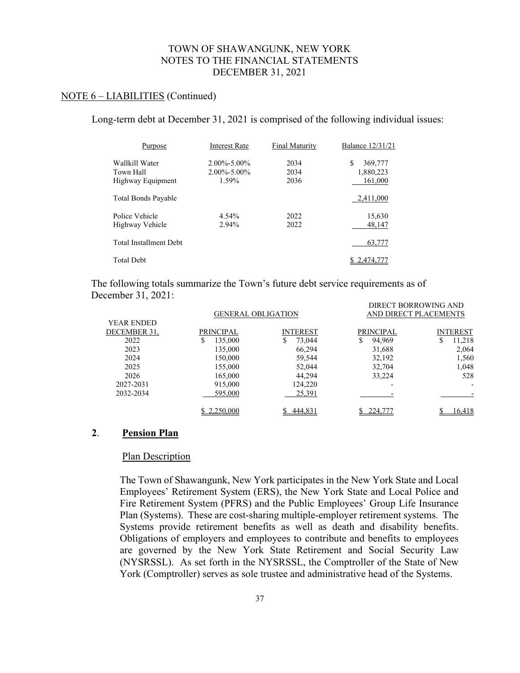#### NOTE 6 – LIABILITIES (Continued)

Long-term debt at December 31, 2021 is comprised of the following individual issues:

| Purpose                       | <b>Interest Rate</b> | <b>Final Maturity</b> | <b>Balance 12/31/21</b> |
|-------------------------------|----------------------|-----------------------|-------------------------|
| Wallkill Water                | $2.00\% - 5.00\%$    | 2034                  | S<br>369,777            |
| Town Hall                     | $2.00\% - 5.00\%$    | 2034                  | 1,880,223               |
| Highway Equipment             | 1.59%                | 2036                  | 161,000                 |
| Total Bonds Payable           |                      |                       | 2,411,000               |
| Police Vehicle                | 4.54%                | 2022                  | 15,630                  |
| Highway Vehicle               | 2.94%                | 2022                  | 48.147                  |
| <b>Total Installment Debt</b> |                      |                       | 63,777                  |
| <b>Total Debt</b>             |                      |                       | 2.474.7                 |

The following totals summarize the Town's future debt service requirements as of December 31, 2021: DIRECT BORROWING AND

|                   | <b>GENERAL OBLIGATION</b> |                 | AND DIRECT PLACEMENTS |                 |  |
|-------------------|---------------------------|-----------------|-----------------------|-----------------|--|
| <b>YEAR ENDED</b> |                           |                 |                       |                 |  |
| DECEMBER 31,      | PRINCIPAL                 | <b>INTEREST</b> | PRINCIPAL             | <b>INTEREST</b> |  |
| 2022              | 135,000                   | 73,044<br>S     | 94,969<br>\$          | 11,218<br>S     |  |
| 2023              | 135,000                   | 66,294          | 31,688                | 2,064           |  |
| 2024              | 150,000                   | 59,544          | 32,192                | 1,560           |  |
| 2025              | 155,000                   | 52,044          | 32,704                | 1,048           |  |
| 2026              | 165,000                   | 44,294          | 33,224                | 528             |  |
| 2027-2031         | 915,000                   | 124.220         |                       |                 |  |
| 2032-2034         | 595,000                   | 25,391          |                       |                 |  |
|                   | \$2,250,000               | 444,831         | 224,777               | 16,418          |  |

#### **2**. **Pension Plan**

#### Plan Description

The Town of Shawangunk, New York participates in the New York State and Local Employees' Retirement System (ERS), the New York State and Local Police and Fire Retirement System (PFRS) and the Public Employees' Group Life Insurance Plan (Systems). These are cost-sharing multiple-employer retirement systems. The Systems provide retirement benefits as well as death and disability benefits. Obligations of employers and employees to contribute and benefits to employees are governed by the New York State Retirement and Social Security Law (NYSRSSL). As set forth in the NYSRSSL, the Comptroller of the State of New York (Comptroller) serves as sole trustee and administrative head of the Systems.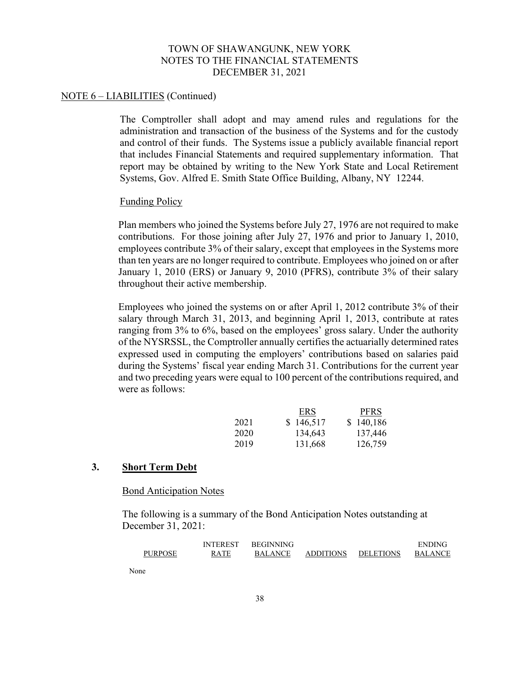#### NOTE 6 – LIABILITIES (Continued)

The Comptroller shall adopt and may amend rules and regulations for the administration and transaction of the business of the Systems and for the custody and control of their funds. The Systems issue a publicly available financial report that includes Financial Statements and required supplementary information. That report may be obtained by writing to the New York State and Local Retirement Systems, Gov. Alfred E. Smith State Office Building, Albany, NY 12244.

#### Funding Policy

Plan members who joined the Systems before July 27, 1976 are not required to make contributions. For those joining after July 27, 1976 and prior to January 1, 2010, employees contribute 3% of their salary, except that employees in the Systems more than ten years are no longer required to contribute. Employees who joined on or after January 1, 2010 (ERS) or January 9, 2010 (PFRS), contribute 3% of their salary throughout their active membership.

Employees who joined the systems on or after April 1, 2012 contribute 3% of their salary through March 31, 2013, and beginning April 1, 2013, contribute at rates ranging from 3% to 6%, based on the employees' gross salary. Under the authority of the NYSRSSL, the Comptroller annually certifies the actuarially determined rates expressed used in computing the employers' contributions based on salaries paid during the Systems' fiscal year ending March 31. Contributions for the current year and two preceding years were equal to 100 percent of the contributions required, and were as follows:

|      | <b>ERS</b> | <b>PFRS</b> |
|------|------------|-------------|
| 2021 | \$146,517  | \$140,186   |
| 2020 | 134,643    | 137,446     |
| 2019 | 131,668    | 126,759     |

#### **3. Short Term Debt**

#### Bond Anticipation Notes

The following is a summary of the Bond Anticipation Notes outstanding at December 31, 2021:

|                | <b>INTEREST</b> | <b>BEGINNING</b> |                  |                  | <b>ENDING</b>  |
|----------------|-----------------|------------------|------------------|------------------|----------------|
| <b>PURPOSE</b> | <b>RATE</b>     | <b>BALANCE</b>   | <b>ADDITIONS</b> | <b>DELETIONS</b> | <b>BALANCE</b> |
|                |                 |                  |                  |                  |                |

None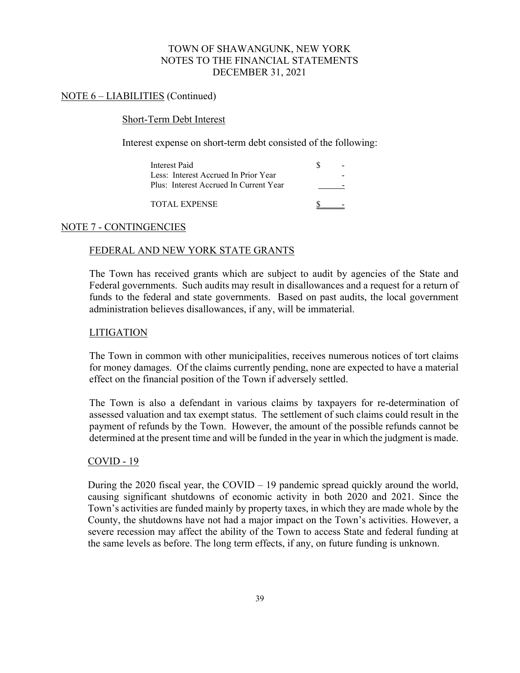# NOTE 6 – LIABILITIES (Continued)

### Short-Term Debt Interest

Interest expense on short-term debt consisted of the following:

| Interest Paid                          |  |
|----------------------------------------|--|
| Less: Interest Accrued In Prior Year   |  |
| Plus: Interest Accrued In Current Year |  |
|                                        |  |

TOTAL EXPENSE SALES AND TOTAL EXPENSE

# NOTE 7 - CONTINGENCIES

# FEDERAL AND NEW YORK STATE GRANTS

The Town has received grants which are subject to audit by agencies of the State and Federal governments. Such audits may result in disallowances and a request for a return of funds to the federal and state governments. Based on past audits, the local government administration believes disallowances, if any, will be immaterial.

### LITIGATION

The Town in common with other municipalities, receives numerous notices of tort claims for money damages. Of the claims currently pending, none are expected to have a material effect on the financial position of the Town if adversely settled.

The Town is also a defendant in various claims by taxpayers for re-determination of assessed valuation and tax exempt status. The settlement of such claims could result in the payment of refunds by the Town. However, the amount of the possible refunds cannot be determined at the present time and will be funded in the year in which the judgment is made.

#### COVID - 19

During the 2020 fiscal year, the COVID – 19 pandemic spread quickly around the world, causing significant shutdowns of economic activity in both 2020 and 2021. Since the Town's activities are funded mainly by property taxes, in which they are made whole by the County, the shutdowns have not had a major impact on the Town's activities. However, a severe recession may affect the ability of the Town to access State and federal funding at the same levels as before. The long term effects, if any, on future funding is unknown.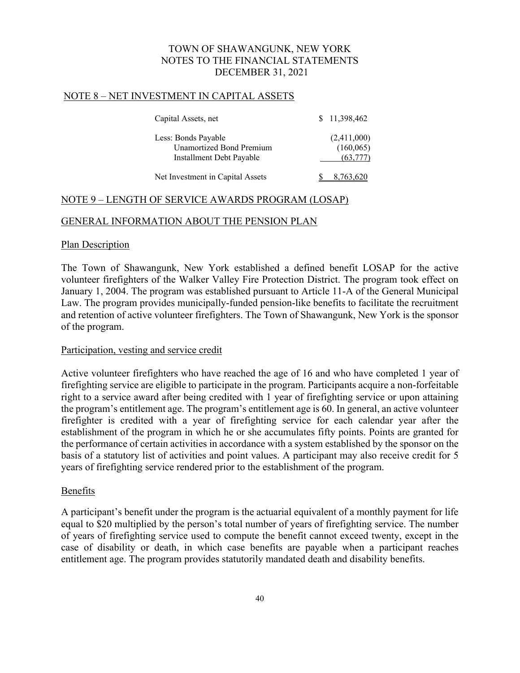### NOTE 8 – NET INVESTMENT IN CAPITAL ASSETS

| Capital Assets, net              | \$11,398,462 |  |
|----------------------------------|--------------|--|
| Less: Bonds Payable              | (2,411,000)  |  |
| <b>Unamortized Bond Premium</b>  | (160, 065)   |  |
| Installment Debt Payable         | (63, 777)    |  |
| Net Investment in Capital Assets |              |  |

### NOTE 9 – LENGTH OF SERVICE AWARDS PROGRAM (LOSAP)

### GENERAL INFORMATION ABOUT THE PENSION PLAN

#### Plan Description

The Town of Shawangunk, New York established a defined benefit LOSAP for the active volunteer firefighters of the Walker Valley Fire Protection District. The program took effect on January 1, 2004. The program was established pursuant to Article 11-A of the General Municipal Law. The program provides municipally-funded pension-like benefits to facilitate the recruitment and retention of active volunteer firefighters. The Town of Shawangunk, New York is the sponsor of the program.

#### Participation, vesting and service credit

Active volunteer firefighters who have reached the age of 16 and who have completed 1 year of firefighting service are eligible to participate in the program. Participants acquire a non-forfeitable right to a service award after being credited with 1 year of firefighting service or upon attaining the program's entitlement age. The program's entitlement age is 60. In general, an active volunteer firefighter is credited with a year of firefighting service for each calendar year after the establishment of the program in which he or she accumulates fifty points. Points are granted for the performance of certain activities in accordance with a system established by the sponsor on the basis of a statutory list of activities and point values. A participant may also receive credit for 5 years of firefighting service rendered prior to the establishment of the program.

# Benefits

A participant's benefit under the program is the actuarial equivalent of a monthly payment for life equal to \$20 multiplied by the person's total number of years of firefighting service. The number of years of firefighting service used to compute the benefit cannot exceed twenty, except in the case of disability or death, in which case benefits are payable when a participant reaches entitlement age. The program provides statutorily mandated death and disability benefits.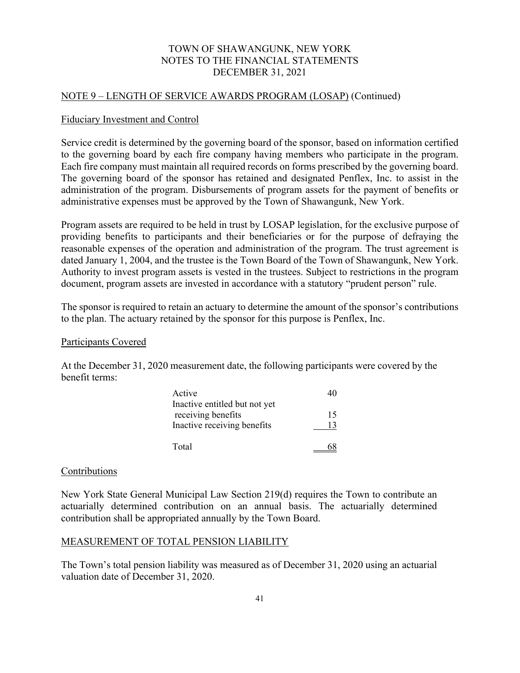#### NOTE 9 – LENGTH OF SERVICE AWARDS PROGRAM (LOSAP) (Continued)

#### Fiduciary Investment and Control

Service credit is determined by the governing board of the sponsor, based on information certified to the governing board by each fire company having members who participate in the program. Each fire company must maintain all required records on forms prescribed by the governing board. The governing board of the sponsor has retained and designated Penflex, Inc. to assist in the administration of the program. Disbursements of program assets for the payment of benefits or administrative expenses must be approved by the Town of Shawangunk, New York.

Program assets are required to be held in trust by LOSAP legislation, for the exclusive purpose of providing benefits to participants and their beneficiaries or for the purpose of defraying the reasonable expenses of the operation and administration of the program. The trust agreement is dated January 1, 2004, and the trustee is the Town Board of the Town of Shawangunk, New York. Authority to invest program assets is vested in the trustees. Subject to restrictions in the program document, program assets are invested in accordance with a statutory "prudent person" rule.

The sponsor is required to retain an actuary to determine the amount of the sponsor's contributions to the plan. The actuary retained by the sponsor for this purpose is Penflex, Inc.

#### Participants Covered

At the December 31, 2020 measurement date, the following participants were covered by the benefit terms:

| Active                        |    |
|-------------------------------|----|
| Inactive entitled but not yet |    |
| receiving benefits            | 15 |
| Inactive receiving benefits   | 13 |
| Total                         |    |

#### Contributions

New York State General Municipal Law Section 219(d) requires the Town to contribute an actuarially determined contribution on an annual basis. The actuarially determined contribution shall be appropriated annually by the Town Board.

# MEASUREMENT OF TOTAL PENSION LIABILITY

The Town's total pension liability was measured as of December 31, 2020 using an actuarial valuation date of December 31, 2020.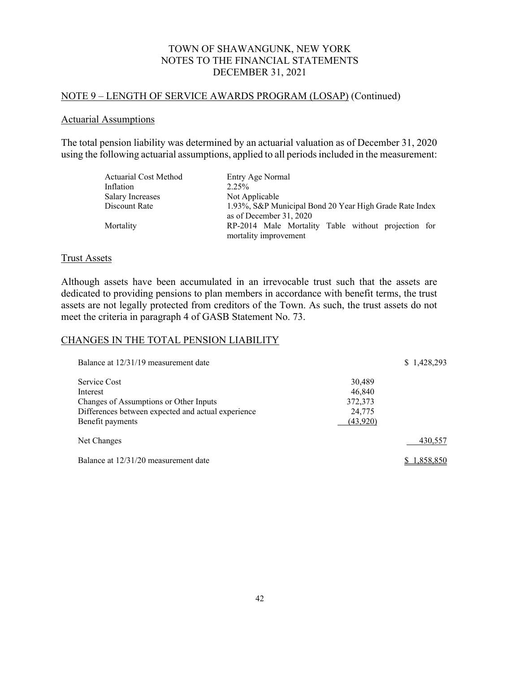### NOTE 9 – LENGTH OF SERVICE AWARDS PROGRAM (LOSAP) (Continued)

#### Actuarial Assumptions

The total pension liability was determined by an actuarial valuation as of December 31, 2020 using the following actuarial assumptions, applied to all periods included in the measurement:

| <b>Actuarial Cost Method</b> | Entry Age Normal                                                                   |  |  |  |
|------------------------------|------------------------------------------------------------------------------------|--|--|--|
| Inflation                    | 2.25%                                                                              |  |  |  |
| Salary Increases             | Not Applicable                                                                     |  |  |  |
| Discount Rate                | 1.93%, S&P Municipal Bond 20 Year High Grade Rate Index<br>as of December 31, 2020 |  |  |  |
| Mortality                    | RP-2014 Male Mortality Table without projection for<br>mortality improvement       |  |  |  |

#### Trust Assets

Although assets have been accumulated in an irrevocable trust such that the assets are dedicated to providing pensions to plan members in accordance with benefit terms, the trust assets are not legally protected from creditors of the Town. As such, the trust assets do not meet the criteria in paragraph 4 of GASB Statement No. 73.

# CHANGES IN THE TOTAL PENSION LIABILITY

| Balance at 12/31/19 measurement date                                                                                                         |                                                          | \$1,428,293 |
|----------------------------------------------------------------------------------------------------------------------------------------------|----------------------------------------------------------|-------------|
| Service Cost<br>Interest<br>Changes of Assumptions or Other Inputs<br>Differences between expected and actual experience<br>Benefit payments | 30,489<br>46,840<br>372,373<br>24,775<br><u>(43,920)</u> |             |
| Net Changes                                                                                                                                  |                                                          | 430,557     |
| Balance at 12/31/20 measurement date                                                                                                         |                                                          | 1,858,850   |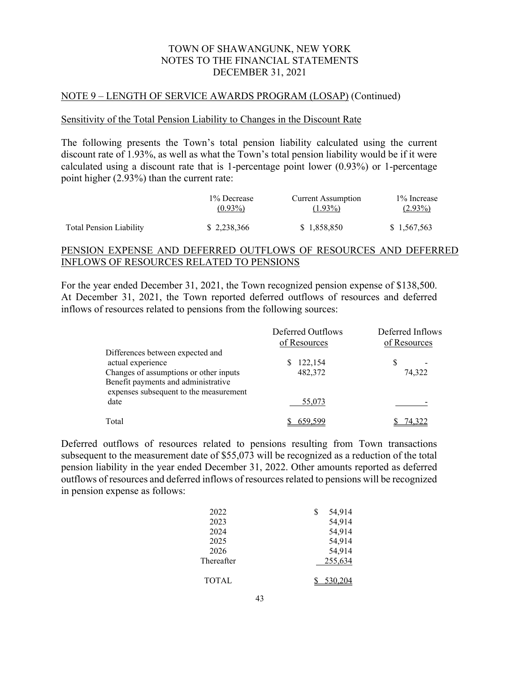#### NOTE 9 – LENGTH OF SERVICE AWARDS PROGRAM (LOSAP) (Continued)

#### Sensitivity of the Total Pension Liability to Changes in the Discount Rate

The following presents the Town's total pension liability calculated using the current discount rate of 1.93%, as well as what the Town's total pension liability would be if it were calculated using a discount rate that is 1-percentage point lower (0.93%) or 1-percentage point higher (2.93%) than the current rate:

|                                | 1\% Decrease | <b>Current Assumption</b> | 1\% Increase |
|--------------------------------|--------------|---------------------------|--------------|
|                                | $(0.93\%)$   | $(1.93\%)$                | $(2.93\%)$   |
| <b>Total Pension Liability</b> | \$2.238.366  | \$1,858,850               | \$1,567,563  |

### PENSION EXPENSE AND DEFERRED OUTFLOWS OF RESOURCES AND DEFERRED INFLOWS OF RESOURCES RELATED TO PENSIONS

For the year ended December 31, 2021, the Town recognized pension expense of \$138,500. At December 31, 2021, the Town reported deferred outflows of resources and deferred inflows of resources related to pensions from the following sources:

|                                                                                                                         | Deferred Outflows<br>of Resources | Deferred Inflows<br>of Resources |
|-------------------------------------------------------------------------------------------------------------------------|-----------------------------------|----------------------------------|
| Differences between expected and<br>actual experience                                                                   | 122,154<br>S                      |                                  |
| Changes of assumptions or other inputs<br>Benefit payments and administrative<br>expenses subsequent to the measurement | 482,372                           | 74,322                           |
| date                                                                                                                    | 55,073                            |                                  |
| Total                                                                                                                   | 659.599                           |                                  |

Deferred outflows of resources related to pensions resulting from Town transactions subsequent to the measurement date of \$55,073 will be recognized as a reduction of the total pension liability in the year ended December 31, 2022. Other amounts reported as deferred outflows of resources and deferred inflows of resources related to pensions will be recognized in pension expense as follows:

| 2022         | 54,914<br>S |  |
|--------------|-------------|--|
| 2023         | 54,914      |  |
| 2024         | 54,914      |  |
| 2025         | 54,914      |  |
| 2026         | 54,914      |  |
| Thereafter   | 255,634     |  |
| <b>TOTAL</b> | 530.204     |  |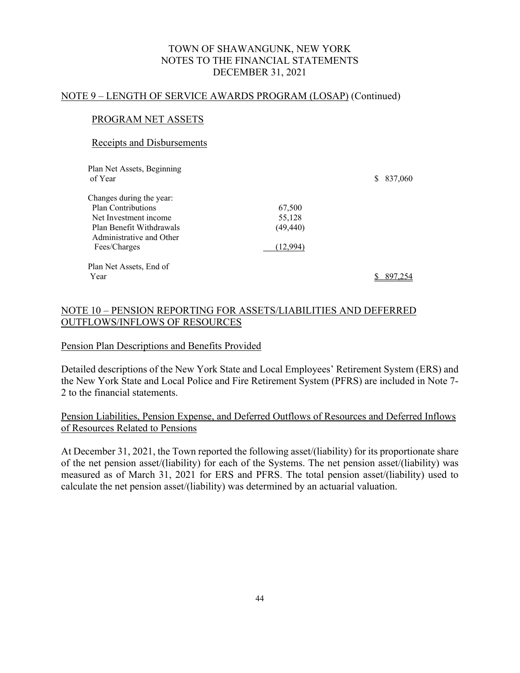#### NOTE 9 – LENGTH OF SERVICE AWARDS PROGRAM (LOSAP) (Continued)

# PROGRAM NET ASSETS

#### Receipts and Disbursements

| Plan Net Assets, Beginning<br>of Year                |           | 837,060<br>S. |
|------------------------------------------------------|-----------|---------------|
| Changes during the year:                             |           |               |
| Plan Contributions                                   | 67,500    |               |
| Net Investment income                                | 55,128    |               |
| Plan Benefit Withdrawals<br>Administrative and Other | (49, 440) |               |
| Fees/Charges                                         | (12.994)  |               |
| Plan Net Assets, End of                              |           |               |
| Year                                                 |           |               |

# NOTE 10 – PENSION REPORTING FOR ASSETS/LIABILITIES AND DEFERRED OUTFLOWS/INFLOWS OF RESOURCES

#### Pension Plan Descriptions and Benefits Provided

Detailed descriptions of the New York State and Local Employees' Retirement System (ERS) and the New York State and Local Police and Fire Retirement System (PFRS) are included in Note 7- 2 to the financial statements.

# Pension Liabilities, Pension Expense, and Deferred Outflows of Resources and Deferred Inflows of Resources Related to Pensions

At December 31, 2021, the Town reported the following asset/(liability) for its proportionate share of the net pension asset/(liability) for each of the Systems. The net pension asset/(liability) was measured as of March 31, 2021 for ERS and PFRS. The total pension asset/(liability) used to calculate the net pension asset/(liability) was determined by an actuarial valuation.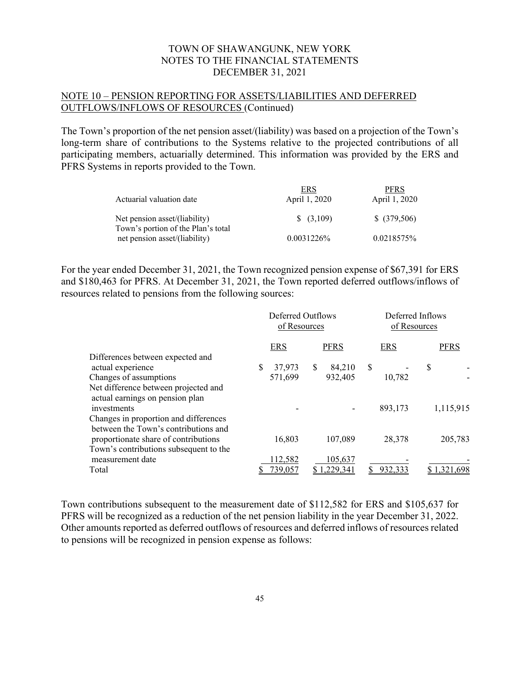# NOTE 10 – PENSION REPORTING FOR ASSETS/LIABILITIES AND DEFERRED OUTFLOWS/INFLOWS OF RESOURCES (Continued)

The Town's proportion of the net pension asset/(liability) was based on a projection of the Town's long-term share of contributions to the Systems relative to the projected contributions of all participating members, actuarially determined. This information was provided by the ERS and PFRS Systems in reports provided to the Town.

|                                    | ERS                 | <b>PFRS</b>   |
|------------------------------------|---------------------|---------------|
| Actuarial valuation date           | April 1, 2020       | April 1, 2020 |
| Net pension asset/(liability)      | $\frac{(3,109)}{2}$ | $$$ (379,506) |
| Town's portion of the Plan's total |                     |               |
| net pension asset/(liability)      | 0.0031226\%         | 0.0218575%    |

For the year ended December 31, 2021, the Town recognized pension expense of \$67,391 for ERS and \$180,463 for PFRS. At December 31, 2021, the Town reported deferred outflows/inflows of resources related to pensions from the following sources:

|                                                                                        | Deferred Outflows<br>of Resources |               |             | Deferred Inflows<br>of Resources |   |             |
|----------------------------------------------------------------------------------------|-----------------------------------|---------------|-------------|----------------------------------|---|-------------|
|                                                                                        | <b>ERS</b>                        |               | <b>PFRS</b> | <b>ERS</b>                       |   | <b>PFRS</b> |
| Differences between expected and<br>actual experience                                  | \$<br>37,973                      | <sup>\$</sup> | 84,210      | \$                               | S |             |
| Changes of assumptions                                                                 | 571,699                           |               | 932,405     | 10,782                           |   |             |
| Net difference between projected and<br>actual earnings on pension plan<br>investments |                                   |               |             | 893,173                          |   | 1,115,915   |
| Changes in proportion and differences<br>between the Town's contributions and          |                                   |               |             |                                  |   |             |
| proportionate share of contributions                                                   | 16,803                            |               | 107,089     | 28,378                           |   | 205,783     |
| Town's contributions subsequent to the<br>measurement date                             | 112,582                           |               | 105,637     |                                  |   |             |
| Total                                                                                  | 39,057                            |               | .229,341    | 932,333                          |   | .321.698    |

Town contributions subsequent to the measurement date of \$112,582 for ERS and \$105,637 for PFRS will be recognized as a reduction of the net pension liability in the year December 31, 2022. Other amounts reported as deferred outflows of resources and deferred inflows of resources related to pensions will be recognized in pension expense as follows: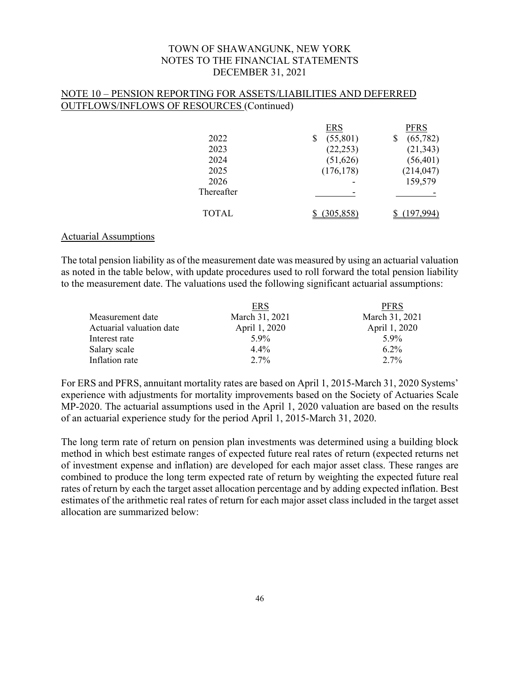### NOTE 10 – PENSION REPORTING FOR ASSETS/LIABILITIES AND DEFERRED OUTFLOWS/INFLOWS OF RESOURCES (Continued)

|              | <b>ERS</b>     | PFRS       |
|--------------|----------------|------------|
| 2022         | (55,801)<br>\$ | (65,782)   |
| 2023         | (22, 253)      | (21, 343)  |
| 2024         | (51, 626)      | (56, 401)  |
| 2025         | (176, 178)     | (214, 047) |
| 2026         |                | 159,579    |
| Thereafter   |                |            |
| <b>TOTAL</b> |                |            |

### Actuarial Assumptions

The total pension liability as of the measurement date was measured by using an actuarial valuation as noted in the table below, with update procedures used to roll forward the total pension liability to the measurement date. The valuations used the following significant actuarial assumptions:

|                          | ERS            | <b>PFRS</b>    |
|--------------------------|----------------|----------------|
| Measurement date         | March 31, 2021 | March 31, 2021 |
| Actuarial valuation date | April 1, 2020  | April 1, 2020  |
| Interest rate            | $5.9\%$        | 5.9%           |
| Salary scale             | $4.4\%$        | $6.2\%$        |
| Inflation rate           | $2.7\%$        | $2.7\%$        |
|                          |                |                |

For ERS and PFRS, annuitant mortality rates are based on April 1, 2015-March 31, 2020 Systems' experience with adjustments for mortality improvements based on the Society of Actuaries Scale MP-2020. The actuarial assumptions used in the April 1, 2020 valuation are based on the results of an actuarial experience study for the period April 1, 2015-March 31, 2020.

The long term rate of return on pension plan investments was determined using a building block method in which best estimate ranges of expected future real rates of return (expected returns net of investment expense and inflation) are developed for each major asset class. These ranges are combined to produce the long term expected rate of return by weighting the expected future real rates of return by each the target asset allocation percentage and by adding expected inflation. Best estimates of the arithmetic real rates of return for each major asset class included in the target asset allocation are summarized below: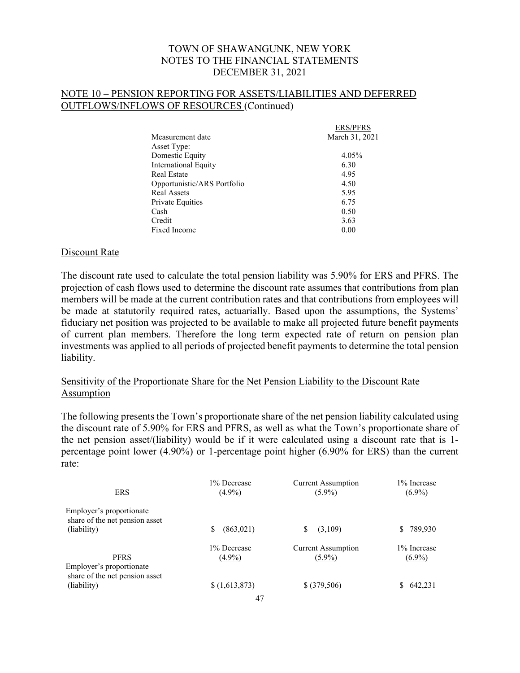# NOTE 10 – PENSION REPORTING FOR ASSETS/LIABILITIES AND DEFERRED OUTFLOWS/INFLOWS OF RESOURCES (Continued)

|                             | <b>ERS/PFRS</b> |
|-----------------------------|-----------------|
| Measurement date            | March 31, 2021  |
| Asset Type:                 |                 |
| Domestic Equity             | 4.05%           |
| International Equity        | 6.30            |
| Real Estate                 | 4.95            |
| Opportunistic/ARS Portfolio | 4.50            |
| Real Assets                 | 5.95            |
| Private Equities            | 6.75            |
| Cash                        | 0.50            |
| Credit                      | 3.63            |
| Fixed Income                | 0.00            |

### Discount Rate

The discount rate used to calculate the total pension liability was 5.90% for ERS and PFRS. The projection of cash flows used to determine the discount rate assumes that contributions from plan members will be made at the current contribution rates and that contributions from employees will be made at statutorily required rates, actuarially. Based upon the assumptions, the Systems' fiduciary net position was projected to be available to make all projected future benefit payments of current plan members. Therefore the long term expected rate of return on pension plan investments was applied to all periods of projected benefit payments to determine the total pension liability.

# Sensitivity of the Proportionate Share for the Net Pension Liability to the Discount Rate **Assumption**

The following presents the Town's proportionate share of the net pension liability calculated using the discount rate of 5.90% for ERS and PFRS, as well as what the Town's proportionate share of the net pension asset/(liability) would be if it were calculated using a discount rate that is 1 percentage point lower (4.90%) or 1-percentage point higher (6.90% for ERS) than the current rate:

| ERS                                                                       | 1% Decrease    | <b>Current Assumption</b> | 1% Increase   |
|---------------------------------------------------------------------------|----------------|---------------------------|---------------|
|                                                                           | $(4.9\%)$      | $(5.9\%)$                 | $(6.9\%)$     |
| Employer's proportionate<br>share of the net pension asset<br>(liability) | (863,021)<br>S | (3,109)<br>\$             | 789,930<br>S. |
| PFRS                                                                      | 1% Decrease    | <b>Current Assumption</b> | 1% Increase   |
| Employer's proportionate                                                  | $(4.9\%)$      | $(5.9\%)$                 | $(6.9\%)$     |
| share of the net pension asset<br>(liability)                             | \$(1,613,873)  | \$ (379,506)              | 642,231       |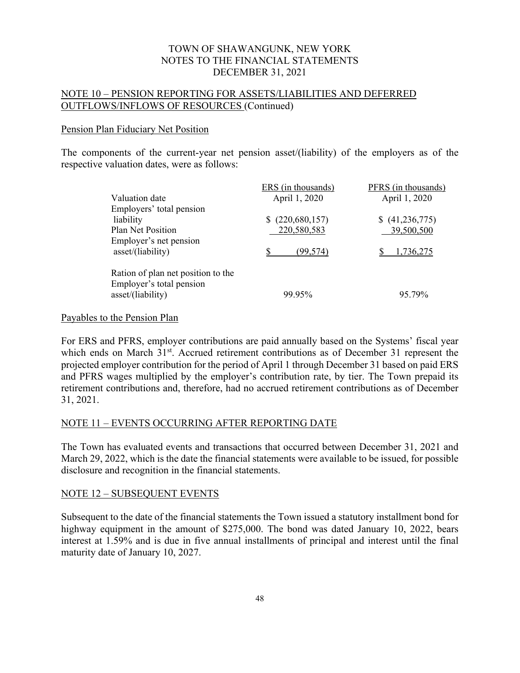# NOTE 10 – PENSION REPORTING FOR ASSETS/LIABILITIES AND DEFERRED OUTFLOWS/INFLOWS OF RESOURCES (Continued)

#### Pension Plan Fiduciary Net Position

The components of the current-year net pension asset/(liability) of the employers as of the respective valuation dates, were as follows:

|                                                                | ERS (in thousands) | PFRS (in thousands) |
|----------------------------------------------------------------|--------------------|---------------------|
| Valuation date                                                 | April 1, 2020      | April 1, 2020       |
| Employers' total pension                                       |                    |                     |
| liability                                                      | (220,680,157)      | (41,236,775)        |
| Plan Net Position                                              | 220,580,583        | 39,500,500          |
| Employer's net pension<br>asset/(liability)                    | (99,574)           | .736.275            |
| Ration of plan net position to the<br>Employer's total pension |                    |                     |
| asset/(liability)                                              | 99.95%             | 95.79%              |

#### Payables to the Pension Plan

For ERS and PFRS, employer contributions are paid annually based on the Systems' fiscal year which ends on March 31<sup>st</sup>. Accrued retirement contributions as of December 31 represent the projected employer contribution for the period of April 1 through December 31 based on paid ERS and PFRS wages multiplied by the employer's contribution rate, by tier. The Town prepaid its retirement contributions and, therefore, had no accrued retirement contributions as of December 31, 2021.

# NOTE 11 – EVENTS OCCURRING AFTER REPORTING DATE

The Town has evaluated events and transactions that occurred between December 31, 2021 and March 29, 2022, which is the date the financial statements were available to be issued, for possible disclosure and recognition in the financial statements.

# NOTE 12 – SUBSEQUENT EVENTS

Subsequent to the date of the financial statements the Town issued a statutory installment bond for highway equipment in the amount of \$275,000. The bond was dated January 10, 2022, bears interest at 1.59% and is due in five annual installments of principal and interest until the final maturity date of January 10, 2027.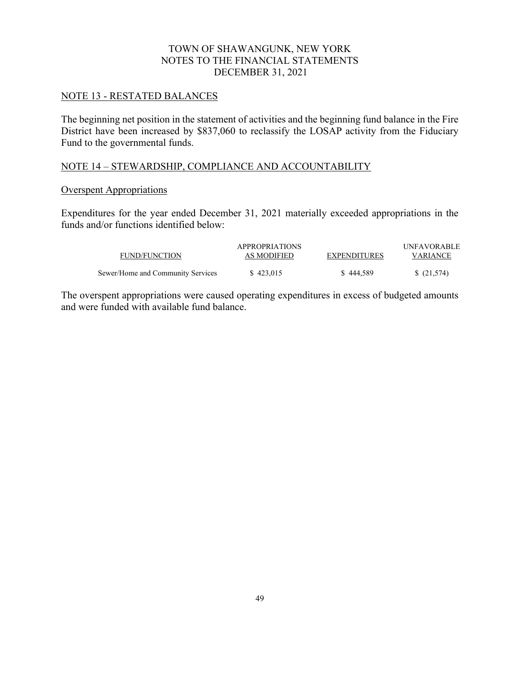### NOTE 13 - RESTATED BALANCES

The beginning net position in the statement of activities and the beginning fund balance in the Fire District have been increased by \$837,060 to reclassify the LOSAP activity from the Fiduciary Fund to the governmental funds.

# NOTE 14 – STEWARDSHIP, COMPLIANCE AND ACCOUNTABILITY

#### Overspent Appropriations

Expenditures for the year ended December 31, 2021 materially exceeded appropriations in the funds and/or functions identified below:

| FUND/FUNCTION                     | <b>APPROPRIATIONS</b><br>AS MODIFIED | <b>EXPENDITURES</b> | UNFAVORABLE<br><b>VARIANCE</b> |
|-----------------------------------|--------------------------------------|---------------------|--------------------------------|
| Sewer/Home and Community Services | \$423,015                            | \$444,589           | \$(21,574)                     |

The overspent appropriations were caused operating expenditures in excess of budgeted amounts and were funded with available fund balance.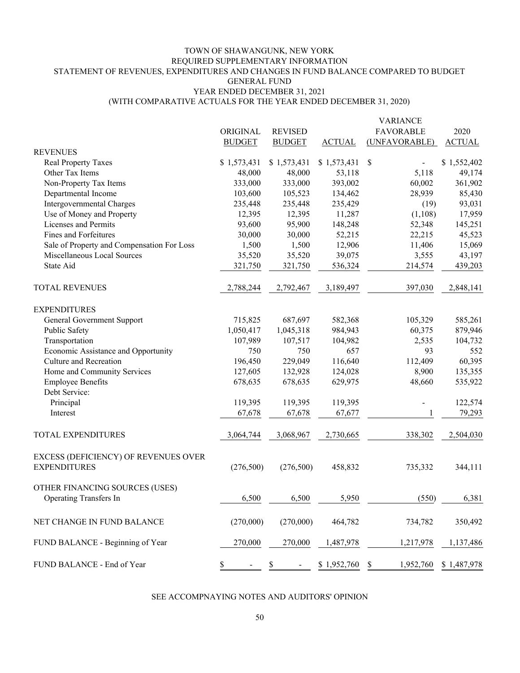# TOWN OF SHAWANGUNK, NEW YORK REQUIRED SUPPLEMENTARY INFORMATION STATEMENT OF REVENUES, EXPENDITURES AND CHANGES IN FUND BALANCE COMPARED TO BUDGET GENERAL FUND YEAR ENDED DECEMBER 31, 2021

(WITH COMPARATIVE ACTUALS FOR THE YEAR ENDED DECEMBER 31, 2020)

|                                                                 |               |                               |               | <b>VARIANCE</b>      |               |
|-----------------------------------------------------------------|---------------|-------------------------------|---------------|----------------------|---------------|
|                                                                 | ORIGINAL      | <b>REVISED</b>                |               | <b>FAVORABLE</b>     | 2020          |
|                                                                 | <b>BUDGET</b> | <b>BUDGET</b>                 | <b>ACTUAL</b> | (UNFAVORABLE)        | <b>ACTUAL</b> |
| <b>REVENUES</b>                                                 |               |                               |               |                      |               |
| <b>Real Property Taxes</b>                                      | \$1,573,431   | \$1,573,431                   | \$1,573,431   | \$<br>$\blacksquare$ | \$1,552,402   |
| Other Tax Items                                                 | 48,000        | 48,000                        | 53,118        | 5,118                | 49,174        |
| Non-Property Tax Items                                          | 333,000       | 333,000                       | 393,002       | 60,002               | 361,902       |
| Departmental Income                                             | 103,600       | 105,523                       | 134,462       | 28,939               | 85,430        |
| Intergovernmental Charges                                       | 235,448       | 235,448                       | 235,429       | (19)                 | 93,031        |
| Use of Money and Property                                       | 12,395        | 12,395                        | 11,287        | (1,108)              | 17,959        |
| Licenses and Permits                                            | 93,600        | 95,900                        | 148,248       | 52,348               | 145,251       |
| <b>Fines and Forfeitures</b>                                    | 30,000        | 30,000                        | 52,215        | 22,215               | 45,523        |
| Sale of Property and Compensation For Loss                      | 1,500         | 1,500                         | 12,906        | 11,406               | 15,069        |
| Miscellaneous Local Sources                                     | 35,520        | 35,520                        | 39,075        | 3,555                | 43,197        |
| State Aid                                                       | 321,750       | 321,750                       | 536,324       | 214,574              | 439,203       |
| TOTAL REVENUES                                                  | 2,788,244     | 2,792,467                     | 3,189,497     | 397,030              | 2,848,141     |
| <b>EXPENDITURES</b>                                             |               |                               |               |                      |               |
| General Government Support                                      | 715,825       | 687,697                       | 582,368       | 105,329              | 585,261       |
| Public Safety                                                   | 1,050,417     | 1,045,318                     | 984,943       | 60,375               | 879,946       |
| Transportation                                                  | 107,989       | 107,517                       | 104,982       | 2,535                | 104,732       |
| Economic Assistance and Opportunity                             | 750           | 750                           | 657           | 93                   | 552           |
| Culture and Recreation                                          | 196,450       | 229,049                       | 116,640       | 112,409              | 60,395        |
| Home and Community Services                                     | 127,605       | 132,928                       | 124,028       | 8,900                | 135,355       |
| <b>Employee Benefits</b>                                        | 678,635       | 678,635                       | 629,975       | 48,660               | 535,922       |
| Debt Service:                                                   |               |                               |               |                      |               |
| Principal                                                       | 119,395       | 119,395                       | 119,395       |                      | 122,574       |
| Interest                                                        | 67,678        | 67,678                        | 67,677        | 1                    | 79,293        |
|                                                                 |               |                               |               |                      |               |
| TOTAL EXPENDITURES                                              | 3,064,744     | 3,068,967                     | 2,730,665     | 338,302              | 2,504,030     |
| EXCESS (DEFICIENCY) OF REVENUES OVER<br><b>EXPENDITURES</b>     | (276, 500)    | (276,500)                     | 458,832       | 735,332              | 344,111       |
| OTHER FINANCING SOURCES (USES)<br><b>Operating Transfers In</b> | 6,500         | 6,500                         | 5,950         | (550)                | 6,381         |
| NET CHANGE IN FUND BALANCE                                      | (270,000)     | (270,000)                     | 464,782       | 734,782              | 350,492       |
| FUND BALANCE - Beginning of Year                                | 270,000       | 270,000                       | 1,487,978     | 1,217,978            | 1,137,486     |
| FUND BALANCE - End of Year                                      | $\mathbb{S}$  | $\mathbb S$<br>$\blacksquare$ |               | 1,952,760            | \$1,487,978   |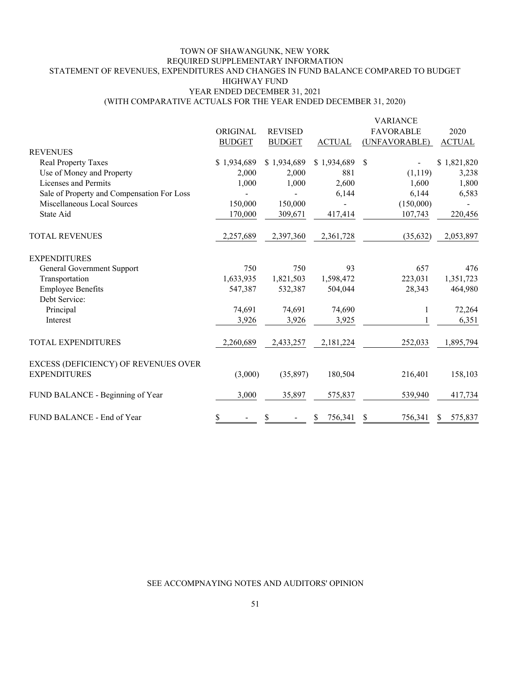# TOWN OF SHAWANGUNK, NEW YORK REQUIRED SUPPLEMENTARY INFORMATION STATEMENT OF REVENUES, EXPENDITURES AND CHANGES IN FUND BALANCE COMPARED TO BUDGET HIGHWAY FUND YEAR ENDED DECEMBER 31, 2021

#### (WITH COMPARATIVE ACTUALS FOR THE YEAR ENDED DECEMBER 31, 2020)

|                                            | ORIGINAL      | <b>REVISED</b> |               | <b>VARIANCE</b><br><b>FAVORABLE</b> | 2020          |
|--------------------------------------------|---------------|----------------|---------------|-------------------------------------|---------------|
|                                            | <b>BUDGET</b> | <b>BUDGET</b>  | <b>ACTUAL</b> | (UNFAVORABLE)                       | <b>ACTUAL</b> |
| <b>REVENUES</b>                            |               |                |               |                                     |               |
| Real Property Taxes                        | \$1,934,689   | \$1,934,689    | \$1,934,689   | - \$                                | \$1,821,820   |
| Use of Money and Property                  | 2,000         | 2,000          | 881           | (1, 119)                            | 3,238         |
| Licenses and Permits                       | 1,000         | 1,000          | 2,600         | 1,600                               | 1,800         |
| Sale of Property and Compensation For Loss |               |                | 6,144         | 6,144                               | 6,583         |
| Miscellaneous Local Sources                | 150,000       | 150,000        |               | (150,000)                           |               |
| State Aid                                  | 170,000       | 309,671        | 417,414       | 107,743                             | 220,456       |
| <b>TOTAL REVENUES</b>                      | 2,257,689     | 2,397,360      | 2,361,728     | (35,632)                            | 2,053,897     |
| <b>EXPENDITURES</b>                        |               |                |               |                                     |               |
| General Government Support                 | 750           | 750            | 93            | 657                                 | 476           |
| Transportation                             | 1,633,935     | 1,821,503      | 1,598,472     | 223,031                             | 1,351,723     |
| <b>Employee Benefits</b>                   | 547,387       | 532,387        | 504,044       | 28,343                              | 464,980       |
| Debt Service:                              |               |                |               |                                     |               |
| Principal                                  | 74,691        | 74,691         | 74,690        | 1                                   | 72,264        |
| Interest                                   | 3,926         | 3,926          | 3,925         | 1                                   | 6,351         |
| <b>TOTAL EXPENDITURES</b>                  | 2,260,689     | 2,433,257      | 2,181,224     | 252,033                             | 1,895,794     |
| EXCESS (DEFICIENCY) OF REVENUES OVER       |               |                |               |                                     |               |
| <b>EXPENDITURES</b>                        | (3,000)       | (35,897)       | 180,504       | 216,401                             | 158,103       |
| FUND BALANCE - Beginning of Year           | 3,000         | 35,897         | 575,837       | 539,940                             | 417,734       |
| FUND BALANCE - End of Year                 | \$            | \$             | 756,341       | 756,341<br>\$                       | 575,837<br>S  |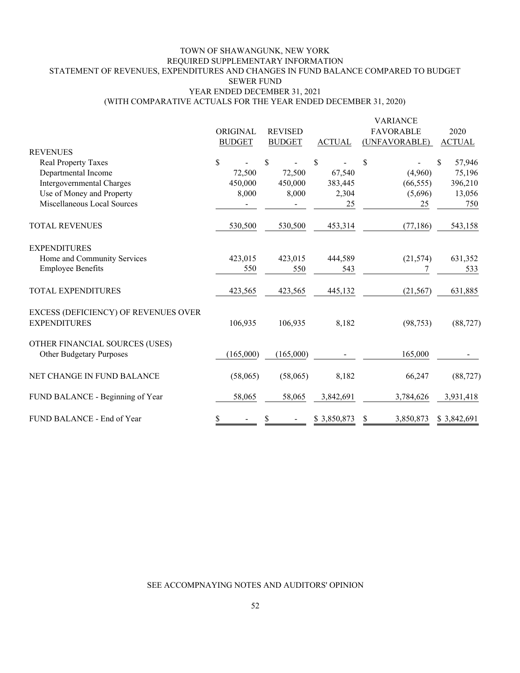#### (WITH COMPARATIVE ACTUALS FOR THE YEAR ENDED DECEMBER 31, 2020) TOWN OF SHAWANGUNK, NEW YORK REQUIRED SUPPLEMENTARY INFORMATION STATEMENT OF REVENUES, EXPENDITURES AND CHANGES IN FUND BALANCE COMPARED TO BUDGET SEWER FUND YEAR ENDED DECEMBER 31, 2021

|                                                             |               |                |               | <b>VARIANCE</b>  |               |
|-------------------------------------------------------------|---------------|----------------|---------------|------------------|---------------|
|                                                             | ORIGINAL      | <b>REVISED</b> |               | <b>FAVORABLE</b> | 2020          |
|                                                             | <b>BUDGET</b> | <b>BUDGET</b>  | <b>ACTUAL</b> | (UNFAVORABLE)    | <b>ACTUAL</b> |
| <b>REVENUES</b>                                             |               |                |               |                  |               |
| <b>Real Property Taxes</b>                                  | \$            | \$             | \$            | \$               | \$<br>57,946  |
| Departmental Income                                         | 72,500        | 72,500         | 67,540        | (4,960)          | 75,196        |
| Intergovernmental Charges                                   | 450,000       | 450,000        | 383,445       | (66, 555)        | 396,210       |
| Use of Money and Property                                   | 8,000         | 8,000          | 2,304         | (5,696)          | 13,056        |
| Miscellaneous Local Sources                                 |               |                | 25            | 25               | 750           |
| <b>TOTAL REVENUES</b>                                       | 530,500       | 530,500        | 453,314       | (77, 186)        | 543,158       |
| <b>EXPENDITURES</b>                                         |               |                |               |                  |               |
| Home and Community Services                                 | 423,015       | 423,015        | 444,589       | (21, 574)        | 631,352       |
| <b>Employee Benefits</b>                                    | 550           | 550            | 543           |                  | 533           |
| <b>TOTAL EXPENDITURES</b>                                   | 423,565       | 423,565        | 445,132       | (21, 567)        | 631,885       |
| EXCESS (DEFICIENCY) OF REVENUES OVER<br><b>EXPENDITURES</b> | 106,935       | 106,935        | 8,182         | (98, 753)        | (88, 727)     |
| OTHER FINANCIAL SOURCES (USES)<br>Other Budgetary Purposes  | (165,000)     | (165,000)      |               | 165,000          |               |
| NET CHANGE IN FUND BALANCE                                  | (58,065)      | (58,065)       | 8,182         | 66,247           | (88, 727)     |
| FUND BALANCE - Beginning of Year                            | 58,065        | 58,065         | 3,842,691     | 3,784,626        | 3,931,418     |
| FUND BALANCE - End of Year                                  | \$            | \$             | \$3,850,873   | 3,850,873<br>\$  | \$3,842,691   |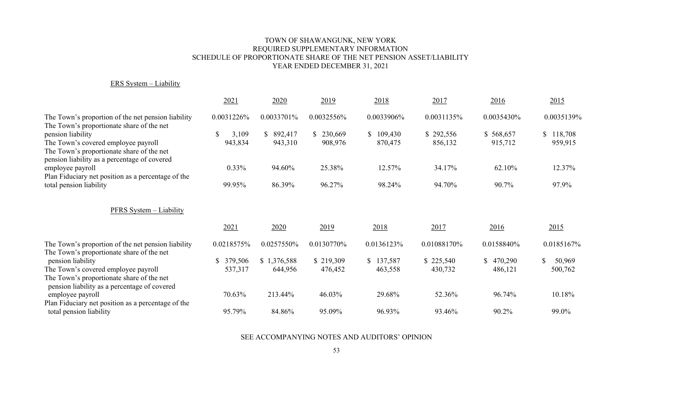#### TOWN OF SHAWANGUNK, NEW YORK REQUIRED SUPPLEMENTARY INFORMATION SCHEDULE OF PROPORTIONATE SHARE OF THE NET PENSION ASSET/LIABILITY YEAR ENDED DECEMBER 31, 2021

#### ERS System – Liability

|                                                                                                                                                       | 2021                             | 2020                  | 2019               | 2018                     | 2017                 | 2016                 | 2015                     |
|-------------------------------------------------------------------------------------------------------------------------------------------------------|----------------------------------|-----------------------|--------------------|--------------------------|----------------------|----------------------|--------------------------|
| The Town's proportion of the net pension liability<br>The Town's proportionate share of the net                                                       | 0.0031226%                       | 0.0033701%            | 0.0032556%         | 0.0033906%               | 0.0031135%           | 0.0035430%           | 0.0035139%               |
| pension liability<br>The Town's covered employee payroll<br>The Town's proportionate share of the net<br>pension liability as a percentage of covered | <sup>S</sup><br>3,109<br>943,834 | \$ 892,417<br>943,310 | 230,669<br>908,976 | S.<br>109,430<br>870,475 | \$292,556<br>856,132 | \$568,657<br>915,712 | \$<br>118,708<br>959,915 |
| employee payroll<br>Plan Fiduciary net position as a percentage of the                                                                                | $0.33\%$                         | 94.60%                | 25.38%             | 12.57%                   | 34.17%               | 62.10%               | 12.37%                   |
| total pension liability                                                                                                                               | 99.95%                           | 86.39%                | 96.27%             | 98.24%                   | 94.70%               | 90.7%                | 97.9%                    |
| PFRS System - Liability                                                                                                                               |                                  |                       |                    |                          |                      |                      |                          |
|                                                                                                                                                       | 2021                             | 2020                  | 2019               | 2018                     | 2017                 | 2016                 | 2015                     |
| The Town's proportion of the net pension liability<br>The Town's proportionate share of the net                                                       | 0.0218575%                       | 0.0257550%            | 0.0130770%         | 0.0136123%               | 0.01088170%          | 0.0158840%           | 0.0185167%               |
| pension liability                                                                                                                                     | \$ 379,506                       | \$1,376,588           | \$219,309          | 137,587<br><sup>S</sup>  | \$225,540            | 470,290<br>\$        | \$<br>50,969             |
| The Town's covered employee payroll                                                                                                                   | 537,317                          | 644,956               | 476,452            | 463,558                  | 430,732              | 486,121              | 500,762                  |
| The Town's proportionate share of the net<br>pension liability as a percentage of covered                                                             |                                  |                       |                    |                          |                      |                      |                          |
| employee payroll                                                                                                                                      | 70.63%                           | 213.44%               | 46.03%             | 29.68%                   | 52.36%               | 96.74%               | 10.18%                   |
| Plan Fiduciary net position as a percentage of the<br>total pension liability                                                                         | 95.79%                           | 84.86%                | 95.09%             | 96.93%                   | 93.46%               | 90.2%                | 99.0%                    |
|                                                                                                                                                       |                                  |                       |                    |                          |                      |                      |                          |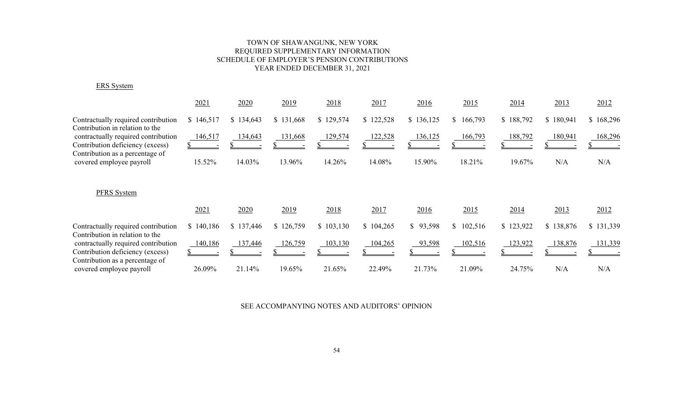### TOWN OF SHAWANGUNK, NEW YORK REQUIRED SUPPLEMENTARY INFORMATION SCHEDULE OF EMPLOYER'S PENSION CONTRIBUTIONS YEAR ENDED DECEMBER 31, 2021

ERS System

|                                                                        | 2021      | 2020      | 2019      | 2018      | 2017      | 2016      | 2015      | 2014      | 2013      | 2012      |
|------------------------------------------------------------------------|-----------|-----------|-----------|-----------|-----------|-----------|-----------|-----------|-----------|-----------|
| Contractually required contribution<br>Contribution in relation to the | \$146,517 | \$134,643 | \$131,668 | \$129,574 | \$122,528 | \$136,125 | \$166,793 | \$188,792 | \$180,941 | \$168,296 |
| contractually required contribution                                    | 146,517   | 134,643   | 131,668   | 129,574   | 122,528   | 136,125   | 166,793   | 188,792   | 180,941   | 168,296   |
| Contribution deficiency (excess)                                       |           |           |           |           |           |           |           |           |           |           |
| Contribution as a percentage of<br>covered employee payroll            | 15.52%    | 14.03%    | 13.96%    | 14.26%    | 14.08%    | 15.90%    | 18.21%    | 19.67%    | N/A       | N/A       |
| PFRS System                                                            |           |           |           |           |           |           |           |           |           |           |
|                                                                        | 2021      | 2020      | 2019      | 2018      | 2017      | 2016      | 2015      | 2014      | 2013      | 2012      |
| Contractually required contribution<br>Contribution in relation to the | \$140,186 | \$137,446 | \$126,759 | \$103,130 | \$104,265 | \$93,598  | \$102,516 | \$123,922 | \$138,876 | \$131,339 |
| contractually required contribution                                    | 140,186   | 137,446   | 126,759   | 103,130   | 104,265   | 93,598    | 102,516   | 123,922   | 138,876   | 131,339   |
| Contribution deficiency (excess)<br>Contribution as a percentage of    |           |           |           |           |           |           |           |           |           |           |
| covered employee payroll                                               | 26.09%    | 21.14%    | 19.65%    | 21.65%    | 22.49%    | 21.73%    | 21.09%    | 24.75%    | N/A       | N/A       |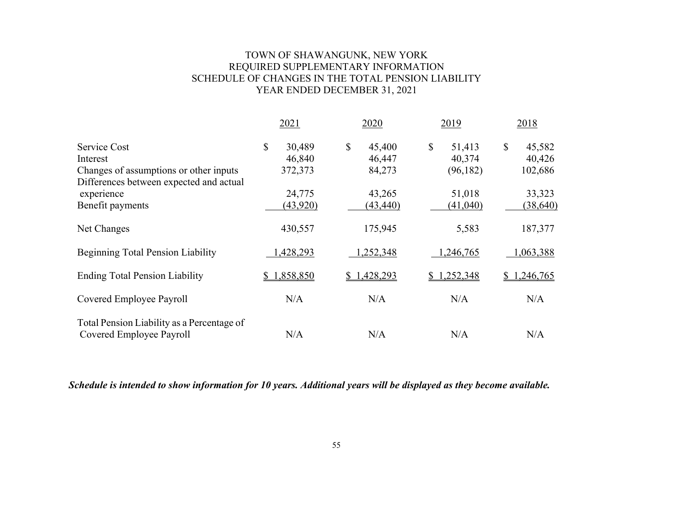# TOWN OF SHAWANGUNK, NEW YORK REQUIRED SUPPLEMENTARY INFORMATION SCHEDULE OF CHANGES IN THE TOTAL PENSION LIABILITY YEAR ENDED DECEMBER 31, 2021

|                                                                                                               | 2021                              | 2020                             | 2019                                | 2018                              |
|---------------------------------------------------------------------------------------------------------------|-----------------------------------|----------------------------------|-------------------------------------|-----------------------------------|
| Service Cost<br>Interest<br>Changes of assumptions or other inputs<br>Differences between expected and actual | \$<br>30,489<br>46,840<br>372,373 | \$<br>45,400<br>46,447<br>84,273 | \$<br>51,413<br>40,374<br>(96, 182) | \$<br>45,582<br>40,426<br>102,686 |
| experience                                                                                                    | 24,775                            | 43,265                           | 51,018                              | 33,323                            |
| Benefit payments                                                                                              | (43,920)                          | (43, 440)                        | (41,040)                            | (38, 640)                         |
| Net Changes                                                                                                   | 430,557                           | 175,945                          | 5,583                               | 187,377                           |
| <b>Beginning Total Pension Liability</b>                                                                      | 1,428,293                         | 1,252,348                        | 1,246,765                           | 1,063,388                         |
| <b>Ending Total Pension Liability</b>                                                                         | 1,858,850<br>S.                   | 1,428,293                        | \$1,252,348                         | 1,246,765<br>\$                   |
| Covered Employee Payroll                                                                                      | N/A                               | N/A                              | N/A                                 | N/A                               |
| Total Pension Liability as a Percentage of<br>Covered Employee Payroll                                        | N/A                               | N/A                              | N/A                                 | N/A                               |

 *Schedule is intended to show information for 10 years. Additional years will be displayed as they become available.*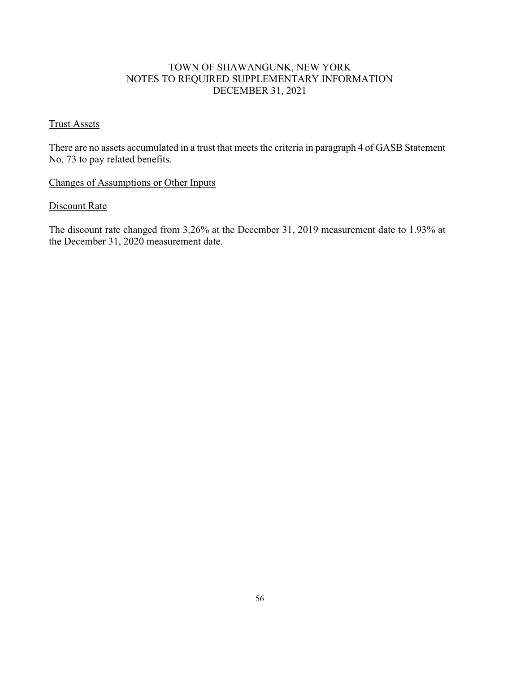# TOWN OF SHAWANGUNK, NEW YORK NOTES TO REQUIRED SUPPLEMENTARY INFORMATION DECEMBER 31, 2021

### Trust Assets

There are no assets accumulated in a trust that meets the criteria in paragraph 4 of GASB Statement No. 73 to pay related benefits.

# Changes of Assumptions or Other Inputs

# Discount Rate

The discount rate changed from 3.26% at the December 31, 2019 measurement date to 1.93% at the December 31, 2020 measurement date.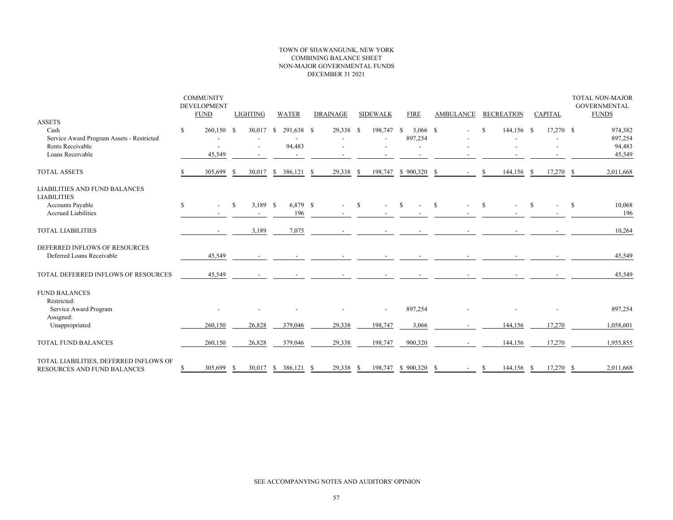#### TOWN OF SHAWANGUNK, NEW YORK COMBINING BALANCE SHEET NON-MAJOR GOVERNMENTAL FUNDS DECEMBER 31 2021

|                                                                       | <b>COMMUNITY</b><br><b>DEVELOPMENT</b><br><b>FUND</b> |               | <b>LIGHTING</b> | <b>WATER</b>       |     | <b>DRAINAGE</b>          |      | <b>SIDEWALK</b> | <b>FIRE</b>                 |   | <b>AMBULANCE</b> |               | <b>RECREATION</b> |    | <b>CAPITAL</b> |               | <b>TOTAL NON-MAJOR</b><br><b>GOVERNMENTAL</b><br><b>FUNDS</b> |
|-----------------------------------------------------------------------|-------------------------------------------------------|---------------|-----------------|--------------------|-----|--------------------------|------|-----------------|-----------------------------|---|------------------|---------------|-------------------|----|----------------|---------------|---------------------------------------------------------------|
| <b>ASSETS</b><br>Cash<br>Service Award Program Assets - Restricted    | \$<br>260,150 \$                                      |               | 30,017          | 291,638 \$<br>- \$ |     | 29,338 \$                |      | 198,747         | -S<br>$3,066$ \$<br>897,254 |   |                  | S             | 144,156 \$        |    | $17,270$ \$    |               | 974,382<br>897,254                                            |
| Rents Receivable<br>Loans Receivable                                  | 45,549                                                |               |                 | 94,483             |     |                          |      |                 |                             |   |                  |               |                   |    |                |               | 94,483<br>45,549                                              |
| <b>TOTAL ASSETS</b>                                                   | 305,699                                               | -S            |                 | 30,017 \$ 386,121  | - S | 29,338                   | - \$ | 198,747         | $$900,320$ \$               |   |                  | S             | 144,156 \$        |    | $17,270$ \$    |               | 2,011,668                                                     |
| <b>LIABILITIES AND FUND BALANCES</b><br><b>LIABILITIES</b>            |                                                       |               |                 |                    |     |                          |      |                 |                             |   |                  |               |                   |    |                |               |                                                               |
| Accounts Payable<br><b>Accrued Liabilities</b>                        | \$<br>$\overline{\phantom{a}}$                        | <sup>\$</sup> | 3,189 \$        | 6,879 \$<br>196    |     | $\overline{\phantom{a}}$ | -S   |                 | <sup>\$</sup>               | S |                  | <sup>\$</sup> |                   | -S |                | <sup>\$</sup> | 10,068<br>196                                                 |
| <b>TOTAL LIABILITIES</b>                                              |                                                       |               | 3,189           | 7,075              |     |                          |      |                 |                             |   |                  |               |                   |    |                |               | 10,264                                                        |
| DEFERRED INFLOWS OF RESOURCES<br>Deferred Loans Receivable            | 45,549                                                |               |                 |                    |     |                          |      |                 |                             |   |                  |               |                   |    |                |               | 45,549                                                        |
| TOTAL DEFERRED INFLOWS OF RESOURCES                                   | 45,549                                                |               |                 |                    |     |                          |      |                 |                             |   |                  |               |                   |    |                |               | 45,549                                                        |
| <b>FUND BALANCES</b><br>Restricted:<br>Service Award Program          |                                                       |               |                 |                    |     |                          |      |                 | 897,254                     |   |                  |               |                   |    |                |               | 897,254                                                       |
| Assigned:<br>Unappropriated                                           | 260,150                                               |               | 26,828          | 379,046            |     | 29,338                   |      | 198,747         | 3,066                       |   |                  |               | 144,156           |    | 17,270         |               | 1,058,601                                                     |
| TOTAL FUND BALANCES                                                   | 260,150                                               |               | 26,828          | 379,046            |     | 29,338                   |      | 198,747         | 900,320                     |   |                  |               | 144,156           |    | 17,270         |               | 1,955,855                                                     |
| TOTAL LIABILITIES, DEFERRED INFLOWS OF<br>RESOURCES AND FUND BALANCES | 305,699                                               |               |                 | 30,017 \$ 386,121  | - S | 29,338                   | -S   | 198,747         | $$900,320$ \$               |   | $\sim$           | S.            | 144,156 \$        |    | $17,270$ \$    |               | 2,011,668                                                     |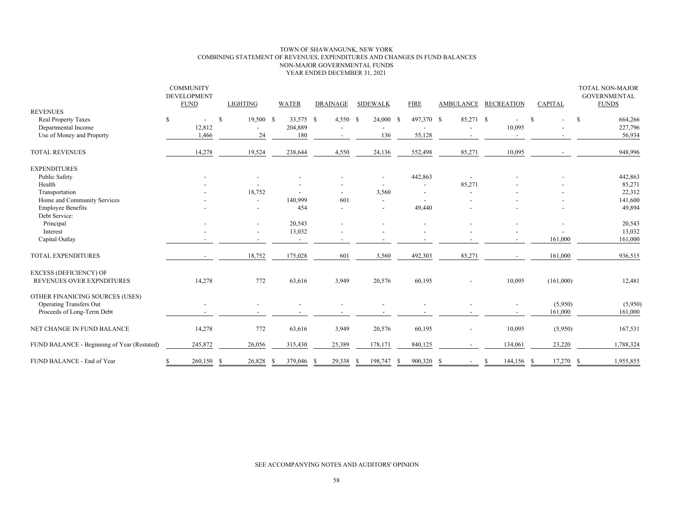#### TOWN OF SHAWANGUNK, NEW YORK COMBINING STATEMENT OF REVENUES, EXPENDITURES AND CHANGES IN FUND BALANCES NON-MAJOR GOVERNMENTAL FUNDS YEAR ENDED DECEMBER 31, 2021

|                                             | <b>COMMUNITY</b><br><b>DEVELOPMENT</b><br><b>FUND</b> | LIGHTING                  | <b>WATER</b>             | <b>DRAINAGE</b>          | <b>SIDEWALK</b>          | <b>FIRE</b>              |                          | AMBULANCE RECREATION | <b>CAPITAL</b> | TOTAL NON-MAJOR<br><b>GOVERNMENTAL</b><br><b>FUNDS</b> |
|---------------------------------------------|-------------------------------------------------------|---------------------------|--------------------------|--------------------------|--------------------------|--------------------------|--------------------------|----------------------|----------------|--------------------------------------------------------|
| <b>REVENUES</b>                             |                                                       |                           |                          |                          |                          |                          |                          |                      |                |                                                        |
| Real Property Taxes                         | \$                                                    | <sup>S</sup><br>19,500 \$ | 33.575 \$                | $4,550$ \$               | 24,000                   | 497,370 \$<br>-S         | 85,271 \$                |                      | S              | <sup>\$</sup><br>664,266                               |
| Departmental Income                         | 12,812                                                |                           | 204,889                  |                          |                          |                          |                          | 10,095               |                | 227,796                                                |
| Use of Money and Property                   | 1,466                                                 | 24                        | 180                      | $\overline{\phantom{a}}$ | 136                      | 55,128                   | $\overline{\phantom{a}}$ | $\overline{a}$       |                | 56,934                                                 |
| <b>TOTAL REVENUES</b>                       | 14,278                                                | 19,524                    | 238,644                  | 4,550                    | 24,136                   | 552,498                  | 85,271                   | 10,095               |                | 948,996                                                |
| <b>EXPENDITURES</b>                         |                                                       |                           |                          |                          |                          |                          |                          |                      |                |                                                        |
| Public Safety                               |                                                       |                           |                          |                          |                          | 442,863                  |                          |                      |                | 442,863                                                |
| Health                                      |                                                       |                           |                          |                          |                          | $\overline{\phantom{a}}$ | 85,271                   |                      |                | 85,271                                                 |
| Transportation                              |                                                       | 18,752                    |                          |                          | 3,560                    |                          |                          |                      |                | 22,312                                                 |
| Home and Community Services                 |                                                       | $\overline{\phantom{a}}$  | 140,999                  | 601                      | $\overline{\phantom{a}}$ |                          |                          |                      |                | 141,600                                                |
| <b>Employee Benefits</b>                    |                                                       |                           | 454                      |                          |                          | 49,440                   |                          |                      |                | 49,894                                                 |
| Debt Service:                               |                                                       |                           |                          |                          |                          |                          |                          |                      |                |                                                        |
| Principal                                   |                                                       |                           | 20,543                   |                          |                          |                          |                          |                      |                | 20,543                                                 |
| Interest                                    |                                                       |                           | 13,032                   |                          |                          |                          |                          |                      |                | 13,032                                                 |
| Capital Outlay                              |                                                       |                           | $\overline{\phantom{a}}$ | $\overline{\phantom{a}}$ |                          |                          |                          |                      | 161,000        | 161,000                                                |
| TOTAL EXPENDITURES                          |                                                       | 18,752                    | 175,028                  | 601                      | 3,560                    | 492,303                  | 85,271                   |                      | 161,000        | 936,515                                                |
| <b>EXCESS (DEFICIENCY) OF</b>               |                                                       |                           |                          |                          |                          |                          |                          |                      |                |                                                        |
| REVENUES OVER EXPNDITURES                   | 14,278                                                | 772                       | 63,616                   | 3,949                    | 20,576                   | 60,195                   |                          | 10,095               | (161,000)      | 12,481                                                 |
| OTHER FINANICING SOURCES (USES)             |                                                       |                           |                          |                          |                          |                          |                          |                      |                |                                                        |
| <b>Operating Transfers Out</b>              |                                                       |                           |                          |                          |                          |                          |                          |                      | (5,950)        | (5,950)                                                |
| Proceeds of Long-Term Debt                  |                                                       |                           |                          |                          |                          |                          |                          |                      | 161,000        | 161,000                                                |
| NET CHANGE IN FUND BALANCE                  | 14,278                                                | 772                       | 63,616                   | 3,949                    | 20,576                   | 60,195                   |                          | 10,095               | (5,950)        | 167,531                                                |
| FUND BALANCE - Beginning of Year (Restated) | 245,872                                               | 26,056                    | 315,430                  | 25,389                   | 178,171                  | 840,125                  |                          | 134,061              | 23,220         | 1,788,324                                              |
| FUND BALANCE - End of Year                  | 260,150 \$<br>\$                                      | 26,828                    | 379,046 \$<br>- \$       | 29,338                   | 198,747<br>-S            | 900,320 \$<br>-S         |                          | 144,156 \$<br>-S     | 17,270 \$      | 1,955,855                                              |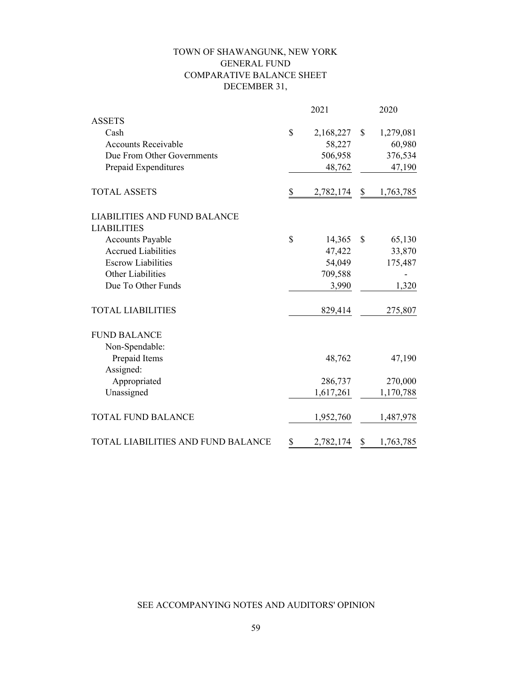# TOWN OF SHAWANGUNK, NEW YORK GENERAL FUND COMPARATIVE BALANCE SHEET DECEMBER 31,

|                                     | 2021            |              | 2020      |
|-------------------------------------|-----------------|--------------|-----------|
| <b>ASSETS</b>                       |                 |              |           |
| Cash                                | \$<br>2,168,227 | $\mathbb{S}$ | 1,279,081 |
| <b>Accounts Receivable</b>          | 58,227          |              | 60,980    |
| Due From Other Governments          | 506,958         |              | 376,534   |
| Prepaid Expenditures                | 48,762          |              | 47,190    |
| <b>TOTAL ASSETS</b>                 | \$<br>2,782,174 | \$           | 1,763,785 |
| <b>LIABILITIES AND FUND BALANCE</b> |                 |              |           |
| <b>LIABILITIES</b>                  |                 |              |           |
| <b>Accounts Payable</b>             | \$<br>14,365    | \$           | 65,130    |
| <b>Accrued Liabilities</b>          | 47,422          |              | 33,870    |
| <b>Escrow Liabilities</b>           | 54,049          |              | 175,487   |
| <b>Other Liabilities</b>            | 709,588         |              |           |
| Due To Other Funds                  | 3,990           |              | 1,320     |
| <b>TOTAL LIABILITIES</b>            | 829,414         |              | 275,807   |
| <b>FUND BALANCE</b>                 |                 |              |           |
| Non-Spendable:                      |                 |              |           |
| Prepaid Items                       | 48,762          |              | 47,190    |
| Assigned:                           |                 |              |           |
| Appropriated                        | 286,737         |              | 270,000   |
| Unassigned                          | 1,617,261       |              | 1,170,788 |
| <b>TOTAL FUND BALANCE</b>           | 1,952,760       |              | 1,487,978 |
| TOTAL LIABILITIES AND FUND BALANCE  | \$<br>2,782,174 | \$           | 1,763,785 |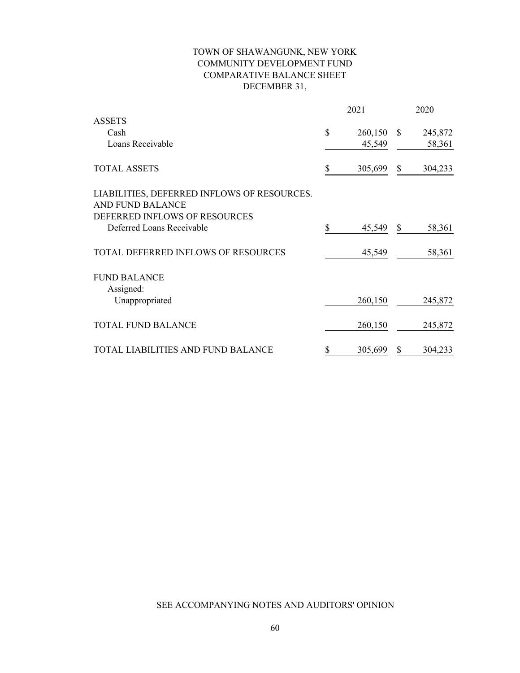# TOWN OF SHAWANGUNK, NEW YORK COMMUNITY DEVELOPMENT FUND COMPARATIVE BALANCE SHEET DECEMBER 31,

|                                             | 2021          | 2020          |         |  |
|---------------------------------------------|---------------|---------------|---------|--|
| <b>ASSETS</b>                               |               |               |         |  |
| Cash                                        | \$<br>260,150 | <sup>\$</sup> | 245,872 |  |
| Loans Receivable                            | 45,549        |               | 58,361  |  |
| <b>TOTAL ASSETS</b>                         | \$<br>305,699 | $\mathbb{S}$  | 304,233 |  |
| LIABILITIES, DEFERRED INFLOWS OF RESOURCES. |               |               |         |  |
| <b>AND FUND BALANCE</b>                     |               |               |         |  |
| DEFERRED INFLOWS OF RESOURCES               |               |               |         |  |
| Deferred Loans Receivable                   | \$<br>45,549  | \$            | 58,361  |  |
| <b>TOTAL DEFERRED INFLOWS OF RESOURCES</b>  | 45,549        |               | 58,361  |  |
| <b>FUND BALANCE</b>                         |               |               |         |  |
| Assigned:                                   |               |               |         |  |
| Unappropriated                              | 260,150       |               | 245,872 |  |
| <b>TOTAL FUND BALANCE</b>                   | 260,150       |               | 245,872 |  |
| TOTAL LIABILITIES AND FUND BALANCE          | \$<br>305,699 | \$            | 304,233 |  |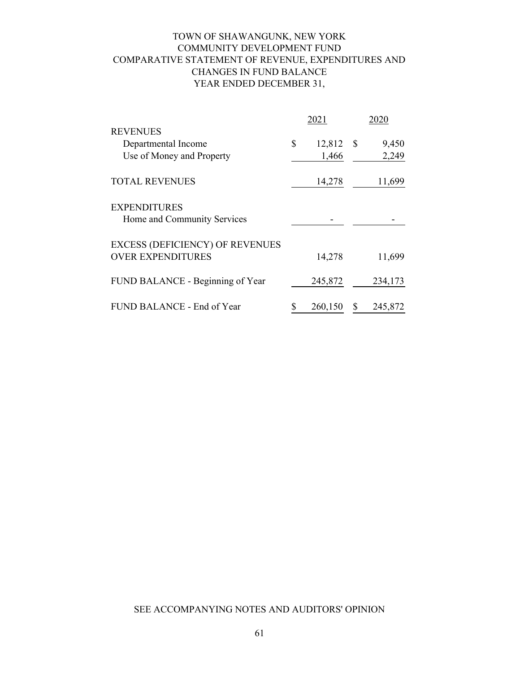# TOWN OF SHAWANGUNK, NEW YORK COMMUNITY DEVELOPMENT FUND YEAR ENDED DECEMBER 31, COMPARATIVE STATEMENT OF REVENUE, EXPENDITURES AND CHANGES IN FUND BALANCE

|                                        | 2021         |          | 2020    |
|----------------------------------------|--------------|----------|---------|
| <b>REVENUES</b>                        |              |          |         |
| Departmental Income                    | \$<br>12,812 | <b>S</b> | 9,450   |
| Use of Money and Property              | 1,466        |          | 2,249   |
| <b>TOTAL REVENUES</b>                  | 14,278       |          | 11,699  |
| <b>EXPENDITURES</b>                    |              |          |         |
| Home and Community Services            |              |          |         |
| <b>EXCESS (DEFICIENCY) OF REVENUES</b> |              |          |         |
| <b>OVER EXPENDITURES</b>               | 14,278       |          | 11,699  |
| FUND BALANCE - Beginning of Year       | 245,872      |          | 234,173 |
| FUND BALANCE - End of Year             | 260,150      | S        | 245,872 |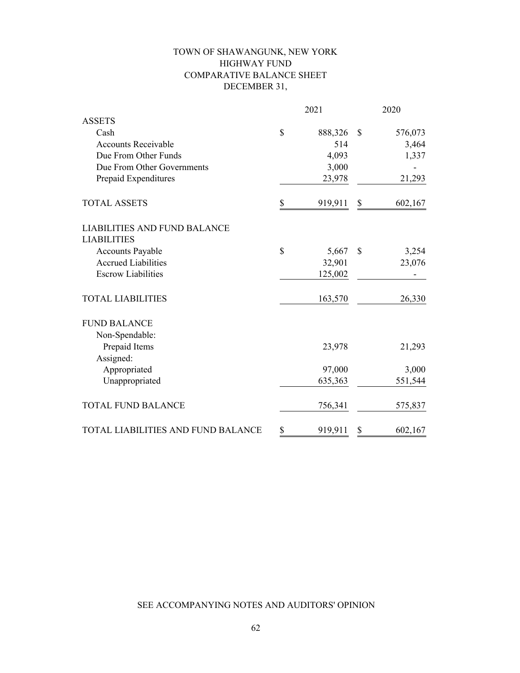# TOWN OF SHAWANGUNK, NEW YORK HIGHWAY FUND COMPARATIVE BALANCE SHEET DECEMBER 31,

|                                     | 2021 |         |               | 2020    |  |  |  |
|-------------------------------------|------|---------|---------------|---------|--|--|--|
| <b>ASSETS</b>                       |      |         |               |         |  |  |  |
| Cash                                | \$   | 888,326 | \$            | 576,073 |  |  |  |
| <b>Accounts Receivable</b>          |      | 514     |               | 3,464   |  |  |  |
| Due From Other Funds                |      | 4,093   |               | 1,337   |  |  |  |
| Due From Other Governments          |      | 3,000   |               |         |  |  |  |
| Prepaid Expenditures                |      | 23,978  |               | 21,293  |  |  |  |
| <b>TOTAL ASSETS</b>                 | \$   | 919,911 | \$            | 602,167 |  |  |  |
| <b>LIABILITIES AND FUND BALANCE</b> |      |         |               |         |  |  |  |
| <b>LIABILITIES</b>                  |      |         |               |         |  |  |  |
| <b>Accounts Payable</b>             | \$   | 5,667   | $\mathcal{S}$ | 3,254   |  |  |  |
| <b>Accrued Liabilities</b>          |      | 32,901  |               | 23,076  |  |  |  |
| <b>Escrow Liabilities</b>           |      | 125,002 |               |         |  |  |  |
| <b>TOTAL LIABILITIES</b>            |      | 163,570 |               | 26,330  |  |  |  |
| <b>FUND BALANCE</b>                 |      |         |               |         |  |  |  |
| Non-Spendable:                      |      |         |               |         |  |  |  |
| Prepaid Items                       |      | 23,978  |               | 21,293  |  |  |  |
| Assigned:                           |      |         |               |         |  |  |  |
| Appropriated                        |      | 97,000  |               | 3,000   |  |  |  |
| Unappropriated                      |      | 635,363 |               | 551,544 |  |  |  |
| <b>TOTAL FUND BALANCE</b>           |      | 756,341 |               | 575,837 |  |  |  |
| TOTAL LIABILITIES AND FUND BALANCE  | \$   | 919,911 | \$            | 602,167 |  |  |  |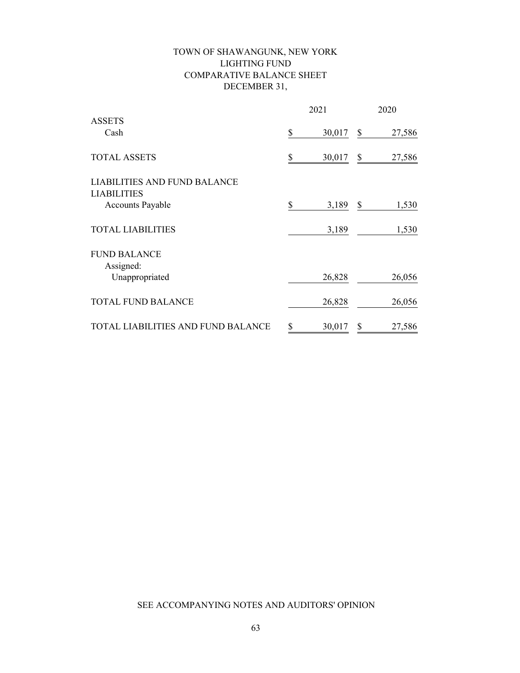# TOWN OF SHAWANGUNK, NEW YORK LIGHTING FUND COMPARATIVE BALANCE SHEET DECEMBER 31,

|                                               | 2021 |        | 2020 |        |  |
|-----------------------------------------------|------|--------|------|--------|--|
| <b>ASSETS</b><br>Cash                         | \$   | 30,017 | \$   | 27,586 |  |
| <b>TOTAL ASSETS</b>                           | S    | 30,017 | \$   | 27,586 |  |
| <b>LIABILITIES AND FUND BALANCE</b>           |      |        |      |        |  |
| <b>LIABILITIES</b><br><b>Accounts Payable</b> | \$   | 3,189  | \$   | 1,530  |  |
| <b>TOTAL LIABILITIES</b>                      |      | 3,189  |      | 1,530  |  |
| <b>FUND BALANCE</b>                           |      |        |      |        |  |
| Assigned:<br>Unappropriated                   |      | 26,828 |      | 26,056 |  |
| <b>TOTAL FUND BALANCE</b>                     |      | 26,828 |      | 26,056 |  |
| TOTAL LIABILITIES AND FUND BALANCE            | \$   | 30,017 | \$   | 27,586 |  |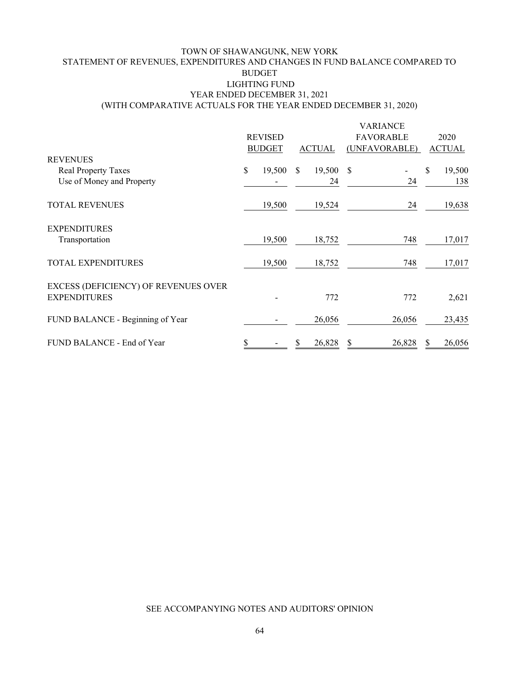### TOWN OF SHAWANGUNK, NEW YORK STATEMENT OF REVENUES, EXPENDITURES AND CHANGES IN FUND BALANCE COMPARED TO BUDGET LIGHTING FUND YEAR ENDED DECEMBER 31, 2021 (WITH COMPARATIVE ACTUALS FOR THE YEAR ENDED DECEMBER 31, 2020)

|                                      |                |        |               |        | <b>VARIANCE</b>  |              |  |  |               |  |  |  |               |               |
|--------------------------------------|----------------|--------|---------------|--------|------------------|--------------|--|--|---------------|--|--|--|---------------|---------------|
|                                      | <b>REVISED</b> |        |               |        | <b>FAVORABLE</b> | 2020         |  |  |               |  |  |  |               |               |
|                                      |                |        | <b>BUDGET</b> |        |                  |              |  |  | <b>ACTUAL</b> |  |  |  | (UNFAVORABLE) | <b>ACTUAL</b> |
| <b>REVENUES</b>                      |                |        |               |        |                  |              |  |  |               |  |  |  |               |               |
| <b>Real Property Taxes</b>           | \$             | 19,500 | S             | 19,500 | <sup>\$</sup>    | \$<br>19,500 |  |  |               |  |  |  |               |               |
| Use of Money and Property            |                |        |               | 24     | 24               | 138          |  |  |               |  |  |  |               |               |
| <b>TOTAL REVENUES</b>                |                | 19,500 |               | 19,524 | 24               | 19,638       |  |  |               |  |  |  |               |               |
| <b>EXPENDITURES</b>                  |                |        |               |        |                  |              |  |  |               |  |  |  |               |               |
| Transportation                       |                | 19,500 |               | 18,752 | 748              | 17,017       |  |  |               |  |  |  |               |               |
| <b>TOTAL EXPENDITURES</b>            |                | 19,500 |               | 18,752 | 748              | 17,017       |  |  |               |  |  |  |               |               |
| EXCESS (DEFICIENCY) OF REVENUES OVER |                |        |               |        |                  |              |  |  |               |  |  |  |               |               |
| <b>EXPENDITURES</b>                  |                |        |               | 772    | 772              | 2,621        |  |  |               |  |  |  |               |               |
| FUND BALANCE - Beginning of Year     |                |        |               | 26,056 | 26,056           | 23,435       |  |  |               |  |  |  |               |               |
| FUND BALANCE - End of Year           |                |        | S             | 26,828 | 26,828           | 26,056       |  |  |               |  |  |  |               |               |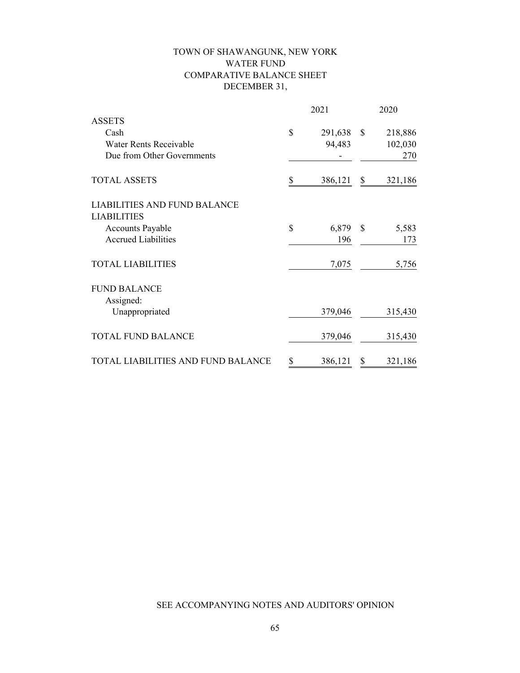# TOWN OF SHAWANGUNK, NEW YORK WATER FUND COMPARATIVE BALANCE SHEET DECEMBER 31,

|                                     | 2021 |         | 2020          |         |  |
|-------------------------------------|------|---------|---------------|---------|--|
| <b>ASSETS</b>                       |      |         |               |         |  |
| Cash                                | \$   | 291,638 | $\mathbb{S}$  | 218,886 |  |
| Water Rents Receivable              |      | 94,483  |               | 102,030 |  |
| Due from Other Governments          |      |         |               | 270     |  |
| <b>TOTAL ASSETS</b>                 | \$   | 386,121 | \$            | 321,186 |  |
| <b>LIABILITIES AND FUND BALANCE</b> |      |         |               |         |  |
| <b>LIABILITIES</b>                  |      |         |               |         |  |
| <b>Accounts Payable</b>             | \$   | 6,879   | $\mathcal{S}$ | 5,583   |  |
| <b>Accrued Liabilities</b>          |      | 196     |               | 173     |  |
| <b>TOTAL LIABILITIES</b>            |      | 7,075   |               | 5,756   |  |
| <b>FUND BALANCE</b><br>Assigned:    |      |         |               |         |  |
| Unappropriated                      |      | 379,046 |               | 315,430 |  |
| <b>TOTAL FUND BALANCE</b>           |      | 379,046 |               | 315,430 |  |
| TOTAL LIABILITIES AND FUND BALANCE  | \$   | 386,121 | \$            | 321,186 |  |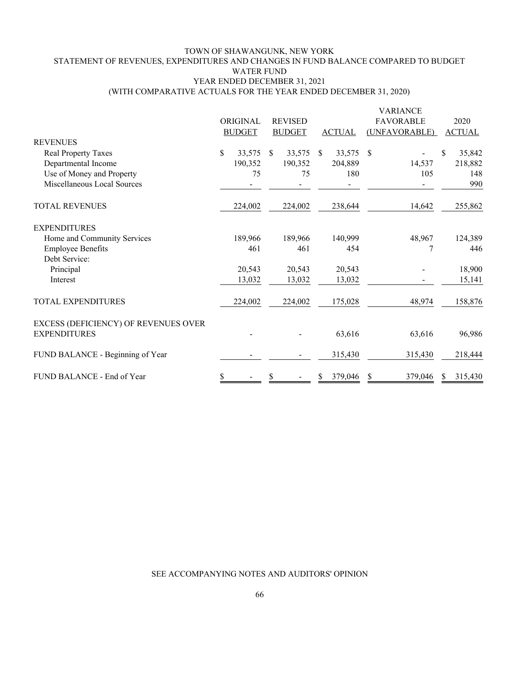#### TOWN OF SHAWANGUNK, NEW YORK STATEMENT OF REVENUES, EXPENDITURES AND CHANGES IN FUND BALANCE COMPARED TO BUDGET WATER FUND YEAR ENDED DECEMBER 31, 2021 (WITH COMPARATIVE ACTUALS FOR THE YEAR ENDED DECEMBER 31, 2020)

| <b>REVENUES</b>                      | ORIGINAL<br><b>BUDGET</b> |        |               | <b>REVISED</b><br><b>BUDGET</b> |              | <b>ACTUAL</b> | <b>VARIANCE</b><br><b>FAVORABLE</b><br>(UNFAVORABLE) | 2020<br><b>ACTUAL</b> |
|--------------------------------------|---------------------------|--------|---------------|---------------------------------|--------------|---------------|------------------------------------------------------|-----------------------|
|                                      |                           |        |               |                                 |              |               |                                                      |                       |
| <b>Real Property Taxes</b>           | \$<br>33,575              |        | <sup>\$</sup> | 33,575                          | <sup>S</sup> | 33,575        | - S                                                  | \$<br>35,842          |
| Departmental Income                  | 190,352                   |        |               | 190,352                         |              | 204,889       | 14,537                                               | 218,882               |
| Use of Money and Property            |                           | 75     |               | 75                              |              | 180           | 105                                                  | 148                   |
| Miscellaneous Local Sources          |                           |        |               |                                 |              |               |                                                      | 990                   |
| <b>TOTAL REVENUES</b>                | 224,002                   |        |               | 224,002                         |              | 238,644       | 14,642                                               | 255,862               |
| <b>EXPENDITURES</b>                  |                           |        |               |                                 |              |               |                                                      |                       |
| Home and Community Services          | 189,966                   |        |               | 189,966                         |              | 140,999       | 48,967                                               | 124,389               |
| <b>Employee Benefits</b>             |                           | 461    |               | 461                             |              | 454           | 7                                                    | 446                   |
| Debt Service:                        |                           |        |               |                                 |              |               |                                                      |                       |
| Principal                            | 20,543                    |        |               | 20,543                          |              | 20,543        |                                                      | 18,900                |
| Interest                             |                           | 13,032 |               | 13,032                          |              | 13,032        |                                                      | 15,141                |
| TOTAL EXPENDITURES                   | 224,002                   |        |               | 224,002                         |              | 175,028       | 48,974                                               | 158,876               |
| EXCESS (DEFICIENCY) OF REVENUES OVER |                           |        |               |                                 |              |               |                                                      |                       |
| <b>EXPENDITURES</b>                  |                           |        |               |                                 |              | 63,616        | 63,616                                               | 96,986                |
| FUND BALANCE - Beginning of Year     |                           |        |               |                                 |              | 315,430       | 315,430                                              | 218,444               |
| FUND BALANCE - End of Year           |                           |        |               |                                 |              | 379,046       | 379,046<br>S                                         | 315,430               |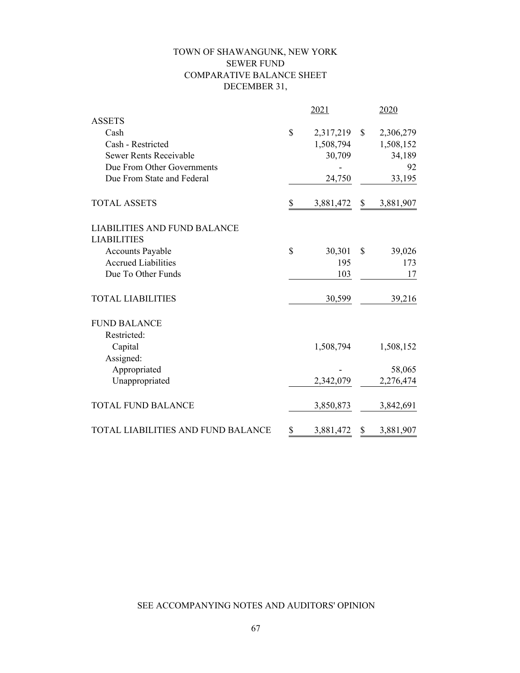# TOWN OF SHAWANGUNK, NEW YORK SEWER FUND COMPARATIVE BALANCE SHEET DECEMBER 31,

|                                     | 2021            | 2020            |
|-------------------------------------|-----------------|-----------------|
| <b>ASSETS</b>                       |                 |                 |
| Cash                                | \$<br>2,317,219 | \$<br>2,306,279 |
| Cash - Restricted                   | 1,508,794       | 1,508,152       |
| Sewer Rents Receivable              | 30,709          | 34,189          |
| Due From Other Governments          |                 | 92              |
| Due From State and Federal          | 24,750          | 33,195          |
| <b>TOTAL ASSETS</b>                 | \$<br>3,881,472 | \$<br>3,881,907 |
| <b>LIABILITIES AND FUND BALANCE</b> |                 |                 |
| <b>LIABILITIES</b>                  |                 |                 |
| <b>Accounts Payable</b>             | \$<br>30,301    | \$<br>39,026    |
| <b>Accrued Liabilities</b>          | 195             | 173             |
| Due To Other Funds                  | 103             | 17              |
| <b>TOTAL LIABILITIES</b>            | 30,599          | 39,216          |
| <b>FUND BALANCE</b>                 |                 |                 |
| Restricted:                         |                 |                 |
| Capital                             | 1,508,794       | 1,508,152       |
| Assigned:                           |                 |                 |
| Appropriated                        |                 | 58,065          |
| Unappropriated                      | 2,342,079       | 2,276,474       |
| <b>TOTAL FUND BALANCE</b>           | 3,850,873       | 3,842,691       |
| TOTAL LIABILITIES AND FUND BALANCE  | \$<br>3,881,472 | \$<br>3,881,907 |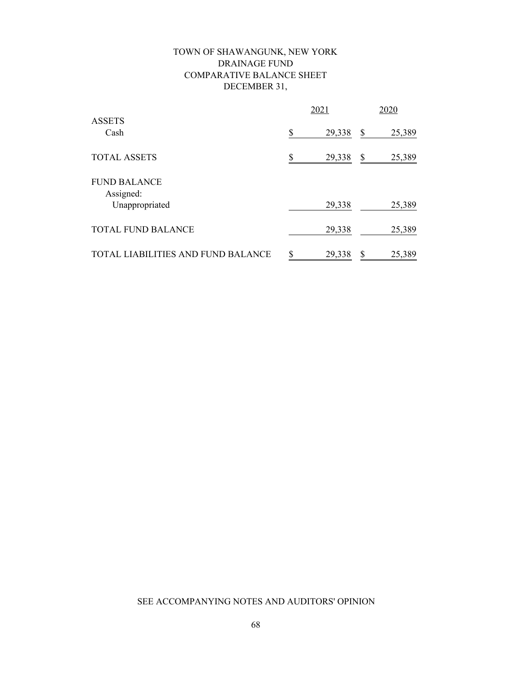# TOWN OF SHAWANGUNK, NEW YORK DRAINAGE FUND COMPARATIVE BALANCE SHEET DECEMBER 31,

|                                    |    | 2021   | 2020 |        |  |
|------------------------------------|----|--------|------|--------|--|
| <b>ASSETS</b><br>Cash              | \$ | 29,338 | \$   | 25,389 |  |
| <b>TOTAL ASSETS</b>                |    | 29,338 | \$   | 25,389 |  |
| <b>FUND BALANCE</b><br>Assigned:   |    |        |      |        |  |
| Unappropriated                     |    | 29,338 |      | 25,389 |  |
| <b>TOTAL FUND BALANCE</b>          |    | 29,338 |      | 25,389 |  |
| TOTAL LIABILITIES AND FUND BALANCE | \$ | 29,338 | \$   | 25,389 |  |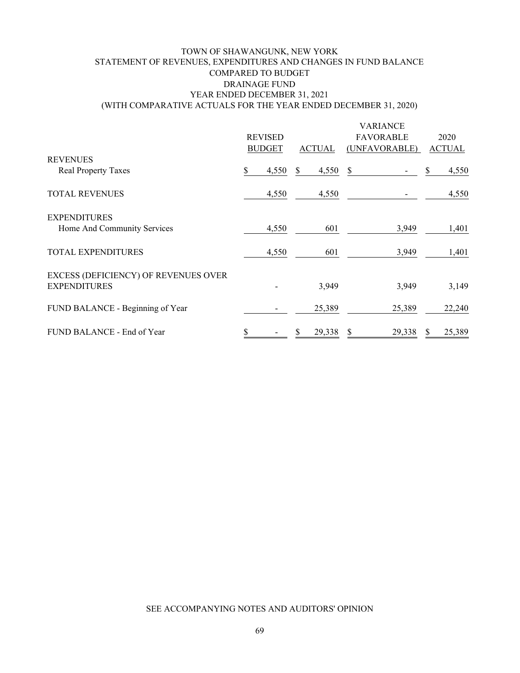### TOWN OF SHAWANGUNK, NEW YORK STATEMENT OF REVENUES, EXPENDITURES AND CHANGES IN FUND BALANCE COMPARED TO BUDGET DRAINAGE FUND YEAR ENDED DECEMBER 31, 2021 (WITH COMPARATIVE ACTUALS FOR THE YEAR ENDED DECEMBER 31, 2020)

|                                      |                |               |   |               | <b>VARIANCE</b>  |               |
|--------------------------------------|----------------|---------------|---|---------------|------------------|---------------|
|                                      | <b>REVISED</b> |               |   |               | <b>FAVORABLE</b> | 2020          |
|                                      |                | <b>BUDGET</b> |   | <b>ACTUAL</b> | (UNFAVORABLE)    | <b>ACTUAL</b> |
| <b>REVENUES</b>                      |                |               |   |               |                  |               |
| <b>Real Property Taxes</b>           | S              | 4,550         | S | 4,550         | \$               | 4,550         |
| <b>TOTAL REVENUES</b>                |                | 4,550         |   | 4,550         |                  | 4,550         |
| <b>EXPENDITURES</b>                  |                |               |   |               |                  |               |
| Home And Community Services          |                | 4,550         |   | 601           | 3,949            | 1,401         |
| <b>TOTAL EXPENDITURES</b>            |                | 4,550         |   | 601           | 3,949            | 1,401         |
| EXCESS (DEFICIENCY) OF REVENUES OVER |                |               |   |               |                  |               |
| <b>EXPENDITURES</b>                  |                |               |   | 3,949         | 3,949            | 3,149         |
| FUND BALANCE - Beginning of Year     |                |               |   | 25,389        | 25,389           | 22,240        |
| FUND BALANCE - End of Year           |                |               | S | 29,338        | 29,338<br>S      | 25,389        |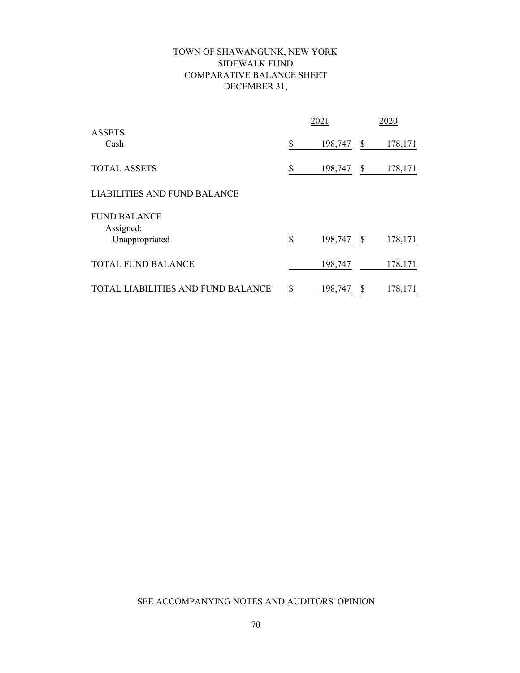# TOWN OF SHAWANGUNK, NEW YORK SIDEWALK FUND COMPARATIVE BALANCE SHEET DECEMBER 31,

|                                           | 2021          | 2020          |
|-------------------------------------------|---------------|---------------|
| <b>ASSETS</b><br>Cash                     | \$<br>198,747 | \$<br>178,171 |
| <b>TOTAL ASSETS</b>                       | \$<br>198,747 | \$<br>178,171 |
| <b>LIABILITIES AND FUND BALANCE</b>       |               |               |
| <b>FUND BALANCE</b><br>Assigned:          |               |               |
| Unappropriated                            | \$<br>198,747 | \$<br>178,171 |
| <b>TOTAL FUND BALANCE</b>                 | 198,747       | 178,171       |
| <b>TOTAL LIABILITIES AND FUND BALANCE</b> | \$<br>198,747 | \$<br>178,171 |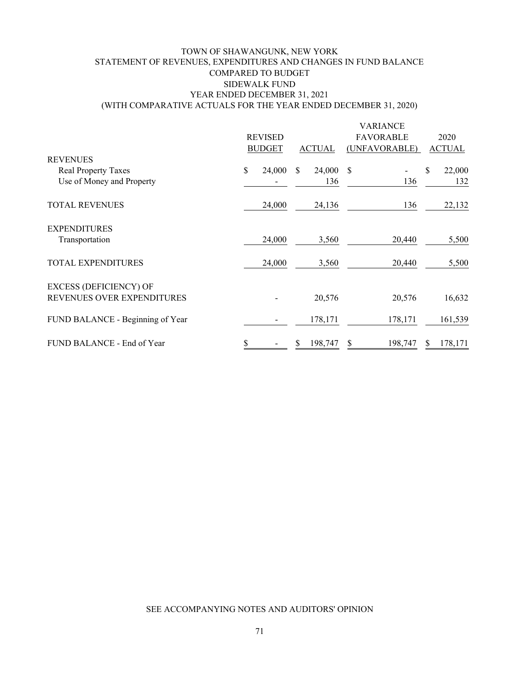### TOWN OF SHAWANGUNK, NEW YORK STATEMENT OF REVENUES, EXPENDITURES AND CHANGES IN FUND BALANCE COMPARED TO BUDGET SIDEWALK FUND YEAR ENDED DECEMBER 31, 2021 (WITH COMPARATIVE ACTUALS FOR THE YEAR ENDED DECEMBER 31, 2020)

|                                  |                |        | <b>VARIANCE</b> |               |                  |   |               |  |
|----------------------------------|----------------|--------|-----------------|---------------|------------------|---|---------------|--|
|                                  | <b>REVISED</b> |        |                 |               | <b>FAVORABLE</b> |   | 2020          |  |
|                                  | <b>BUDGET</b>  |        |                 | <b>ACTUAL</b> | (UNFAVORABLE)    |   | <b>ACTUAL</b> |  |
| <b>REVENUES</b>                  |                |        |                 |               |                  |   |               |  |
| Real Property Taxes              | \$             | 24,000 | \$.             | 24,000        | S                | S | 22,000        |  |
| Use of Money and Property        |                |        |                 | 136           | 136              |   | 132           |  |
|                                  |                |        |                 |               |                  |   |               |  |
| <b>TOTAL REVENUES</b>            |                | 24,000 |                 | 24,136        | 136              |   | 22,132        |  |
|                                  |                |        |                 |               |                  |   |               |  |
| <b>EXPENDITURES</b>              |                |        |                 |               |                  |   |               |  |
| Transportation                   |                | 24,000 |                 | 3,560         | 20,440           |   | 5,500         |  |
|                                  |                |        |                 |               |                  |   |               |  |
| <b>TOTAL EXPENDITURES</b>        |                | 24,000 |                 | 3,560         | 20,440           |   | 5,500         |  |
| <b>EXCESS (DEFICIENCY) OF</b>    |                |        |                 |               |                  |   |               |  |
| REVENUES OVER EXPENDITURES       |                |        |                 | 20,576        | 20,576           |   | 16,632        |  |
|                                  |                |        |                 |               |                  |   |               |  |
| FUND BALANCE - Beginning of Year |                |        |                 | 178,171       | 178,171          |   | 161,539       |  |
|                                  |                |        |                 |               |                  |   |               |  |
| FUND BALANCE - End of Year       |                |        | S               | 198,747       | \$<br>198,747    |   | 178,171       |  |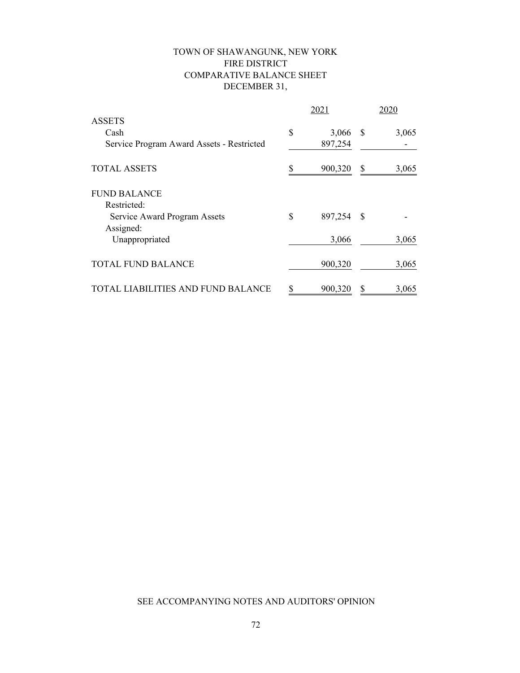# TOWN OF SHAWANGUNK, NEW YORK FIRE DISTRICT COMPARATIVE BALANCE SHEET DECEMBER 31,

|                                           |    | 2021    | 2020 |       |  |
|-------------------------------------------|----|---------|------|-------|--|
| <b>ASSETS</b>                             |    |         |      |       |  |
| Cash                                      | \$ | 3,066   | S    | 3,065 |  |
| Service Program Award Assets - Restricted |    | 897,254 |      |       |  |
| <b>TOTAL ASSETS</b>                       | S  | 900,320 | \$   | 3,065 |  |
| <b>FUND BALANCE</b>                       |    |         |      |       |  |
| Restricted:                               |    |         |      |       |  |
| Service Award Program Assets              | \$ | 897,254 | -\$  |       |  |
| Assigned:                                 |    |         |      |       |  |
| Unappropriated                            |    | 3,066   |      | 3,065 |  |
| <b>TOTAL FUND BALANCE</b>                 |    | 900,320 |      | 3,065 |  |
| LIABILITIES AND FUND BALANCE              | S  | 900,320 | \$   | 3,065 |  |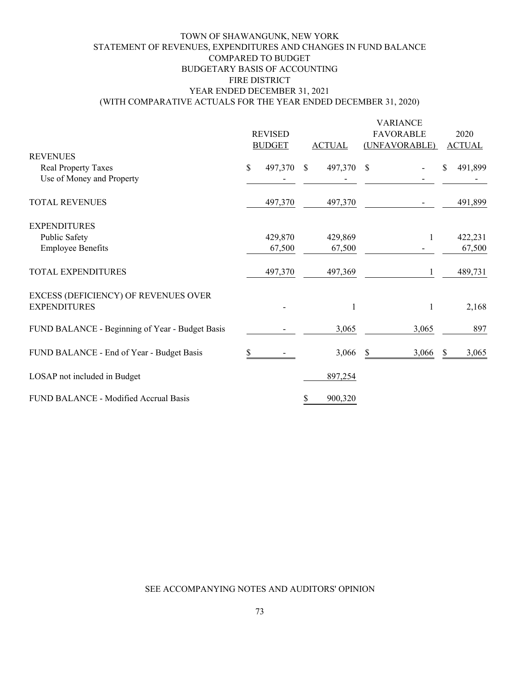### TOWN OF SHAWANGUNK, NEW YORK STATEMENT OF REVENUES, EXPENDITURES AND CHANGES IN FUND BALANCE COMPARED TO BUDGET FIRE DISTRICT YEAR ENDED DECEMBER 31, 2021 (WITH COMPARATIVE ACTUALS FOR THE YEAR ENDED DECEMBER 31, 2020) BUDGETARY BASIS OF ACCOUNTING

|                                                 |              | <b>REVISED</b><br><b>BUDGET</b> | <b>ACTUAL</b> |   | <b>VARIANCE</b><br><b>FAVORABLE</b><br>(UNFAVORABLE) |          | 2020<br><b>ACTUAL</b> |
|-------------------------------------------------|--------------|---------------------------------|---------------|---|------------------------------------------------------|----------|-----------------------|
| <b>REVENUES</b>                                 |              |                                 |               |   |                                                      |          |                       |
| <b>Real Property Taxes</b>                      | $\mathbb{S}$ | 497,370 \$                      | 497,370 \$    |   |                                                      | S        | 491,899               |
| Use of Money and Property                       |              |                                 |               |   |                                                      |          |                       |
| <b>TOTAL REVENUES</b>                           |              | 497,370                         | 497,370       |   |                                                      |          | 491,899               |
| <b>EXPENDITURES</b>                             |              |                                 |               |   |                                                      |          |                       |
| Public Safety                                   |              | 429,870                         | 429,869       |   | 1                                                    |          | 422,231               |
| <b>Employee Benefits</b>                        |              | 67,500                          | 67,500        |   |                                                      |          | 67,500                |
| TOTAL EXPENDITURES                              |              | 497,370                         | 497,369       |   | 1                                                    |          | 489,731               |
| EXCESS (DEFICIENCY) OF REVENUES OVER            |              |                                 |               |   |                                                      |          |                       |
| <b>EXPENDITURES</b>                             |              |                                 | 1             |   | $\mathbf{1}$                                         |          | 2,168                 |
| FUND BALANCE - Beginning of Year - Budget Basis |              |                                 | 3,065         |   | 3,065                                                |          | 897                   |
| FUND BALANCE - End of Year - Budget Basis       |              |                                 | 3,066         | S | 3,066                                                | <b>S</b> | 3,065                 |
| LOSAP not included in Budget                    |              |                                 | 897,254       |   |                                                      |          |                       |
| FUND BALANCE - Modified Accrual Basis           |              |                                 | 900,320       |   |                                                      |          |                       |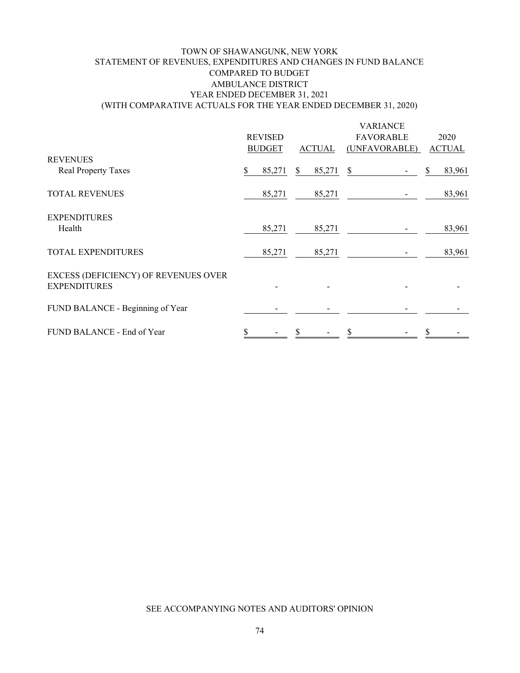### TOWN OF SHAWANGUNK, NEW YORK AMBULANCE DISTRICT YEAR ENDED DECEMBER 31, 2021 (WITH COMPARATIVE ACTUALS FOR THE YEAR ENDED DECEMBER 31, 2020) STATEMENT OF REVENUES, EXPENDITURES AND CHANGES IN FUND BALANCE COMPARED TO BUDGET

|                                                             |   |                |   |               | <b>VARIANCE</b>  |   |               |
|-------------------------------------------------------------|---|----------------|---|---------------|------------------|---|---------------|
|                                                             |   | <b>REVISED</b> |   |               | <b>FAVORABLE</b> |   | 2020          |
|                                                             |   | <b>BUDGET</b>  |   | <b>ACTUAL</b> | (UNFAVORABLE)    |   | <b>ACTUAL</b> |
| <b>REVENUES</b>                                             |   |                |   |               |                  |   |               |
| <b>Real Property Taxes</b>                                  | S | 85,271         | S | 85,271        | \$               |   | 83,961        |
| <b>TOTAL REVENUES</b>                                       |   | 85,271         |   | 85,271        |                  |   | 83,961        |
| <b>EXPENDITURES</b><br>Health                               |   | 85,271         |   | 85,271        |                  |   | 83,961        |
| <b>TOTAL EXPENDITURES</b>                                   |   | 85,271         |   | 85,271        |                  |   | 83,961        |
|                                                             |   |                |   |               |                  |   |               |
| EXCESS (DEFICIENCY) OF REVENUES OVER<br><b>EXPENDITURES</b> |   |                |   |               |                  |   |               |
| FUND BALANCE - Beginning of Year                            |   |                |   |               |                  |   |               |
| FUND BALANCE - End of Year                                  | S |                | S |               | \$               | S |               |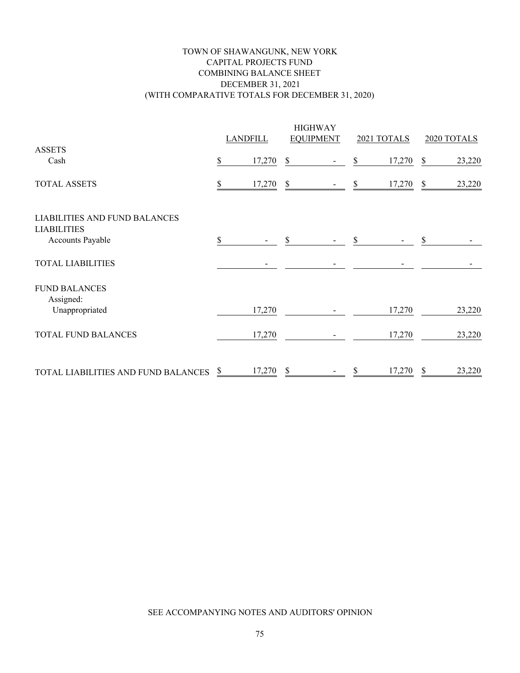### TOWN OF SHAWANGUNK, NEW YORK CAPITAL PROJECTS FUND COMBINING BALANCE SHEET DECEMBER 31, 2021 (WITH COMPARATIVE TOTALS FOR DECEMBER 31, 2020)

|                                                            |    | <b>LANDFILL</b> |               | <b>HIGHWAY</b><br><b>EQUIPMENT</b> |     | 2021 TOTALS |              | 2020 TOTALS |
|------------------------------------------------------------|----|-----------------|---------------|------------------------------------|-----|-------------|--------------|-------------|
| <b>ASSETS</b>                                              |    |                 |               |                                    |     |             |              |             |
| Cash                                                       | \$ | 17,270          | \$            |                                    | \$  | 17,270      | \$           | 23,220      |
| <b>TOTAL ASSETS</b>                                        |    | 17,270          | \$            |                                    | \$  | 17,270      | - \$         | 23,220      |
| <b>LIABILITIES AND FUND BALANCES</b><br><b>LIABILITIES</b> |    |                 |               |                                    |     |             |              |             |
| Accounts Payable                                           | S  |                 | \$            |                                    | S   |             | \$           |             |
| <b>TOTAL LIABILITIES</b>                                   |    |                 |               |                                    |     |             |              |             |
| <b>FUND BALANCES</b><br>Assigned:                          |    |                 |               |                                    |     |             |              |             |
| Unappropriated                                             |    | 17,270          |               |                                    |     | 17,270      |              | 23,220      |
| <b>TOTAL FUND BALANCES</b>                                 |    | 17,270          |               |                                    |     | 17,270      |              | 23,220      |
| TOTAL LIABILITIES AND FUND BALANCES                        | \$ | 17,270          | $\mathcal{S}$ |                                    | \$. | 17,270      | $\mathbb{S}$ | 23,220      |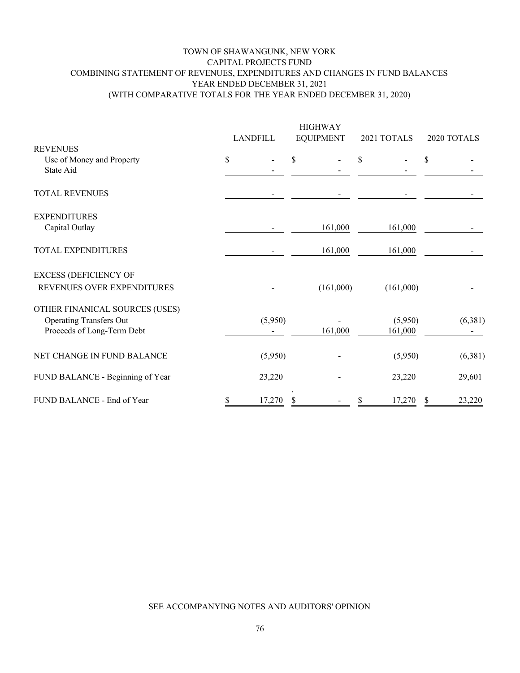#### TOWN OF SHAWANGUNK, NEW YORK CAPITAL PROJECTS FUND COMBINING STATEMENT OF REVENUES, EXPENDITURES AND CHANGES IN FUND BALANCES YEAR ENDED DECEMBER 31, 2021 (WITH COMPARATIVE TOTALS FOR THE YEAR ENDED DECEMBER 31, 2020)

|                                        |    | <b>LANDFILL</b> |    | <b>HIGHWAY</b><br><b>EQUIPMENT</b> | 2021 TOTALS | 2020 TOTALS  |  |
|----------------------------------------|----|-----------------|----|------------------------------------|-------------|--------------|--|
| <b>REVENUES</b>                        |    |                 |    |                                    |             |              |  |
| Use of Money and Property<br>State Aid | \$ |                 | \$ |                                    | \$          | \$           |  |
| <b>TOTAL REVENUES</b>                  |    |                 |    |                                    |             |              |  |
| <b>EXPENDITURES</b>                    |    |                 |    |                                    |             |              |  |
| Capital Outlay                         |    |                 |    | 161,000                            | 161,000     |              |  |
| TOTAL EXPENDITURES                     |    |                 |    | 161,000                            | 161,000     |              |  |
| <b>EXCESS (DEFICIENCY OF</b>           |    |                 |    |                                    |             |              |  |
| REVENUES OVER EXPENDITURES             |    |                 |    | (161,000)                          | (161,000)   |              |  |
| OTHER FINANICAL SOURCES (USES)         |    |                 |    |                                    |             |              |  |
| <b>Operating Transfers Out</b>         |    | (5,950)         |    |                                    | (5,950)     | (6,381)      |  |
| Proceeds of Long-Term Debt             |    |                 |    | 161,000                            | 161,000     |              |  |
| NET CHANGE IN FUND BALANCE             |    | (5,950)         |    |                                    | (5,950)     | (6,381)      |  |
| FUND BALANCE - Beginning of Year       |    | 23,220          |    |                                    | 23,220      | 29,601       |  |
| FUND BALANCE - End of Year             | S  | 17,270          |    |                                    | 17,270      | 23,220<br>\$ |  |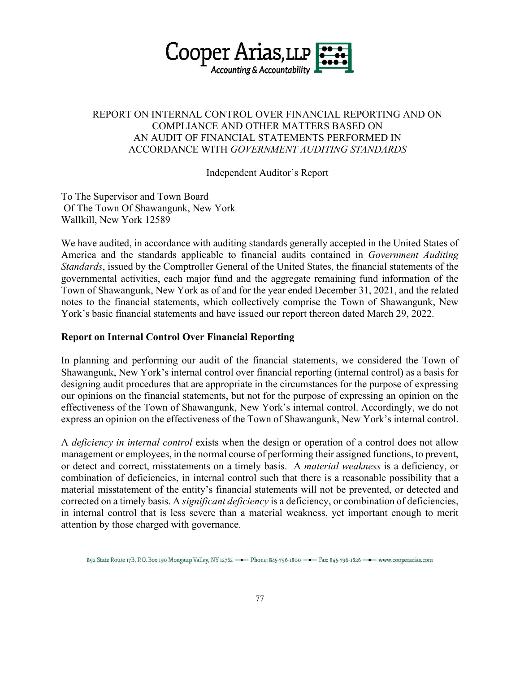

# REPORT ON INTERNAL CONTROL OVER FINANCIAL REPORTING AND ON COMPLIANCE AND OTHER MATTERS BASED ON AN AUDIT OF FINANCIAL STATEMENTS PERFORMED IN ACCORDANCE WITH *GOVERNMENT AUDITING STANDARDS*

Independent Auditor's Report

To The Supervisor and Town Board Of The Town Of Shawangunk, New York Wallkill, New York 12589

 We have audited, in accordance with auditing standards generally accepted in the United States of America and the standards applicable to financial audits contained in *Government Auditing Standards*, issued by the Comptroller General of the United States, the financial statements of the governmental activities, each major fund and the aggregate remaining fund information of the Town of Shawangunk, New York as of and for the year ended December 31, 2021, and the related notes to the financial statements, which collectively comprise the Town of Shawangunk, New York's basic financial statements and have issued our report thereon dated March 29, 2022.

## **Report on Internal Control Over Financial Reporting**

 In planning and performing our audit of the financial statements, we considered the Town of Shawangunk, New York's internal control over financial reporting (internal control) as a basis for designing audit procedures that are appropriate in the circumstances for the purpose of expressing our opinions on the financial statements, but not for the purpose of expressing an opinion on the effectiveness of the Town of Shawangunk, New York's internal control. Accordingly, we do not express an opinion on the effectiveness of the Town of Shawangunk, New York's internal control.

 A *deficiency in internal control* exists when the design or operation of a control does not allow management or employees, in the normal course of performing their assigned functions, to prevent, or detect and correct, misstatements on a timely basis. A *material weakness* is a deficiency, or combination of deficiencies, in internal control such that there is a reasonable possibility that a material misstatement of the entity's financial statements will not be prevented, or detected and corrected on a timely basis. A *significant deficiency* is a deficiency, or combination of deficiencies, in internal control that is less severe than a material weakness, yet important enough to merit attention by those charged with governance.

892 State Route 17B, P.O. Box 190 Mongaup Valley, NY 12762 -- Phone: 845-796-1800 -- Fax: 845-796-1826 -- www.cooperarias.com